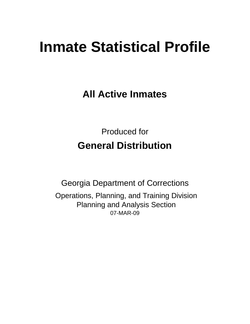# **Inmate Statistical Profile**

**All Active Inmates**

Produced for **General Distribution**

07-MAR-09 Georgia Department of Corrections Operations, Planning, and Training Division Planning and Analysis Section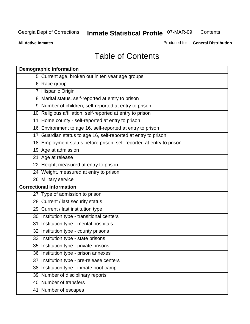**Contents** 

**All Active Inmates**

Produced for **General Distribution**

# Table of Contents

|    | <b>Demographic information</b>                                       |
|----|----------------------------------------------------------------------|
|    | 5 Current age, broken out in ten year age groups                     |
|    | 6 Race group                                                         |
|    | 7 Hispanic Origin                                                    |
|    | 8 Marital status, self-reported at entry to prison                   |
|    | 9 Number of children, self-reported at entry to prison               |
|    | 10 Religious affiliation, self-reported at entry to prison           |
|    | 11 Home county - self-reported at entry to prison                    |
|    | 16 Environment to age 16, self-reported at entry to prison           |
|    | 17 Guardian status to age 16, self-reported at entry to prison       |
|    | 18 Employment status before prison, self-reported at entry to prison |
|    | 19 Age at admission                                                  |
|    | 21 Age at release                                                    |
|    | 22 Height, measured at entry to prison                               |
|    | 24 Weight, measured at entry to prison                               |
|    | 26 Military service                                                  |
|    | <b>Correctional information</b>                                      |
|    | 27 Type of admission to prison                                       |
|    | 28 Current / last security status                                    |
|    | 29 Current / last institution type                                   |
|    | 30 Institution type - transitional centers                           |
|    | 31 Institution type - mental hospitals                               |
|    | 32 Institution type - county prisons                                 |
|    | 33 Institution type - state prisons                                  |
|    | 35 Institution type - private prisons                                |
|    | 36 Institution type - prison annexes                                 |
| 37 | Institution type - pre-release centers                               |
|    | 38 Institution type - inmate boot camp                               |
|    | 39 Number of disciplinary reports                                    |
|    | 40 Number of transfers                                               |
|    | 41 Number of escapes                                                 |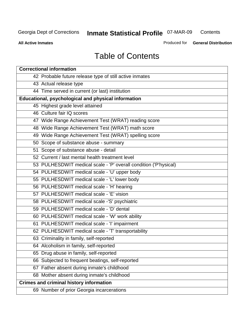**Contents** 

**All Active Inmates**

Produced for **General Distribution**

# Table of Contents

| <b>Correctional information</b>                                  |
|------------------------------------------------------------------|
| 42 Probable future release type of still active inmates          |
| 43 Actual release type                                           |
| 44 Time served in current (or last) institution                  |
| Educational, psychological and physical information              |
| 45 Highest grade level attained                                  |
| 46 Culture fair IQ scores                                        |
| 47 Wide Range Achievement Test (WRAT) reading score              |
| 48 Wide Range Achievement Test (WRAT) math score                 |
| 49 Wide Range Achievement Test (WRAT) spelling score             |
| 50 Scope of substance abuse - summary                            |
| 51 Scope of substance abuse - detail                             |
| 52 Current / last mental health treatment level                  |
| 53 PULHESDWIT medical scale - 'P' overall condition ('P'hysical) |
| 54 PULHESDWIT medical scale - 'U' upper body                     |
| 55 PULHESDWIT medical scale - 'L' lower body                     |
| 56 PULHESDWIT medical scale - 'H' hearing                        |
| 57 PULHESDWIT medical scale - 'E' vision                         |
| 58 PULHESDWIT medical scale -'S' psychiatric                     |
| 59 PULHESDWIT medical scale - 'D' dental                         |
| 60 PULHESDWIT medical scale - 'W' work ability                   |
| 61 PULHESDWIT medical scale - 'I' impairment                     |
| 62 PULHESDWIT medical scale - 'T' transportability               |
| 63 Criminality in family, self-reported                          |
| 64 Alcoholism in family, self-reported                           |
| 65 Drug abuse in family, self-reported                           |
| 66 Subjected to frequent beatings, self-reported                 |
| 67 Father absent during inmate's childhood                       |
| 68 Mother absent during inmate's childhood                       |
| <b>Crimes and criminal history information</b>                   |
| 69 Number of prior Georgia incarcerations                        |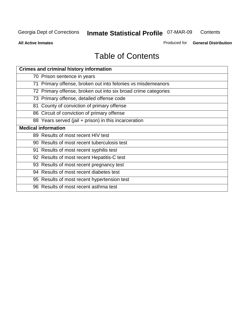**Contents** 

**All Active Inmates**

Produced for **General Distribution**

# Table of Contents

| <b>Crimes and criminal history information</b>                 |
|----------------------------------------------------------------|
| 70 Prison sentence in years                                    |
| 71 Primary offense, broken out into felonies vs misdemeanors   |
| 72 Primary offense, broken out into six broad crime categories |
| 73 Primary offense, detailed offense code                      |
| 81 County of conviction of primary offense                     |
| 86 Circuit of conviction of primary offense                    |
| 88 Years served (jail + prison) in this incarceration          |
| <b>Medical information</b>                                     |
| 89 Results of most recent HIV test                             |
| 90 Results of most recent tuberculosis test                    |
| 91 Results of most recent syphilis test                        |
| 92 Results of most recent Hepatitis-C test                     |
| 93 Results of most recent pregnancy test                       |
| 94 Results of most recent diabetes test                        |
| 95 Results of most recent hypertension test                    |
| 96 Results of most recent asthma test                          |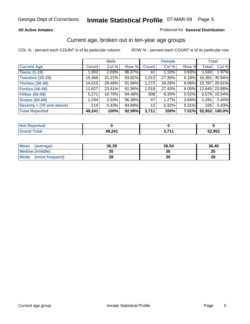### **All Active Inmates**

### Produced for **General Distribution**

### Current age, broken out in ten-year age groups

|                          |              | <b>Male</b> |        |              | <b>Female</b> |          |              | <b>Total</b> |
|--------------------------|--------------|-------------|--------|--------------|---------------|----------|--------------|--------------|
| <b>Current Age</b>       | <b>Count</b> | Col %       | Row %  | <b>Count</b> | Col %         | Row %    | <b>Total</b> | Col %        |
| <b>Teens (1-19)</b>      | 1,002        | $2.03\%$    | 96.07% | 41           | 1.10%         | 3.93%    | 1,043        | 1.97%        |
| <b>Twenties (20-29)</b>  | 15,368       | 31.21%      | 93.82% | 1,013        | 27.30%        | $6.18\%$ | 16,381       | $30.94\%$    |
| <b>Thirties (30-39)</b>  | 14,515       | 29.48%      | 91.94% | 1,272        | 34.28%        | 8.06%    | 15,787       | 29.81%       |
| <b>Forties (40-49)</b>   | 11,627       | 23.61%      | 91.95% | 1,018        | 27.43%        | 8.05%    | 12,645       | 23.88%       |
| <b>Fifties (50-59)</b>   | 5,271        | 10.70%      | 94.48% | 308          | $8.30\%$      | $5.52\%$ | 5,579        | 10.54%       |
| <b>Sixties (60-69)</b>   | ا 1.244      | 2.53%       | 96.36% | 47           | 1.27%         | 3.64%    | 1,291        | 2.44%        |
| Seventy + (70 and above) | 214          | 0.43%       | 94.69% | 12           | 0.32%         | 5.31%    | 226          | 0.43%        |
| <b>Total Reported</b>    | 49,241       | 100%        | 92.99% | 3,711        | 100%          | 7.01%    | 52,952       | 100.0%       |

| <b>Not Renor</b><br>المتعاقب والمراجع<br><b>rtea</b> |        |        |        |
|------------------------------------------------------|--------|--------|--------|
| <b>Total</b>                                         | 49,241 | , 74 A | 52,952 |

| <b>Mean</b><br>(average) | 36.39     | 36.54 | 36.40 |
|--------------------------|-----------|-------|-------|
| Median (middle)          | 25<br>JJ. | 36    | 35    |
| Mode<br>(most frequent)  | 28        | 30    | 28    |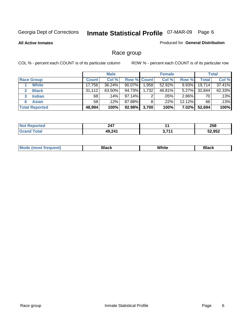**All Active Inmates**

### Produced for **General Distribution**

# Race group

|                       |              | <b>Male</b> |                    |       | <b>Female</b> |          |        | <b>Total</b> |
|-----------------------|--------------|-------------|--------------------|-------|---------------|----------|--------|--------------|
| <b>Race Group</b>     | <b>Count</b> | Col %       | <b>Row % Count</b> |       | Col %         | Row %    | Total  | Col %        |
| <b>White</b>          | 17,756       | 36.24%      | 90.07%             | 1,958 | 52.92%        | 9.93%    | 19,714 | 37.41%       |
| <b>Black</b>          | 31,112       | 63.50%      | 94.73%             | 1,732 | 46.81%        | $5.27\%$ | 32,844 | 62.33%       |
| <b>Indian</b><br>3    | 68           | $.14\%$     | 97.14%             | 2     | .05%          | $2.86\%$ | 70     | .13%         |
| <b>Asian</b>          | 58           | $.12\%$     | 87.88%             | 8     | .22%          | 12.12%   | 66     | .13%         |
| <b>Total Reported</b> | 48,994       | 100%        | 92.98%             | 3,700 | 100%          | $7.02\%$ | 52,694 | 100%         |

| - - -<br>44 I |     | 258           |
|---------------|-----|---------------|
| 49 241        | 744 | 52.052<br>JJZ |

|  | $Mc$ | Black | White<br>$ -$ | 21904<br>DIACK |
|--|------|-------|---------------|----------------|
|--|------|-------|---------------|----------------|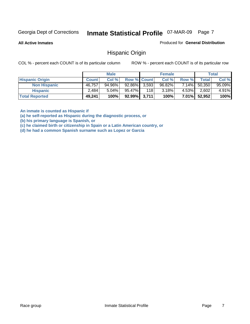**All Active Inmates**

Produced for **General Distribution**

### Hispanic Origin

COL % - percent each COUNT is of its particular column ROW % - percent each COUNT is of its particular row

|                        |              | <b>Male</b> |                    |     | <b>Female</b> |          |        | <b>Total</b> |
|------------------------|--------------|-------------|--------------------|-----|---------------|----------|--------|--------------|
| <b>Hispanic Origin</b> | <b>Count</b> | Col %       | <b>Row % Count</b> |     | Col %         | Row %    | Total  | Col %        |
| <b>Non Hispanic</b>    | 46.757       | 94.96%      | 92.86% 3,593       |     | 96.82%        | 7.14%    | 50,350 | $95.09\%$    |
| <b>Hispanic</b>        | 2,484        | $5.04\%$    | 95.47%             | 118 | 3.18%         | 4.53%    | 2,602  | 4.91%        |
| <b>Total Reported</b>  | 49,241       | 100%        | 92.99% 3,711       |     | 100%          | $7.01\%$ | 52,952 | 100%         |

**An inmate is counted as Hispanic if** 

**(a) he self-reported as Hispanic during the diagnostic process, or** 

**(b) his primary language is Spanish, or** 

**(c) he claimed birth or citizenship in Spain or a Latin American country, or** 

**(d) he had a common Spanish surname such as Lopez or Garcia**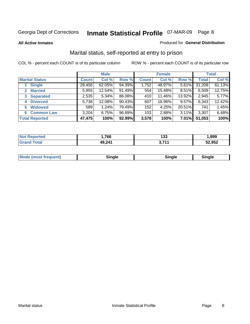### **All Active Inmates**

### Produced for **General Distribution**

# Marital status, self-reported at entry to prison

|                                  | <b>Male</b>  |           |        | <b>Female</b> |        |          | <b>Total</b> |        |
|----------------------------------|--------------|-----------|--------|---------------|--------|----------|--------------|--------|
| <b>Marital Status</b>            | <b>Count</b> | Col %     | Row %  | <b>Count</b>  | Col %  | Row %    | <b>Total</b> | Col %  |
| <b>Single</b>                    | 29,456       | $62.05\%$ | 94.39% | 1,752         | 48.97% | 5.61%    | 31,208       | 61.13% |
| <b>Married</b><br>$\overline{2}$ | 5,955        | 12.54%    | 91.49% | 554           | 15.48% | $8.51\%$ | 6,509        | 12.75% |
| <b>Separated</b><br>3            | 2,535        | 5.34%     | 86.08% | 410           | 11.46% | 13.92%   | 2,945        | 5.77%  |
| <b>Divorced</b><br>4             | 5,736        | 12.08%    | 90.43% | 607           | 16.96% | 9.57%    | 6,343        | 12.42% |
| <b>Widowed</b><br>5              | 589          | 1.24%     | 79.49% | 152           | 4.25%  | 20.51%   | 741          | 1.45%  |
| <b>Common Law</b><br>6           | 3,204        | 6.75%     | 96.89% | 103           | 2.88%  | 3.11%    | 3,307        | 6.48%  |
| <b>Total Reported</b>            | 47,475       | 100%      | 92.99% | 3,578         | 100%   | $7.01\%$ | 51,053       | 100%   |

| 766                    | 133        | .899   |
|------------------------|------------|--------|
| .24 <sub>1</sub><br>Δu | - -<br>. . | 52,952 |

|  | Mode (most f<br>freauent) | . | 'inale | nale |  |
|--|---------------------------|---|--------|------|--|
|--|---------------------------|---|--------|------|--|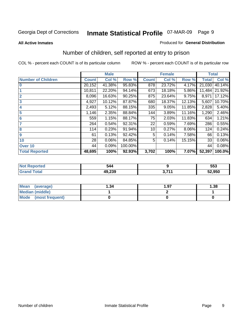### **All Active Inmates**

### Produced for **General Distribution**

# Number of children, self reported at entry to prison

|                           |              | <b>Male</b> |         |              | <b>Female</b> |          | <b>Total</b> |        |
|---------------------------|--------------|-------------|---------|--------------|---------------|----------|--------------|--------|
| <b>Number of Children</b> | <b>Count</b> | Col %       | Row %   | <b>Count</b> | Col %         | Row %    | <b>Total</b> | Col %  |
| $\bf{0}$                  | 20,152       | 41.38%      | 95.83%  | 878          | 23.72%        | 4.17%    | 21,030       | 40.14% |
|                           | 10,811       | 22.20%      | 94.14%  | 673          | 18.18%        | 5.86%    | 11,484       | 21.92% |
| $\overline{2}$            | 8,096        | 16.63%      | 90.25%  | 875          | 23.64%        | 9.75%    | 8,971        | 17.12% |
| 3                         | 4,927        | 10.12%      | 87.87%  | 680          | 18.37%        | 12.13%   | 5,607        | 10.70% |
| 4                         | 2,493        | 5.12%       | 88.15%  | 335          | 9.05%         | 11.85%   | 2,828        | 5.40%  |
| 5                         | 1,146        | 2.35%       | 88.84%  | 144          | 3.89%         | 11.16%   | 1,290        | 2.46%  |
| $6\phantom{a}$            | 559          | 1.15%       | 88.17%  | 75           | 2.03%         | 11.83%   | 634          | 1.21%  |
| 7                         | 264          | 0.54%       | 92.31%  | 22           | 0.59%         | 7.69%    | 286          | 0.55%  |
| 8                         | 114          | 0.23%       | 91.94%  | 10           | 0.27%         | $8.06\%$ | 124          | 0.24%  |
| 9                         | 61           | 0.13%       | 92.42%  | 5            | 0.14%         | 7.58%    | 66           | 0.13%  |
| 10                        | 28           | 0.06%       | 84.85%  | 5            | 0.14%         | 15.15%   | 33           | 0.06%  |
| Over 10                   | 44           | 0.09%       | 100.00% |              |               |          | 44           | 0.08%  |
| <b>Total Reported</b>     | 48,695       | 100%        | 92.93%  | 3,702        | 100%          | 7.07%    | 52,397       | 100.0% |

| . . | 547<br>$\sim$ $\sim$ |     | 553    |
|-----|----------------------|-----|--------|
|     | 10.22<br>.203        | 74. | 52.950 |

| <b>Mean</b><br>(average) | ∣.34 | 1.97 | .38 |
|--------------------------|------|------|-----|
| <b>Median (middle)</b>   |      |      |     |
| Mode<br>(most frequent)  |      |      |     |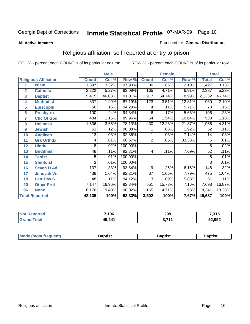### **All Active Inmates**

### Produced for **General Distribution**

# Religious affiliation, self-reported at entry to prison

|                  |                              |                 |        |         | <b>Female</b>   |        |        | <b>Total</b> |        |
|------------------|------------------------------|-----------------|--------|---------|-----------------|--------|--------|--------------|--------|
|                  | <b>Religious Affiliation</b> | <b>Count</b>    | Col %  | Row %   | <b>Count</b>    | Col %  | Row %  | <b>Total</b> | Col %  |
| 1                | <b>Islam</b>                 | 1,397           | 3.32%  | 97.90%  | $\overline{30}$ | .86%   | 2.10%  | 1,427        | 3.13%  |
| $\overline{2}$   | <b>Catholic</b>              | 2,222           | 5.27%  | 93.09%  | 165             | 4.71%  | 6.91%  | 2,387        | 5.23%  |
| 3                | <b>Baptist</b>               | 19,415          | 46.08% | 91.01%  | 1,917           | 54.74% | 8.99%  | 21,332       | 46.74% |
| 4                | <b>Methodist</b>             | 837             | 1.99%  | 87.19%  | 123             | 3.51%  | 12.81% | 960          | 2.10%  |
| 5                | <b>EpiscopIn</b>             | 66              | .16%   | 94.29%  | 4               | .11%   | 5.71%  | 70           | .15%   |
| 6                | <b>Presbytrn</b>             | 100             | .24%   | 94.34%  | 6               | .17%   | 5.66%  | 106          | .23%   |
| 7                | <b>Chc Of God</b>            | 484             | 1.15%  | 89.96%  | 54              | 1.54%  | 10.04% | 538          | 1.18%  |
| 8                | <b>Holiness</b>              | 1,536           | 3.65%  | 78.13%  | 430             | 12.28% | 21.87% | 1,966        | 4.31%  |
| $\boldsymbol{9}$ | <b>Jewish</b>                | 51              | .12%   | 98.08%  |                 | .03%   | 1.92%  | 52           | .11%   |
| 10               | <b>Anglican</b>              | $\overline{13}$ | .03%   | 92.86%  |                 | .03%   | 7.14%  | 14           | .03%   |
| 11               | <b>Grk Orthdx</b>            | 4               | .01%   | 66.67%  | $\overline{2}$  | .06%   | 33.33% | 6            | .01%   |
| 12               | <b>Hindu</b>                 | 8               | .02%   | 100.00% |                 |        |        | 8            | .02%   |
| 13               | <b>Buddhist</b>              | 48              | .11%   | 92.31%  | 4               | .11%   | 7.69%  | 52           | .11%   |
| 14               | <b>Taoist</b>                | 5               | .01%   | 100.00% |                 |        |        | 5            | .01%   |
| 15               | <b>Shintoist</b>             | 3               | .01%   | 100.00% |                 |        |        | 3            | .01%   |
| 16               | <b>Seven D Ad</b>            | 137             | .33%   | 93.84%  | 9               | .26%   | 6.16%  | 146          | .32%   |
| 17               | <b>Jehovah Wt</b>            | 438             | 1.04%  | 92.21%  | $\overline{37}$ | 1.06%  | 7.79%  | 475          | 1.04%  |
| 18               | <b>Latr Day S</b>            | 48              | .11%   | 94.12%  | $\overline{3}$  | .09%   | 5.88%  | 51           | .11%   |
| 20               | <b>Other Prot</b>            | 7,147           | 16.96% | 92.84%  | 551             | 15.73% | 7.16%  | 7,698        | 16.87% |
| 96               | <b>None</b>                  | 8,176           | 19.40% | 98.02%  | 165             | 4.71%  | 1.98%  | 8,341        | 18.28% |
|                  | <b>Total Reported</b>        | 42,135          | 100%   | 92.33%  | 3,502           | 100%   | 7.67%  | 45,637       | 100%   |

| 7,106  | 209<br>___ | 94F<br>נו נו |
|--------|------------|--------------|
| 49,241 | 744        | 52,952       |

| <b>Mode</b><br>frequent)<br>umost | 3aptist | 3aptist | <b>Baptist</b> |
|-----------------------------------|---------|---------|----------------|
|                                   |         |         |                |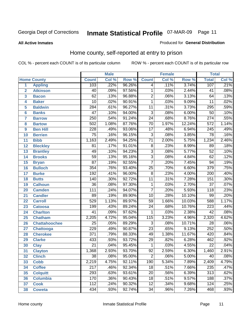Produced for **General Distribution**

### **All Active Inmates**

# Home county, self-reported at entry to prison

|                 |                      |                  | <b>Male</b> |        |                 | <b>Female</b> |        | <b>Total</b>     |       |
|-----------------|----------------------|------------------|-------------|--------|-----------------|---------------|--------|------------------|-------|
|                 | <b>Home County</b>   | <b>Count</b>     | Col %       | Row %  | <b>Count</b>    | Col %         | Row %  | <b>Total</b>     | Col % |
| 1               | <b>Appling</b>       | 103              | .22%        | 96.26% | 4               | .11%          | 3.74%  | 107              | .21%  |
| $\overline{2}$  | <b>Atkinson</b>      | 40               | .09%        | 97.56% | 1               | .03%          | 2.44%  | 41               | .08%  |
| 3               | <b>Bacon</b>         | 62               | .13%        | 96.88% | $\overline{2}$  | .06%          | 3.13%  | 64               | .13%  |
| 4               | <b>Baker</b>         | $\overline{10}$  | .02%        | 90.91% | $\mathbf 1$     | .03%          | 9.09%  | 11               | .02%  |
| 5               | <b>Baldwin</b>       | 284              | .61%        | 96.27% | $\overline{11}$ | .31%          | 3.73%  | 295              | .59%  |
| $6\phantom{1}6$ | <b>Banks</b>         | $\overline{47}$  | .10%        | 94.00% | $\overline{3}$  | .08%          | 6.00%  | $\overline{50}$  | .10%  |
| $\overline{7}$  | <b>Barrow</b>        | 250              | .54%        | 91.24% | $\overline{24}$ | .68%          | 8.76%  | $\overline{274}$ | .55%  |
| 8               | <b>Bartow</b>        | 502              | 1.08%       | 87.76% | $\overline{70}$ | 1.97%         | 12.24% | $\overline{572}$ | 1.14% |
| 9               | <b>Ben Hill</b>      | 228              | .49%        | 93.06% | $\overline{17}$ | .48%          | 6.94%  | $\overline{245}$ | .49%  |
| 10              | <b>Berrien</b>       | $\overline{75}$  | .16%        | 96.15% | $\overline{3}$  | .08%          | 3.85%  | 78               | .16%  |
| 11              | <b>Bibb</b>          | 1,163            | 2.49%       | 94.25% | $\overline{71}$ | 2.00%         | 5.75%  | 1,234            | 2.46% |
| 12              | <b>Bleckley</b>      | 81               | .17%        | 91.01% | $\overline{8}$  | .23%          | 8.99%  | 89               | .18%  |
| $\overline{13}$ | <b>Brantley</b>      | 49               | .10%        | 94.23% | $\overline{3}$  | .08%          | 5.77%  | $\overline{52}$  | .10%  |
| 14              | <b>Brooks</b>        | $\overline{59}$  | .13%        | 95.16% | $\overline{3}$  | .08%          | 4.84%  | 62               | .12%  |
| 15              | <b>Bryan</b>         | $\overline{87}$  | .19%        | 92.55% | $\overline{7}$  | .20%          | 7.45%  | $\overline{94}$  | .19%  |
| 16              | <b>Bulloch</b>       | 354              | .76%        | 93.40% | $\overline{25}$ | .70%          | 6.60%  | 379              | .75%  |
| 17              | <b>Burke</b>         | 192              | .41%        | 96.00% | $\overline{8}$  | .23%          | 4.00%  | $\overline{200}$ | .40%  |
| 18              | <b>Butts</b>         | $\overline{140}$ | .30%        | 92.72% | $\overline{11}$ | .31%          | 7.28%  | 151              | .30%  |
| 19              | <b>Calhoun</b>       | $\overline{36}$  | .08%        | 97.30% | $\mathbf{1}$    | .03%          | 2.70%  | $\overline{37}$  | .07%  |
| 20              | <b>Camden</b>        | 111              | .24%        | 94.07% | $\overline{7}$  | .20%          | 5.93%  | 118              | .23%  |
| 21              | <b>Candler</b>       | $\overline{89}$  | .19%        | 89.90% | $\overline{10}$ | .28%          | 10.10% | 99               | .20%  |
| 22              | <b>Carroll</b>       | 529              | 1.13%       | 89.97% | 59              | 1.66%         | 10.03% | 588              | 1.17% |
| 23              | <b>Catoosa</b>       | 199              | .43%        | 89.24% | $\overline{24}$ | .68%          | 10.76% | 223              | .44%  |
| 24              | <b>Charlton</b>      | 41               | .09%        | 97.62% | 1               | .03%          | 2.38%  | $\overline{42}$  | .08%  |
| 25              | <b>Chatham</b>       | 2,205            | 4.72%       | 95.04% | 115             | 3.23%         | 4.96%  | 2,320            | 4.62% |
| 26              | <b>Chattahoochee</b> | $\overline{25}$  | .05%        | 89.29% | 3               | .08%          | 10.71% | 28               | .06%  |
| 27              | <b>Chattooga</b>     | 229              | .49%        | 90.87% | $\overline{23}$ | .65%          | 9.13%  | 252              | .50%  |
| 28              | <b>Cherokee</b>      | $\overline{371}$ | .79%        | 88.33% | 49              | 1.38%         | 11.67% | 420              | .84%  |
| 29              | <b>Clarke</b>        | 433              | .93%        | 93.72% | 29              | .82%          | 6.28%  | 462              | .92%  |
| 30              | <b>Clay</b>          | $\overline{21}$  | .04%        | 95.45% | 1               | .03%          | 4.55%  | $\overline{22}$  | .04%  |
| $\overline{31}$ | <b>Clayton</b>       | 1,368            | 2.93%       | 93.70% | $\overline{92}$ | 2.59%         | 6.30%  | 1,460            | 2.91% |
| 32              | <b>Clinch</b>        | 38               | .08%        | 95.00% | 2               | .06%          | 5.00%  | 40               | .08%  |
| 33              | <b>Cobb</b>          | 2,219            | 4.75%       | 92.11% | 190             | 5.34%         | 7.89%  | 2,409            | 4.79% |
| 34              | <b>Coffee</b>        | 217              | .46%        | 92.34% | $\overline{18}$ | .51%          | 7.66%  | 235              | .47%  |
| 35              | <b>Colquitt</b>      | 293              | .63%        | 93.61% | $\overline{20}$ | .56%          | 6.39%  | $\overline{313}$ | .62%  |
| 36              | <b>Columbia</b>      | 170              | .36%        | 90.43% | 18              | .51%          | 9.57%  | 188              | .37%  |
| 37              | <b>Cook</b>          | 112              | .24%        | 90.32% | $\overline{12}$ | .34%          | 9.68%  | 124              | .25%  |
| 38              | <b>Coweta</b>        | 434              | .93%        | 92.74% | $\overline{34}$ | .96%          | 7.26%  | 468              | .93%  |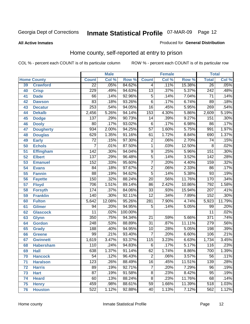**All Active Inmates**

### Produced for **General Distribution**

# Home county, self-reported at entry to prison

|                 |                    |                  | <b>Male</b> |                  |                  | <b>Female</b> |        | <b>Total</b>     |                            |  |
|-----------------|--------------------|------------------|-------------|------------------|------------------|---------------|--------|------------------|----------------------------|--|
|                 | <b>Home County</b> | <b>Count</b>     | Col %       | Row <sup>%</sup> | <b>Count</b>     | Col %         | Row %  | <b>Total</b>     | $\overline{\text{Col }^9}$ |  |
| 39              | <b>Crawford</b>    | $\overline{22}$  | .05%        | 84.62%           | 4                | .11%          | 15.38% | 26               | .05%                       |  |
| 40              | <b>Crisp</b>       | 229              | .49%        | 94.63%           | $\overline{13}$  | .37%          | 5.37%  | $\overline{242}$ | .48%                       |  |
| 41              | <b>Dade</b>        | 66               | .14%        | 92.96%           | $\overline{5}$   | .14%          | 7.04%  | $\overline{71}$  | .14%                       |  |
| 42              | <b>Dawson</b>      | 83               | .18%        | 93.26%           | $\overline{6}$   | .17%          | 6.74%  | $\overline{89}$  | .18%                       |  |
| 43              | <b>Decatur</b>     | 253              | .54%        | 94.05%           | $\overline{16}$  | .45%          | 5.95%  | 269              | .54%                       |  |
| 44              | <b>Dekalb</b>      | 2,456            | 5.26%       | 94.14%           | 153              | 4.30%         | 5.86%  | 2,609            | 5.19%                      |  |
| 45              | <b>Dodge</b>       | 137              | .29%        | 90.73%           | $\overline{14}$  | .39%          | 9.27%  | 151              | .30%                       |  |
| 46              | <b>Dooly</b>       | $\overline{80}$  | .17%        | 93.02%           | $\overline{6}$   | .17%          | 6.98%  | 86               | .17%                       |  |
| 47              | <b>Dougherty</b>   | 934              | 2.00%       | 94.25%           | $\overline{57}$  | 1.60%         | 5.75%  | 991              | 1.97%                      |  |
| 48              | <b>Douglas</b>     | 629              | 1.35%       | 91.16%           | 61               | 1.72%         | 8.84%  | 690              | 1.37%                      |  |
| 49              | <b>Early</b>       | $\overline{72}$  | .15%        | 97.30%           | $\overline{2}$   | .06%          | 2.70%  | $\overline{74}$  | .15%                       |  |
| 50              | <b>Echols</b>      | 7                | .01%        | 87.50%           | $\overline{1}$   | .03%          | 12.50% | 8                | .02%                       |  |
| $\overline{51}$ | Effingham          | $\overline{142}$ | .30%        | 94.04%           | $\overline{9}$   | .25%          | 5.96%  | 151              | .30%                       |  |
| 52              | <b>Elbert</b>      | 137              | .29%        | 96.48%           | $\overline{5}$   | .14%          | 3.52%  | 142              | .28%                       |  |
| 53              | <b>Emanuel</b>     | 152              | .33%        | 95.60%           | $\overline{7}$   | .20%          | 4.40%  | 159              | .32%                       |  |
| 54              | <b>Evans</b>       | $\overline{84}$  | .18%        | 97.67%           | $\overline{2}$   | .06%          | 2.33%  | 86               | .17%                       |  |
| 55              | <b>Fannin</b>      | $\overline{88}$  | .19%        | 94.62%           | $\overline{5}$   | .14%          | 5.38%  | 93               | .19%                       |  |
| 56              | <b>Fayette</b>     | 150              | .32%        | 88.24%           | $\overline{20}$  | .56%          | 11.76% | 170              | .34%                       |  |
| 57              | <b>Floyd</b>       | 706              | 1.51%       | 89.14%           | 86               | 2.42%         | 10.86% | 792              | 1.58%                      |  |
| 58              | <b>Forsyth</b>     | 174              | .37%        | 84.06%           | $\overline{33}$  | .93%          | 15.94% | $\overline{207}$ | .41%                       |  |
| 59              | <b>Franklin</b>    | 140              | .30%        | 92.11%           | $\overline{12}$  | .34%          | 7.89%  | $\overline{152}$ | .30%                       |  |
| 60              | <b>Fulton</b>      | 5,642            | 12.08%      | 95.26%           | 281              | 7.90%         | 4.74%  | 5,923            | 11.79%                     |  |
| 61              | Gilmer             | 94               | .20%        | 94.95%           | 5                | .14%          | 5.05%  | 99               | .20%                       |  |
| 62              | <b>Glascock</b>    | $\overline{11}$  | .02%        | 100.00%          |                  |               |        | $\overline{11}$  | .02%                       |  |
| 63              | <b>Glynn</b>       | 350              | .75%        | 94.34%           | $\overline{21}$  | .59%          | 5.66%  | $\overline{371}$ | .74%                       |  |
| 64              | <b>Gordon</b>      | $\overline{248}$ | .53%        | 88.89%           | $\overline{31}$  | .87%          | 11.11% | 279              | .56%                       |  |
| 65              | <b>Grady</b>       | 188              | .40%        | 94.95%           | $\overline{10}$  | .28%          | 5.05%  | 198              | .39%                       |  |
| 66              | <b>Greene</b>      | $\overline{99}$  | .21%        | 93.40%           | $\overline{7}$   | .20%          | 6.60%  | 106              | .21%                       |  |
| 67              | <b>Gwinnett</b>    | 1,619            | 3.47%       | 93.37%           | $\overline{115}$ | 3.23%         | 6.63%  | 1,734            | 3.45%                      |  |
| 68              | <b>Habersham</b>   | 110              | .24%        | 94.83%           | 6                | .17%          | 5.17%  | 116              | .23%                       |  |
| 69              | <b>Hall</b>        | 638              | 1.37%       | 91.14%           | 62               | 1.74%         | 8.86%  | 700              | 1.39%                      |  |
| 70              | <b>Hancock</b>     | $\overline{54}$  | .12%        | 96.43%           | 2                | .06%          | 3.57%  | 56               | .11%                       |  |
| 71              | <b>Haralson</b>    | 123              | .26%        | 88.49%           | $\overline{16}$  | .45%          | 11.51% | 139              | .28%                       |  |
| 72              | <b>Harris</b>      | 89               | .19%        | 92.71%           | $\overline{7}$   | .20%          | 7.29%  | $\overline{96}$  | .19%                       |  |
| 73              | <b>Hart</b>        | $\overline{87}$  | .19%        | 91.58%           | $\overline{8}$   | .23%          | 8.42%  | $\overline{95}$  | .19%                       |  |
| 74              | <b>Heard</b>       | 60               | .13%        | 88.24%           | $\overline{8}$   | .23%          | 11.76% | 68               | .14%                       |  |
| 75              | <b>Henry</b>       | 459              | .98%        | 88.61%           | 59               | 1.66%         | 11.39% | 518              | 1.03%                      |  |
| 76              | <b>Houston</b>     | $\overline{522}$ | 1.12%       | 92.88%           | 40               | 1.13%         | 7.12%  | 562              | 1.12%                      |  |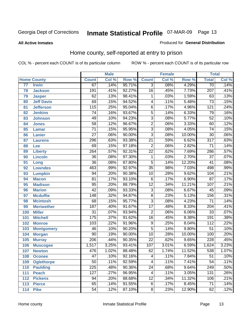### **All Active Inmates**

### Produced for **General Distribution**

# Home county, self-reported at entry to prison

|                 |                    |                  | <b>Male</b> |        |                 | <b>Female</b> |        | <b>Total</b>     |                            |
|-----------------|--------------------|------------------|-------------|--------|-----------------|---------------|--------|------------------|----------------------------|
|                 | <b>Home County</b> | <b>Count</b>     | Col %       | Row %  | <b>Count</b>    | Col %         | Row %  | <b>Total</b>     | $\overline{\text{Col }\%}$ |
| $\overline{77}$ | <b>Irwin</b>       | 67               | .14%        | 95.71% | $\overline{3}$  | .08%          | 4.29%  | $\overline{70}$  | .14%                       |
| 78              | <b>Jackson</b>     | 191              | .41%        | 92.27% | $\overline{16}$ | .45%          | 7.73%  | $\overline{207}$ | .41%                       |
| 79              | <b>Jasper</b>      | 62               | .13%        | 98.41% | 1               | .03%          | 1.59%  | 63               | .13%                       |
| 80              | <b>Jeff Davis</b>  | $\overline{69}$  | .15%        | 94.52% | 4               | .11%          | 5.48%  | $\overline{73}$  | .15%                       |
| 81              | <b>Jefferson</b>   | $\overline{115}$ | .25%        | 95.04% | $\overline{6}$  | .17%          | 4.96%  | $\overline{121}$ | .24%                       |
| 82              | <b>Jenkins</b>     | $\overline{74}$  | .16%        | 93.67% | $\overline{5}$  | .14%          | 6.33%  | $\overline{79}$  | .16%                       |
| 83              | <b>Johnson</b>     | 49               | .10%        | 94.23% | $\overline{3}$  | .08%          | 5.77%  | $\overline{52}$  | .10%                       |
| 84              | <b>Jones</b>       | $\overline{58}$  | .12%        | 96.67% | $\overline{2}$  | .06%          | 3.33%  | 60               | .12%                       |
| 85              | <b>Lamar</b>       | $\overline{71}$  | .15%        | 95.95% | $\overline{3}$  | .08%          | 4.05%  | $\overline{74}$  | .15%                       |
| 86              | <b>Lanier</b>      | $\overline{27}$  | .06%        | 90.00% | $\overline{3}$  | .08%          | 10.00% | $\overline{30}$  | .06%                       |
| 87              | <b>Laurens</b>     | 296              | .63%        | 93.38% | $\overline{21}$ | .59%          | 6.62%  | $\overline{317}$ | .63%                       |
| 88              | Lee                | $\overline{69}$  | .15%        | 97.18% | $\overline{2}$  | .06%          | 2.82%  | $\overline{71}$  | .14%                       |
| 89              | <b>Liberty</b>     | $\overline{264}$ | .57%        | 92.31% | $\overline{22}$ | .62%          | 7.69%  | 286              | .57%                       |
| 90              | <b>Lincoln</b>     | $\overline{36}$  | .08%        | 97.30% | $\mathbf{1}$    | .03%          | 2.70%  | $\overline{37}$  | .07%                       |
| 91              | Long               | $\overline{36}$  | .08%        | 87.80% | $\overline{5}$  | .14%          | 12.20% | $\overline{41}$  | .08%                       |
| 92              | <b>Lowndes</b>     | 463              | .99%        | 92.97% | $\overline{35}$ | .98%          | 7.03%  | 498              | .99%                       |
| 93              | <b>Lumpkin</b>     | $\overline{94}$  | .20%        | 90.38% | $\overline{10}$ | .28%          | 9.62%  | 104              | .21%                       |
| 94              | <b>Macon</b>       | $\overline{81}$  | .17%        | 93.10% | $\overline{6}$  | .17%          | 6.90%  | $\overline{87}$  | .17%                       |
| 95              | <b>Madison</b>     | $\overline{95}$  | .20%        | 88.79% | $\overline{12}$ | .34%          | 11.21% | 107              | .21%                       |
| 96              | <b>Marion</b>      | $\overline{42}$  | .09%        | 93.33% | $\overline{3}$  | .08%          | 6.67%  | 45               | .09%                       |
| 97              | <b>Mcduffie</b>    | $\overline{148}$ | .32%        | 94.87% | $\overline{8}$  | .23%          | 5.13%  | 156              | .31%                       |
| 98              | <b>Mcintosh</b>    | $\overline{68}$  | .15%        | 95.77% | $\overline{3}$  | .08%          | 4.23%  | $\overline{71}$  | .14%                       |
| 99              | <b>Meriwether</b>  | 187              | .40%        | 91.67% | $\overline{17}$ | .48%          | 8.33%  | $\overline{204}$ | .41%                       |
| 100             | <b>Miller</b>      | $\overline{31}$  | .07%        | 93.94% | $\overline{2}$  | .06%          | 6.06%  | $\overline{33}$  | .07%                       |
| 101             | <b>Mitchell</b>    | 175              | .37%        | 91.62% | $\overline{16}$ | .45%          | 8.38%  | 191              | .38%                       |
| 102             | <b>Monroe</b>      | $\overline{103}$ | .22%        | 91.96% | $\overline{9}$  | .25%          | 8.04%  | $\overline{112}$ | .22%                       |
| 103             | <b>Montgomery</b>  | $\overline{46}$  | .10%        | 90.20% | $\overline{5}$  | .14%          | 9.80%  | $\overline{51}$  | .10%                       |
| 104             | <b>Morgan</b>      | $\overline{90}$  | .19%        | 90.00% | $\overline{10}$ | .28%          | 10.00% | 100              | .20%                       |
| 105             | <b>Murray</b>      | $\overline{206}$ | .44%        | 90.35% | $\overline{22}$ | .62%          | 9.65%  | $\overline{228}$ | .45%                       |
| 106             | <b>Muscogee</b>    | 1,517            | 3.25%       | 93.41% | 107             | 3.01%         | 6.59%  | 1,624            | 3.23%                      |
| 107             | <b>Newton</b>      | 476              | 1.02%       | 88.48% | 62              | 1.74%         | 11.52% | 538              | 1.07%                      |
| 108             | <b>Oconee</b>      | 47               | .10%        | 92.16% | 4               | .11%          | 7.84%  | $5\overline{1}$  | .10%                       |
| 109             | <b>Oglethorpe</b>  | $\overline{50}$  | .11%        | 92.59% | 4               | .11%          | 7.41%  | $\overline{54}$  | .11%                       |
| 110             | <b>Paulding</b>    | $\overline{225}$ | .48%        | 90.36% | $\overline{24}$ | .68%          | 9.64%  | $\overline{249}$ | .50%                       |
| 111             | <b>Peach</b>       | 127              | .27%        | 96.95% | 4               | .11%          | 3.05%  | 131              | .26%                       |
| 112             | <b>Pickens</b>     | 94               | .20%        | 88.68% | $\overline{12}$ | .34%          | 11.32% | 106              | .21%                       |
| 113             | <b>Pierce</b>      | 65               | .14%        | 91.55% | $\overline{6}$  | .17%          | 8.45%  | $\overline{71}$  | .14%                       |
| 114             | <b>Pike</b>        | $\overline{54}$  | .12%        | 87.10% | $\overline{8}$  | .23%          | 12.90% | 62               | .12%                       |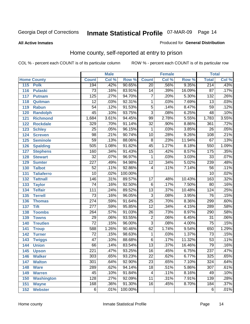### **All Active Inmates**

### Produced for **General Distribution**

# Home county, self-reported at entry to prison

|     |                    |                  | <b>Male</b>                |         |                 | <b>Female</b> |        | <b>Total</b>     |                            |
|-----|--------------------|------------------|----------------------------|---------|-----------------|---------------|--------|------------------|----------------------------|
|     | <b>Home County</b> | <b>Count</b>     | $\overline{\text{Col }\%}$ | Row %   | <b>Count</b>    | Col %         | Row %  | <b>Total</b>     | $\overline{\text{Col }^9}$ |
| 115 | <b>Polk</b>        | 194              | .42%                       | 90.65%  | $\overline{20}$ | .56%          | 9.35%  | 214              | .43%                       |
| 116 | <b>Pulaski</b>     | $\overline{73}$  | .16%                       | 83.91%  | $\overline{14}$ | .39%          | 16.09% | $\overline{87}$  | .17%                       |
| 117 | <b>Putnam</b>      | 125              | .27%                       | 94.70%  | 7               | .20%          | 5.30%  | $\overline{132}$ | .26%                       |
| 118 | Quitman            | $\overline{12}$  | .03%                       | 92.31%  | 1               | .03%          | 7.69%  | $\overline{13}$  | .03%                       |
| 119 | <b>Rabun</b>       | $\overline{54}$  | .12%                       | 91.53%  | $\overline{5}$  | .14%          | 8.47%  | 59               | .12%                       |
| 120 | <b>Randolph</b>    | $\overline{45}$  | .10%                       | 93.75%  | $\overline{3}$  | .08%          | 6.25%  | 48               | .10%                       |
| 121 | <b>Richmond</b>    | 1,684            | 3.61%                      | 94.45%  | 99              | 2.78%         | 5.55%  | 1,783            | 3.55%                      |
| 122 | <b>Rockdale</b>    | 329              | .70%                       | 91.14%  | $\overline{32}$ | .90%          | 8.86%  | 361              | .72%                       |
| 123 | <b>Schley</b>      | $\overline{25}$  | .05%                       | 96.15%  | $\mathbf{1}$    | .03%          | 3.85%  | $\overline{26}$  | .05%                       |
| 124 | <b>Screven</b>     | $\overline{98}$  | .21%                       | 90.74%  | $\overline{10}$ | .28%          | 9.26%  | 108              | .21%                       |
| 125 | <b>Seminole</b>    | $\overline{59}$  | .13%                       | 88.06%  | $\overline{8}$  | .23%          | 11.94% | 67               | .13%                       |
| 126 | <b>Spalding</b>    | 505              | 1.08%                      | 91.82%  | $\overline{45}$ | 1.27%         | 8.18%  | 550              | 1.09%                      |
| 127 | <b>Stephens</b>    | 160              | .34%                       | 91.43%  | $\overline{15}$ | .42%          | 8.57%  | 175              | .35%                       |
| 128 | <b>Stewart</b>     | $\overline{32}$  | .07%                       | 96.97%  | 1               | .03%          | 3.03%  | $\overline{33}$  | .07%                       |
| 129 | <b>Sumter</b>      | $\overline{227}$ | .49%                       | 94.98%  | $\overline{12}$ | .34%          | 5.02%  | 239              | .48%                       |
| 130 | <b>Talbot</b>      | $\overline{52}$  | .11%                       | 92.86%  | 4               | .11%          | 7.14%  | $\overline{56}$  | .11%                       |
| 131 | <b>Taliaferro</b>  | $\overline{10}$  | .02%                       | 100.00% |                 |               |        | $\overline{10}$  | .02%                       |
| 132 | <b>Tattnall</b>    | $\overline{146}$ | .31%                       | 89.57%  | $\overline{17}$ | .48%          | 10.43% | 163              | .32%                       |
| 133 | <b>Taylor</b>      | $\overline{74}$  | .16%                       | 92.50%  | $\overline{6}$  | .17%          | 7.50%  | 80               | .16%                       |
| 134 | <b>Telfair</b>     | $\overline{111}$ | .24%                       | 89.52%  | $\overline{13}$ | .37%          | 10.48% | 124              | .25%                       |
| 135 | <b>Terrell</b>     | $\overline{73}$  | .16%                       | 96.05%  | $\overline{3}$  | .08%          | 3.95%  | 76               | .15%                       |
| 136 | <b>Thomas</b>      | $\overline{274}$ | .59%                       | 91.64%  | $\overline{25}$ | .70%          | 8.36%  | 299              | .60%                       |
| 137 | <b>Tift</b>        | $\overline{277}$ | .59%                       | 95.85%  | $\overline{12}$ | .34%          | 4.15%  | 289              | .58%                       |
| 138 | <b>Toombs</b>      | $\overline{264}$ | .57%                       | 91.03%  | $\overline{26}$ | .73%          | 8.97%  | 290              | .58%                       |
| 139 | <b>Towns</b>       | $\overline{29}$  | .06%                       | 93.55%  | $\overline{2}$  | .06%          | 6.45%  | $\overline{31}$  | .06%                       |
| 140 | <b>Treutlen</b>    | $\overline{72}$  | .15%                       | 96.00%  | $\overline{3}$  | .08%          | 4.00%  | $\overline{75}$  | .15%                       |
| 141 | <b>Troup</b>       | 588              | 1.26%                      | 90.46%  | 62              | 1.74%         | 9.54%  | 650              | 1.29%                      |
| 142 | <b>Turner</b>      | $\overline{72}$  | .15%                       | 98.63%  | $\mathbf{1}$    | .03%          | 1.37%  | $\overline{73}$  | .15%                       |
| 143 | <b>Twiggs</b>      | $\overline{47}$  | .10%                       | 88.68%  | $\overline{6}$  | .17%          | 11.32% | $\overline{53}$  | .11%                       |
| 144 | <b>Union</b>       | 66               | .14%                       | 83.54%  | $\overline{13}$ | .37%          | 16.46% | $\overline{79}$  | .16%                       |
| 145 | <b>Upson</b>       | $\overline{221}$ | .47%                       | 93.25%  | $\overline{16}$ | .45%          | 6.75%  | $\overline{237}$ | .47%                       |
| 146 | <b>Walker</b>      | 303              | .65%                       | 93.23%  | 22              | .62%          | 6.77%  | 325              | .65%                       |
| 147 | <b>Walton</b>      | 301              | .64%                       | 92.90%  | $\overline{23}$ | .65%          | 7.10%  | 324              | .64%                       |
| 148 | <b>Ware</b>        | 289              | .62%                       | 94.14%  | $\overline{18}$ | .51%          | 5.86%  | $\overline{307}$ | .61%                       |
| 149 | <b>Warren</b>      | 45               | .10%                       | 91.84%  | 4               | .11%          | 8.16%  | 49               | .10%                       |
| 150 | <b>Washington</b>  | 128              | .27%                       | 92.09%  | $\overline{11}$ | .31%          | 7.91%  | 139              | .28%                       |
| 151 | <b>Wayne</b>       | 168              | .36%                       | 91.30%  | $\overline{16}$ | .45%          | 8.70%  | 184              | .37%                       |
| 152 | <b>Webster</b>     | $\overline{6}$   | .01%                       | 100.00% |                 |               |        | $\overline{6}$   | .01%                       |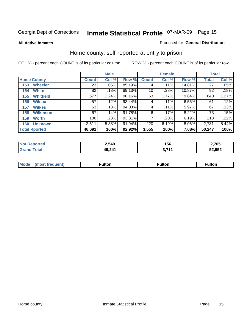**All Active Inmates**

### Produced for **General Distribution**

# Home county, self-reported at entry to prison

|                      |                  | <b>Male</b>     |       |           |              | <b>Female</b> | <b>Total</b> |              |       |
|----------------------|------------------|-----------------|-------|-----------|--------------|---------------|--------------|--------------|-------|
| <b>Home County</b>   |                  | <b>Count</b>    | Col % | Row %     | <b>Count</b> | Col %         | Row %        | <b>Total</b> | Col % |
| 153                  | <b>Wheeler</b>   | $\overline{23}$ | .05%  | 85.19%    | 4            | .11%          | 14.81%       | 27           | .05%  |
| 154                  | <b>White</b>     | 82              | .18%  | 89.13%    | 10           | .28%          | 10.87%       | 92           | .18%  |
| 155                  | <b>Whitfield</b> | 577             | 1.24% | $90.16\%$ | 63           | 1.77%         | 9.84%        | 640          | 1.27% |
| 156                  | <b>Wilcox</b>    | 57              | .12%  | 93.44%    | 4            | .11%          | 6.56%        | 61           | .12%  |
| 157                  | <b>Wilkes</b>    | 63              | .13%  | 94.03%    | 4            | .11%          | 5.97%        | 67           | .13%  |
| 158                  | <b>Wilkinson</b> | 67              | .14%  | 91.78%    | 6            | .17%          | 8.22%        | 73           | .15%  |
| 159                  | <b>Worth</b>     | 106             | .23%  | 93.81%    |              | .20%          | 6.19%        | 113          | .22%  |
| 160                  | <b>Unknown</b>   | 2,511           | 5.38% | 91.94%    | 220          | 6.19%         | 8.06%        | 2,731        | 5.44% |
| <b>Total Rported</b> |                  | 46,692          | 100%  | 92.92%    | 3,555        | 100%          | 7.08%        | 50,247       | 100%  |

| 'ted<br><b>NO</b> | 2,549  | 156        | 2,705  |
|-------------------|--------|------------|--------|
| `otal             | 49,241 | <b>744</b> | 52,952 |

| <b>Mo</b><br>$\cdots$ | . . | -- 14 -- --<br>uiton |  |
|-----------------------|-----|----------------------|--|
|                       |     |                      |  |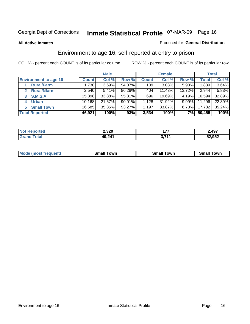### **All Active Inmates**

### Produced for **General Distribution**

# Environment to age 16, self-reported at entry to prison

|                              | <b>Male</b>  |        | <b>Female</b> |              |          | <b>Total</b> |              |        |
|------------------------------|--------------|--------|---------------|--------------|----------|--------------|--------------|--------|
| <b>Environment to age 16</b> | <b>Count</b> | Col %  | Row %         | <b>Count</b> | Col %    | Row %        | <b>Total</b> | Col %  |
| <b>Rural/Farm</b>            | 1,730        | 3.69%  | 94.07%        | 109          | $3.08\%$ | 5.93%        | 1,839        | 3.64%  |
| <b>Rural/Nfarm</b>           | 2,540        | 5.41%  | 86.28%        | 404          | 11.43%   | 13.72%       | 2,944        | 5.83%  |
| <b>S.M.S.A</b><br>3          | 15,898       | 33.88% | 95.81%        | 696          | 19.69%   | $4.19\%$     | 16,594       | 32.89% |
| <b>Urban</b><br>4            | 10,168       | 21.67% | 90.01%        | 1,128        | 31.92%   | $9.99\%$     | 11,296       | 22.39% |
| <b>Small Town</b><br>5       | 16,585       | 35.35% | 93.27%        | 1,197        | 33.87%   | $6.73\%$     | 17,782       | 35.24% |
| <b>Total Reported</b>        | 46,921       | 100%   | 93%           | 3,534        | 100%     | 7%           | 50,455       | 100%   |

| <b>Not Reported</b> | 2,320  | $47-$                         | 2,497  |
|---------------------|--------|-------------------------------|--------|
| <b>Total</b>        | 49,241 | <b>2744</b><br><u>J.I I I</u> | 52,952 |

| Mο<br>went | .owr | owr<br>Smal. | owr |
|------------|------|--------------|-----|
|            |      |              |     |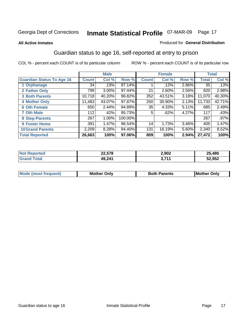### **All Active Inmates**

### Produced for **General Distribution**

# Guardian status to age 16, self-reported at entry to prison

|                                  | <b>Male</b>  |          | <b>Female</b> |              |          | <b>Total</b> |              |        |
|----------------------------------|--------------|----------|---------------|--------------|----------|--------------|--------------|--------|
| <b>Guardian Status To Age 16</b> | <b>Count</b> | Col %    | Row %         | <b>Count</b> | Col %    | Row %        | <b>Total</b> | Col %  |
| 1 Orphanage                      | 34           | .13%     | 97.14%        |              | .12%     | 2.86%        | 35           | .13%   |
| 2 Father Only                    | 799          | $3.00\%$ | 97.44%        | 21           | $2.60\%$ | 2.56%        | 820          | 2.98%  |
| <b>3 Both Parents</b>            | 10,718       | 40.20%   | 96.82%        | 352          | 43.51%   | 3.18%        | 11,070       | 40.30% |
| <b>4 Mother Only</b>             | 11,483       | 43.07%   | 97.87%        | 250          | 30.90%   | 2.13%        | 11,733       | 42.71% |
| <b>6 Oth Female</b>              | 650          | 2.44%    | 94.89%        | 35           | 4.33%    | 5.11%        | 685          | 2.49%  |
| <b>7 Oth Male</b>                | 112          | .42%     | 95.73%        | 5            | .62%     | 4.27%        | 117          | .43%   |
| 8 Step-Parents                   | 267          | 1.00%    | 100.00%       |              |          |              | 267          | .97%   |
| 9 Foster Home                    | 391          | 1.47%    | 96.54%        | 14           | 1.73%    | $3.46\%$     | 405          | 1.47%  |
| <b>10 Grand Parents</b>          | 2,209        | 8.28%    | 94.40%        | 131          | 16.19%   | 5.60%        | 2,340        | 8.52%  |
| <b>Total Reported</b>            | 26,663       | 100%     | 97.06%        | 809          | 100%     | 2.94%        | 27,472       | 100%   |

| NG   | ---<br>22,310 | 2,902    | ,480<br>OE. |
|------|---------------|----------|-------------|
| . Gr | 49,241        | 74.<br>. | 52,952      |

| Mode | Onlv<br>Mot | <b>Roth</b><br>Parents | <b>IMot</b><br>Onlv<br>∵hei |
|------|-------------|------------------------|-----------------------------|
|      |             |                        |                             |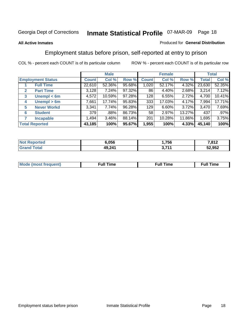### **All Active Inmates**

### Produced for **General Distribution**

# Employment status before prison, self-reported at entry to prison

|                                  | <b>Male</b>  |        |        | <b>Female</b> |        |        | <b>Total</b> |         |
|----------------------------------|--------------|--------|--------|---------------|--------|--------|--------------|---------|
| <b>Employment Status</b>         | <b>Count</b> | Col %  | Row %  | <b>Count</b>  | Col %  | Row %  | Total        | Col %   |
| <b>Full Time</b>                 | 22,610       | 52.36% | 95.68% | 1,020         | 52.17% | 4.32%  | 23,630       | 52.35%  |
| <b>Part Time</b><br>$\mathbf{2}$ | 3,128        | 7.24%  | 97.32% | 86            | 4.40%  | 2.68%  | 3,214        | 7.12%   |
| Unempl $<$ 6m<br>3               | 4,572        | 10.59% | 97.28% | 128           | 6.55%  | 2.72%  | 4,700        | 10.41%  |
| Unempl > 6m<br>4                 | 7,661        | 17.74% | 95.83% | 333           | 17.03% | 4.17%  | 7,994        | 17.71%  |
| <b>Never Workd</b><br>5          | 3,341        | 7.74%  | 96.28% | 129           | 6.60%  | 3.72%  | 3,470        | 7.69%   |
| <b>Student</b><br>6              | 379          | .88%   | 86.73% | 58            | 2.97%  | 13.27% | 437          | $.97\%$ |
| <b>Incapable</b><br>7            | 1,494        | 3.46%  | 88.14% | 201           | 10.28% | 11.86% | 1,695        | 3.75%   |
| <b>Total Reported</b>            | 43,185       | 100%   | 95.67% | 1,955         | 100%   | 4.33%  | 45,140       | 100%    |

| n e o | <b>.056</b>       | ,756         | 7040<br>,o ı ∠ |
|-------|-------------------|--------------|----------------|
|       | 49 241<br>7J.LT I | <b>2.744</b> | 52,952         |

| <b>M</b> ດ | the contract of the contract of the contract of the contract of the contract of the contract of the contract of | the contract of the contract of the contract of the contract of the contract of the contract of the contract of | ----<br><b>Full Time</b> |
|------------|-----------------------------------------------------------------------------------------------------------------|-----------------------------------------------------------------------------------------------------------------|--------------------------|
|            |                                                                                                                 |                                                                                                                 |                          |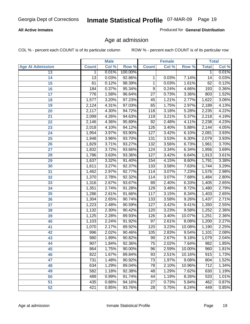### **All Active Inmates**

Produced for **General Distribution**

# Age at admission

|                         |              | <b>Male</b> |         |                 | <b>Female</b> |        |              | <b>Total</b> |
|-------------------------|--------------|-------------|---------|-----------------|---------------|--------|--------------|--------------|
| <b>Age At Admission</b> | <b>Count</b> | Col %       | Row %   | <b>Count</b>    | Col %         | Row %  | <b>Total</b> | Col %        |
| 13                      | 1            | 0.01%       | 100.00% |                 |               |        | 1            | 0.01%        |
| 14                      | 13           | 0.03%       | 92.86%  | 1               | 0.03%         | 7.14%  | 14           | 0.03%        |
| $\overline{15}$         | 61           | 0.12%       | 98.39%  | 1               | 0.03%         | 1.61%  | 62           | 0.12%        |
| 16                      | 184          | 0.37%       | 95.34%  | 9               | 0.24%         | 4.66%  | 193          | 0.36%        |
| $\overline{17}$         | 776          | 1.58%       | 96.64%  | $\overline{27}$ | 0.73%         | 3.36%  | 803          | 1.52%        |
| 18                      | 1,577        | 3.20%       | 97.23%  | 45              | 1.21%         | 2.77%  | 1,622        | 3.06%        |
| 19                      | 2,124        | 4.31%       | 97.03%  | 65              | 1.75%         | 2.97%  | 2,189        | 4.13%        |
| 20                      | 2,117        | 4.30%       | 94.72%  | 118             | 3.18%         | 5.28%  | 2,235        | 4.22%        |
| 21                      | 2,099        | 4.26%       | 94.63%  | 119             | 3.21%         | 5.37%  | 2,218        | 4.19%        |
| 22                      | 2,146        | 4.36%       | 95.89%  | $\overline{92}$ | 2.48%         | 4.11%  | 2,238        | 4.23%        |
| 23                      | 2,018        | 4.10%       | 94.12%  | 126             | 3.40%         | 5.88%  | 2,144        | 4.05%        |
| 24                      | 1,954        | 3.97%       | 93.90%  | 127             | 3.42%         | 6.10%  | 2,081        | 3.93%        |
| $\overline{25}$         | 1,948        | 3.96%       | 93.70%  | 131             | 3.53%         | 6.30%  | 2,079        | 3.93%        |
| 26                      | 1,829        | 3.71%       | 93.27%  | 132             | 3.56%         | 6.73%  | 1,961        | 3.70%        |
| 27                      | 1,832        | 3.72%       | 93.66%  | 124             | 3.34%         | 6.34%  | 1,956        | 3.69%        |
| 28                      | 1,786        | 3.63%       | 93.36%  | 127             | 3.42%         | 6.64%  | 1,913        | 3.61%        |
| 29                      | 1,637        | 3.32%       | 91.40%  | 154             | 4.15%         | 8.60%  | 1,791        | 3.38%        |
| 30                      | 1,611        | 3.27%       | 92.37%  | 133             | 3.58%         | 7.63%  | 1,744        | 3.29%        |
| 31                      | 1,462        | 2.97%       | 92.77%  | 114             | 3.07%         | 7.23%  | 1,576        | 2.98%        |
| 32                      | 1,370        | 2.78%       | 92.32%  | 114             | 3.07%         | 7.68%  | 1,484        | 2.80%        |
| 33                      | 1,316        | 2.67%       | 93.67%  | 89              | 2.40%         | 6.33%  | 1,405        | 2.65%        |
| 34                      | 1,351        | 2.74%       | 91.28%  | 129             | 3.48%         | 8.72%  | 1,480        | 2.79%        |
| 35                      | 1,286        | 2.61%       | 91.66%  | 117             | 3.15%         | 8.34%  | 1,403        | 2.65%        |
| 36                      | 1,304        | 2.65%       | 90.74%  | 133             | 3.58%         | 9.26%  | 1,437        | 2.71%        |
| 37                      | 1,223        | 2.48%       | 90.59%  | 127             | 3.42%         | 9.41%  | 1,350        | 2.55%        |
| 38                      | 1,132        | 2.30%       | 90.42%  | 120             | 3.23%         | 9.58%  | 1,252        | 2.36%        |
| 39                      | 1,125        | 2.28%       | 89.93%  | 126             | 3.40%         | 10.07% | 1,251        | 2.36%        |
| 40                      | 1,103        | 2.24%       | 91.92%  | 97              | 2.61%         | 8.08%  | 1,200        | 2.27%        |
| 41                      | 1,070        | 2.17%       | 89.92%  | 120             | 3.23%         | 10.08% | 1,190        | 2.25%        |
| 42                      | 996          | 2.02%       | 90.46%  | 105             | 2.83%         | 9.54%  | 1,101        | 2.08%        |
| 43                      | 980          | 1.99%       | 90.82%  | 99              | 2.67%         | 9.18%  | 1,079        | 2.04%        |
| 44                      | 907          | 1.84%       | 92.36%  | 75              | 2.02%         | 7.64%  | 982          | 1.85%        |
| 45                      | 864          | 1.75%       | 90.00%  | 96              | 2.59%         | 10.00% | 960          | 1.81%        |
| 46                      | 822          | 1.67%       | 89.84%  | 93              | 2.51%         | 10.16% | 915          | 1.73%        |
| 47                      | 731          | 1.48%       | 90.92%  | $\overline{73}$ | 1.97%         | 9.08%  | 804          | 1.52%        |
| 48                      | 634          | 1.29%       | 89.04%  | 78              | 2.10%         | 10.96% | 712          | 1.34%        |
| 49                      | 582          | 1.18%       | 92.38%  | 48              | 1.29%         | 7.62%  | 630          | 1.19%        |
| 50                      | 489          | 0.99%       | 91.74%  | 44              | 1.19%         | 8.26%  | 533          | 1.01%        |
| 51                      | 435          | 0.88%       | 94.16%  | $\overline{27}$ | 0.73%         | 5.84%  | 462          | 0.87%        |
| 52                      | 421          | 0.85%       | 93.76%  | 28              | 0.75%         | 6.24%  | 449          | 0.85%        |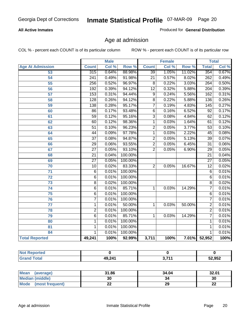### **All Active Inmates**

Produced for **General Distribution**

# Age at admission

|                         | <b>Male</b>      |       | <b>Female</b> |                 |       | <b>Total</b> |                  |       |
|-------------------------|------------------|-------|---------------|-----------------|-------|--------------|------------------|-------|
| <b>Age At Admission</b> | <b>Count</b>     | Col % | Row %         | <b>Count</b>    | Col % | Row %        | <b>Total</b>     | Col % |
| 53                      | 315              | 0.64% | 88.98%        | $\overline{39}$ | 1.05% | 11.02%       | 354              | 0.67% |
| 54                      | $\overline{241}$ | 0.49% | 91.98%        | $\overline{21}$ | 0.57% | 8.02%        | 262              | 0.49% |
| $\overline{55}$         | 256              | 0.52% | 96.97%        | $\overline{8}$  | 0.22% | 3.03%        | 264              | 0.50% |
| $\overline{56}$         | 192              | 0.39% | 94.12%        | $\overline{12}$ | 0.32% | 5.88%        | $\overline{204}$ | 0.39% |
| $\overline{57}$         | 153              | 0.31% | 94.44%        | $\overline{9}$  | 0.24% | 5.56%        | 162              | 0.31% |
| 58                      | $\overline{128}$ | 0.26% | 94.12%        | $\overline{8}$  | 0.22% | 5.88%        | 136              | 0.26% |
| 59                      | 138              | 0.28% | 95.17%        | 7               | 0.19% | 4.83%        | 145              | 0.27% |
| 60                      | $\overline{86}$  | 0.17% | 93.48%        | $\overline{6}$  | 0.16% | 6.52%        | $\overline{92}$  | 0.17% |
| 61                      | $\overline{59}$  | 0.12% | 95.16%        | $\overline{3}$  | 0.08% | 4.84%        | 62               | 0.12% |
| 62                      | 60               | 0.12% | 98.36%        | $\overline{1}$  | 0.03% | 1.64%        | 61               | 0.12% |
| 63                      | $\overline{51}$  | 0.10% | 96.23%        | $\overline{2}$  | 0.05% | 3.77%        | $\overline{53}$  | 0.10% |
| 64                      | $\overline{44}$  | 0.09% | 97.78%        | $\overline{1}$  | 0.03% | 2.22%        | $\overline{45}$  | 0.08% |
| 65                      | $\overline{37}$  | 0.08% | 94.87%        | $\overline{2}$  | 0.05% | 5.13%        | $\overline{39}$  | 0.07% |
| 66                      | $\overline{29}$  | 0.06% | 93.55%        | $\overline{2}$  | 0.05% | 6.45%        | $\overline{31}$  | 0.06% |
| 67                      | $\overline{27}$  | 0.05% | 93.10%        | $\overline{2}$  | 0.05% | 6.90%        | $\overline{29}$  | 0.05% |
| 68                      | $\overline{21}$  | 0.04% | 100.00%       |                 |       |              | $\overline{21}$  | 0.04% |
| 69                      | $\overline{27}$  | 0.05% | 100.00%       |                 |       |              | $\overline{27}$  | 0.05% |
| 70                      | $\overline{10}$  | 0.02% | 83.33%        | $\overline{2}$  | 0.05% | 16.67%       | $\overline{12}$  | 0.02% |
| 71                      | $\overline{6}$   | 0.01% | 100.00%       |                 |       |              | 6                | 0.01% |
| $\overline{72}$         | $\overline{6}$   | 0.01% | 100.00%       |                 |       |              | $\overline{6}$   | 0.01% |
| $\overline{73}$         | $\overline{8}$   | 0.02% | 100.00%       |                 |       |              | $\overline{8}$   | 0.02% |
| $\overline{74}$         | $\overline{6}$   | 0.01% | 85.71%        | 1               | 0.03% | 14.29%       | 7                | 0.01% |
| $\overline{75}$         | $\overline{6}$   | 0.01% | 100.00%       |                 |       |              | 6                | 0.01% |
| 76                      | $\overline{7}$   | 0.01% | 100.00%       |                 |       |              | 7                | 0.01% |
| 77                      | $\mathbf{1}$     | 0.01% | 50.00%        | 1               | 0.03% | 50.00%       | $\overline{2}$   | 0.01% |
| 78                      | $\overline{2}$   | 0.01% | 100.00%       |                 |       |              | $\overline{2}$   | 0.01% |
| 79                      | $\overline{6}$   | 0.01% | 85.71%        | $\overline{1}$  | 0.03% | 14.29%       | $\overline{7}$   | 0.01% |
| 80                      | $\overline{1}$   | 0.01% | 100.00%       |                 |       |              | 1                | 0.01% |
| $\overline{81}$         | $\mathbf{1}$     | 0.01% | 100.00%       |                 |       |              | 1                | 0.01% |
| 84                      | 1                | 0.01% | 100.00%       |                 |       |              | 1                | 0.01% |
| <b>Total Reported</b>   | 49,241           | 100%  | 92.99%        | 3,711           | 100%  | 7.01%        | 52,952           | 100%  |

| <b>Not Reported</b> |        |              |        |
|---------------------|--------|--------------|--------|
| <b>Grand Total</b>  | 49,241 | <b>2 744</b> | 52,952 |

| Mean<br>(average)              | 31.86 | 34.04 | 32.01    |
|--------------------------------|-------|-------|----------|
| <b>Median (middle)</b>         | 30    | 34    | 30       |
| <b>Mode</b><br>(most frequent) | ∸∸    | 29    | n.<br>LL |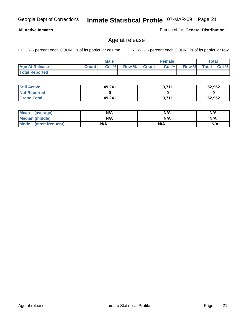### **All Active Inmates**

Produced for **General Distribution**

# Age at release

|                       |              | <b>Male</b> |       |              | <b>Female</b> |       |              | <b>Total</b> |
|-----------------------|--------------|-------------|-------|--------------|---------------|-------|--------------|--------------|
| <b>Age At Release</b> | <b>Count</b> | Col %       | Row % | <b>Count</b> | Col %         | Row % | <b>Total</b> | Col %        |
| <b>Total Reported</b> |              |             |       |              |               |       |              |              |

| <b>Still Active</b> | 49,241 | 2711<br>. J. / II | 52,952 |
|---------------------|--------|-------------------|--------|
| <b>Not Reported</b> |        |                   |        |
| <b>Grand Total</b>  | 49,241 | 3,711             | 52,952 |

| Mean (average)       | N/A | N/A | N/A |
|----------------------|-----|-----|-----|
| Median (middle)      | N/A | N/A | N/A |
| Mode (most frequent) | N/A | N/A | N/A |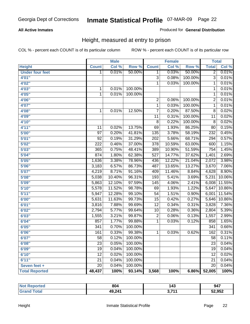### **All Active Inmates**

Produced for **General Distribution**

# Height, measured at entry to prison

|                        |                  | <b>Male</b> |         |                         | <b>Female</b> |         | <b>Total</b>    |        |
|------------------------|------------------|-------------|---------|-------------------------|---------------|---------|-----------------|--------|
| <b>Height</b>          | <b>Count</b>     | Col %       | Row %   | <b>Count</b>            | Col %         | Row %   | <b>Total</b>    | Col %  |
| <b>Under four feet</b> | 1                | 0.01%       | 50.00%  | 1                       | 0.03%         | 50.00%  | $\overline{2}$  | 0.01%  |
| 4'01"                  |                  |             |         | $\overline{3}$          | 0.08%         | 100.00% | $\overline{3}$  | 0.01%  |
| 4'02''                 |                  |             |         | 1                       | 0.03%         | 100.00% | 1               | 0.01%  |
| 4'03"                  | 1                | 0.01%       | 100.00% |                         |               |         | 1               | 0.01%  |
| 4'05"                  | $\mathbf 1$      | 0.01%       | 100.00% |                         |               |         | $\mathbf{1}$    | 0.01%  |
| 4'06"                  |                  |             |         | $\overline{\mathbf{c}}$ | 0.06%         | 100.00% | $\overline{2}$  | 0.01%  |
| 4'07''                 |                  |             |         | $\overline{1}$          | 0.03%         | 100.00% | $\mathbf{1}$    | 0.01%  |
| 4'08"                  | 1                | 0.01%       | 12.50%  | $\overline{7}$          | 0.20%         | 87.50%  | $\overline{8}$  | 0.02%  |
| 4'09"                  |                  |             |         | 11                      | 0.31%         | 100.00% | $\overline{11}$ | 0.02%  |
| 4'10"                  |                  |             |         | $\overline{8}$          | 0.22%         | 100.00% | 8               | 0.02%  |
| 4'11''                 | 11               | 0.02%       | 13.75%  | 69                      | 1.93%         | 86.25%  | 80              | 0.15%  |
| 5'00''                 | $\overline{97}$  | 0.20%       | 41.81%  | 135                     | 3.78%         | 58.19%  | 232             | 0.45%  |
| 5'01''                 | $\overline{92}$  | 0.19%       | 31.29%  | 202                     | 5.66%         | 68.71%  | 294             | 0.57%  |
| 5'02''                 | 222              | 0.46%       | 37.00%  | 378                     | 10.59%        | 63.00%  | 600             | 1.15%  |
| 5'03''                 | 365              | 0.75%       | 48.41%  | 389                     | 10.90%        | 51.59%  | 754             | 1.45%  |
| 5'04''                 | 874              | 1.80%       | 62.38%  | $\overline{527}$        | 14.77%        | 37.62%  | 1,401           | 2.69%  |
| 5'05''                 | 1,636            | 3.38%       | 78.96%  | 436                     | 12.22%        | 21.04%  | 2,072           | 3.98%  |
| 5'06''                 | 3,183            | 6.57%       | 86.73%  | 487                     | 13.65%        | 13.27%  | 3,670           | 7.06%  |
| 5'07''                 | 4,219            | 8.71%       | 91.16%  | 409                     | 11.46%        | 8.84%   | 4,628           | 8.90%  |
| 5'08''                 | 5,038            | 10.40%      | 96.31%  | 193                     | 5.41%         | 3.69%   | 5,231           | 10.06% |
| 5'09''                 | 5,863            | 12.10%      | 97.59%  | $\overline{145}$        | 4.06%         | 2.41%   | 6,008           | 11.55% |
| 5'10''                 | 5,578            | 11.52%      | 98.78%  | 69                      | 1.93%         | 1.22%   | 5,647           | 10.86% |
| 5'11''                 | 5,947            | 12.28%      | 99.10%  | $\overline{54}$         | 1.51%         | 0.90%   | 6,001           | 11.54% |
| 6'00''                 | 5,631            | 11.63%      | 99.73%  | 15                      | 0.42%         | 0.27%   | 5,646           | 10.86% |
| 6'01''                 | 3,816            | 7.88%       | 99.69%  | $\overline{12}$         | 0.34%         | 0.31%   | 3,828           | 7.36%  |
| 6'02''                 | 2,794            | 5.77%       | 99.64%  | 10                      | 0.28%         | 0.36%   | 2,804           | 5.39%  |
| 6'03''                 | 1,555            | 3.21%       | 99.87%  | $\overline{2}$          | 0.06%         | 0.13%   | 1,557           | 2.99%  |
| 6'04''                 | 857              | 1.77%       | 99.88%  | 1                       | 0.03%         | 0.12%   | 858             | 1.65%  |
| 6'05''                 | $\overline{341}$ | 0.70%       | 100.00% |                         |               |         | 341             | 0.66%  |
| 6'06''                 | 161              | 0.33%       | 99.38%  | 1                       | 0.03%         | 0.62%   | 162             | 0.31%  |
| 6'07''                 | $\overline{58}$  | 0.12%       | 100.00% |                         |               |         | $\overline{58}$ | 0.11%  |
| 6'08"                  | 23               | 0.05%       | 100.00% |                         |               |         | 23              | 0.04%  |
| 6'09''                 | $\overline{19}$  | 0.04%       | 100.00% |                         |               |         | $\overline{19}$ | 0.04%  |
| 6'10''                 | $\overline{12}$  | 0.02%       | 100.00% |                         |               |         | $\overline{12}$ | 0.02%  |
| 6'11''                 | $\overline{21}$  | 0.04%       | 100.00% |                         |               |         | $\overline{21}$ | 0.04%  |
| Seven feet +           | 20               | 0.04%       | 100.00% |                         |               |         | 20              | 0.04%  |
| <b>Total Reported</b>  | 48,437           | 100%        | 93.14%  | 3,568                   | 100%          | 6.86%   | 52,005          | 100%   |

| oorted<br><b>Not</b> | 804    | 143  | 947    |
|----------------------|--------|------|--------|
| <b>otal</b><br>Gr<   | 49,241 | 2744 | 52,952 |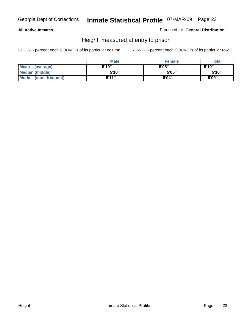### **All Active Inmates**

Produced for **General Distribution**

# Height, measured at entry to prison

|                        | <b>Male</b> | <b>Female</b> | <b>Total</b> |
|------------------------|-------------|---------------|--------------|
| Mean (average)         | 5'10"       | 5'05"         | 5'10''       |
| <b>Median (middle)</b> | 5'10''      | 5'05"         | 5'10"        |
| Mode (most frequent)   | 5'11"       | 5'04"         | 5'09"        |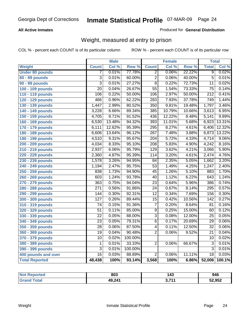### **All Active Inmates**

### Produced for **General Distribution**

# Weight, measured at entry to prison

|                        |                  | <b>Male</b> |         |                  | <b>Female</b> |        | <b>Total</b>     |        |
|------------------------|------------------|-------------|---------|------------------|---------------|--------|------------------|--------|
| <b>Weight</b>          | <b>Count</b>     | Col %       | Row %   | <b>Count</b>     | Col %         | Row %  | <b>Total</b>     | Col %  |
| <b>Under 80 pounds</b> | 7                | 0.01%       | 77.78%  | $\overline{2}$   | 0.06%         | 22.22% | $\overline{9}$   | 0.02%  |
| 80 - 89 pounds         | $\overline{3}$   | 0.01%       | 60.00%  | $\overline{2}$   | 0.06%         | 40.00% | $\overline{5}$   | 0.01%  |
| 90 - 99 pounds         | $\overline{3}$   | 0.01%       | 27.27%  | $\overline{8}$   | 0.22%         | 72.73% | $\overline{11}$  | 0.02%  |
| 100 - 109 pounds       | $\overline{20}$  | 0.04%       | 26.67%  | $\overline{55}$  | 1.54%         | 73.33% | $\overline{75}$  | 0.14%  |
| 110 - 119 pounds       | 106              | 0.22%       | 50.00%  | 106              | 2.97%         | 50.00% | $\overline{212}$ | 0.41%  |
| 120 - 129 pounds       | 466              | 0.96%       | 62.22%  | 283              | 7.93%         | 37.78% | 749              | 1.44%  |
| 130 - 139 pounds       | 1,447            | 2.99%       | 80.52%  | $\overline{350}$ | 9.81%         | 19.48% | 1,797            | 3.46%  |
| 140 - 149 pounds       | 3,228            | 6.66%       | 89.34%  | 385              | 10.79%        | 10.66% | 3,613            | 6.95%  |
| 150 - 159 pounds       | 4,705            | 9.71%       | 91.52%  | 436              | 12.22%        | 8.48%  | 5,141            | 9.89%  |
| 160 - 169 pounds       | 6,530            | 13.48%      | 94.32%  | 393              | 11.01%        | 5.68%  | 6,923            | 13.31% |
| 170 - 179 pounds       | 6,111            | 12.62%      | 95.39%  | 295              | 8.27%         | 4.61%  | 6,406            | 12.32% |
| 180 - 189 pounds       | 6,606            | 13.64%      | 96.12%  | $\overline{267}$ | 7.48%         | 3.88%  | 6,873            | 13.22% |
| 190 - 199 pounds       | 4,510            | 9.31%       | 95.67%  | $\overline{204}$ | 5.72%         | 4.33%  | 4,714            | 9.06%  |
| 200 - 209 pounds       | 4,034            | 8.33%       | 95.10%  | $\frac{208}{ }$  | 5.83%         | 4.90%  | 4,242            | 8.16%  |
| 210 - 219 pounds       | 2,937            | 6.06%       | 95.79%  | 129              | 3.62%         | 4.21%  | 3,066            | 5.90%  |
| 220 - 229 pounds       | 2,360            | 4.87%       | 95.39%  | 114              | 3.20%         | 4.61%  | 2,474            | 4.76%  |
| 230 - 239 pounds       | 1,578            | 3.26%       | 94.95%  | $\overline{84}$  | 2.35%         | 5.05%  | 1,662            | 3.20%  |
| 240 - 249 pounds       | 1,194            | 2.47%       | 95.75%  | $\overline{53}$  | 1.49%         | 4.25%  | 1,247            | 2.40%  |
| 250 - 259 pounds       | 838              | 1.73%       | 94.90%  | $\overline{45}$  | 1.26%         | 5.10%  | 883              | 1.70%  |
| 260 - 269 pounds       | 603              | 1.24%       | 93.78%  | 40               | 1.12%         | 6.22%  | 643              | 1.24%  |
| 270 - 279 pounds       | 363              | 0.75%       | 94.04%  | $\overline{23}$  | 0.64%         | 5.96%  | 386              | 0.74%  |
| 280 - 289 pounds       | $\overline{271}$ | 0.56%       | 91.86%  | $\overline{24}$  | 0.67%         | 8.14%  | 295              | 0.57%  |
| 290 - 299 pounds       | 144              | 0.30%       | 92.31%  | $\overline{12}$  | 0.34%         | 7.69%  | 156              | 0.30%  |
| 300 - 309 pounds       | $\overline{127}$ | 0.26%       | 89.44%  | $\overline{15}$  | 0.42%         | 10.56% | 142              | 0.27%  |
| 310 - 319 pounds       | 74               | 0.15%       | 91.36%  | 7                | 0.20%         | 8.64%  | 81               | 0.16%  |
| 320 - 329 pounds       | $\overline{51}$  | 0.11%       | 85.00%  | $\overline{9}$   | 0.25%         | 15.00% | 60               | 0.12%  |
| 330 - 339 pounds       | $\overline{22}$  | 0.05%       | 88.00%  | $\overline{3}$   | 0.08%         | 12.00% | $\overline{25}$  | 0.05%  |
| 340 - 349 pounds       | 23               | 0.05%       | 79.31%  | $\overline{6}$   | 0.17%         | 20.69% | 29               | 0.06%  |
| 350 - 359 pounds       | 28               | 0.06%       | 87.50%  | 4                | 0.11%         | 12.50% | $\overline{32}$  | 0.06%  |
| 360 - 369 pounds       | $\overline{19}$  | 0.04%       | 90.48%  | $\overline{2}$   | 0.06%         | 9.52%  | $\overline{21}$  | 0.04%  |
| 370 - 379 pounds       | $\overline{10}$  | 0.02%       | 100.00% |                  |               |        | $\overline{10}$  | 0.02%  |
| 380 - 389 pounds       | $\mathbf 1$      | 0.01%       | 33.33%  | $\overline{2}$   | 0.06%         | 66.67% | $\overline{3}$   | 0.01%  |
| 390 - 399 pounds       | $\overline{3}$   | 0.01%       | 100.00% |                  |               |        | $\overline{3}$   | 0.01%  |
| 400 pounds and over    | $\overline{16}$  | 0.03%       | 88.89%  | $\overline{2}$   | 0.06%         | 11.11% | $\overline{18}$  | 0.03%  |
| <b>Total Reported</b>  | 48,438           | 100%        | 93.14%  | 3,568            | 100%          | 6.86%  | 52,006           | 100.1% |

| Reported<br>' N∩t | 803    | 143 | 946    |
|-------------------|--------|-----|--------|
| 'ota.             | 49,241 | 744 | 52,952 |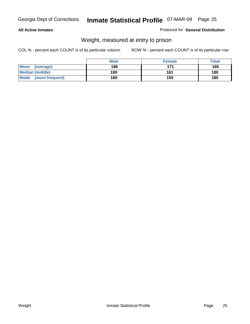### **All Active Inmates**

### Produced for **General Distribution**

# Weight, measured at entry to prison

|                                | <b>Male</b> | <b>Female</b> | Total |
|--------------------------------|-------------|---------------|-------|
| Mean<br>(average)              | 186         | 171           | 185   |
| <b>Median (middle)</b>         | 180         | 161           | 180   |
| <b>Mode</b><br>(most frequent) | 180         | 150           | 180   |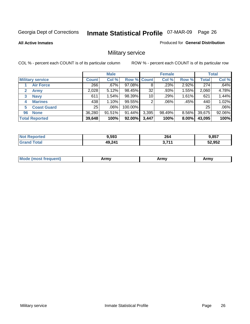**All Active Inmates**

### Produced for **General Distribution**

# Military service

|                         |              | <b>Male</b> |             |       | <b>Female</b> |          |              | <b>Total</b> |
|-------------------------|--------------|-------------|-------------|-------|---------------|----------|--------------|--------------|
| <b>Military service</b> | <b>Count</b> | Col %       | Row % Count |       | Col %         | Row %    | <b>Total</b> | Col %        |
| <b>Air Force</b>        | 266          | .67%        | 97.08%      | 8     | .23%          | 2.92%    | 274          | .64%         |
| <b>Army</b>             | 2,028        | 5.12%       | 98.45%      | 32    | .93%          | 1.55%    | 2,060        | 4.78%        |
| <b>Navy</b><br>3        | 611          | 1.54%       | 98.39%      | 10    | .29%          | 1.61%    | 621          | 1.44%        |
| <b>Marines</b><br>4     | 438          | 1.10%       | 99.55%      | ົ     | $.06\%$       | .45%     | 440          | 1.02%        |
| <b>Coast Guard</b><br>5 | 25           | $.06\%$     | 100.00%     |       |               |          | 25           | .06%         |
| <b>None</b><br>96       | 36,280       | 91.51%      | 91.44%      | 3,395 | 98.49%        | $8.56\%$ | 39,675       | 92.06%       |
| <b>Total Reported</b>   | 39,648       | 100%        | 92.00%      | 3,447 | 100%          | $8.00\%$ | 43,095       | 100%         |

| orted<br>NO.          | 9,593  | 264   | 9,857  |
|-----------------------|--------|-------|--------|
| `otal<br><b>Grand</b> | 49,241 | , 744 | 52,952 |

|  | <b>Mou</b> | Army | Army | Army |
|--|------------|------|------|------|
|--|------------|------|------|------|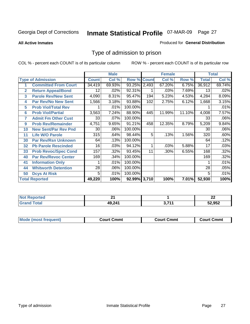### **All Active Inmates**

### Produced for **General Distribution**

# Type of admission to prison

|                |                             |              | <b>Male</b> |                    |     | <b>Female</b> |        |              | <b>Total</b> |
|----------------|-----------------------------|--------------|-------------|--------------------|-----|---------------|--------|--------------|--------------|
|                | <b>Type of Admission</b>    | <b>Count</b> | Col %       | <b>Row % Count</b> |     | Col %         | Row %  | <b>Total</b> | Col %        |
|                | <b>Committed From Court</b> | 34,419       | 69.93%      | 93.25% 2,493       |     | 67.20%        | 6.75%  | 36,912       | 69.74%       |
| $\overline{2}$ | <b>Return Appeal/Bond</b>   | 12           | .02%        | 92.31%             |     | .03%          | 7.69%  | 13           | .02%         |
| 3              | <b>Parole Rev/New Sent</b>  | 4,090        | 8.31%       | 95.47%             | 194 | 5.23%         | 4.53%  | 4,284        | 8.09%        |
| 4              | <b>Par Rev/No New Sent</b>  | 1,566        | 3.18%       | 93.88%             | 102 | 2.75%         | 6.12%  | 1,668        | 3.15%        |
| 5              | <b>Prob Viol/Total Rev</b>  |              | .01%        | 100.00%            |     |               |        |              | .01%         |
| 6              | <b>Prob Viol/Partial</b>    | 3,563        | 7.24%       | 88.90%             | 445 | 11.99%        | 11.10% | 4,008        | 7.57%        |
| 7              | <b>Admit Fm Other Cust</b>  | 33           | .07%        | 100.00%            |     |               |        | 33           | .06%         |
| 9              | <b>Prob Rev/Remainder</b>   | 4,751        | 9.65%       | 91.21%             | 458 | 12.35%        | 8.79%  | 5,209        | 9.84%        |
| 10             | <b>New Sent/Par Rev Pnd</b> | 30           | .06%        | 100.00%            |     |               |        | 30           | $.06\%$      |
| 11             | <b>Life W/O Parole</b>      | 315          | .64%        | 98.44%             | 5   | .13%          | 1.56%  | 320          | .60%         |
| 30             | <b>Par Rev/Rsn Unknown</b>  | 64           | .13%        | 100.00%            |     |               |        | 64           | .12%         |
| 32             | <b>Pb Parole Rescinded</b>  | 16           | .03%        | 94.12%             | 1   | .03%          | 5.88%  | 17           | .03%         |
| 33             | <b>Prob Revoc/Spec Cond</b> | 157          | .32%        | 93.45%             | 11  | .30%          | 6.55%  | 168          | .32%         |
| 40             | <b>Par Rev/Revoc Center</b> | 169          | .34%        | 100.00%            |     |               |        | 169          | .32%         |
| 41             | <b>Information Only</b>     |              | .01%        | 100.00%            |     |               |        |              | .01%         |
| 44             | <b>Whitworth Detention</b>  | 28           | .06%        | 100.00%            |     |               |        | 28           | .05%         |
| 50             | <b>Dcys At Risk</b>         | 5            | .01%        | 100.00%            |     |               |        | 5            | .01%         |
|                | <b>Total Reported</b>       | 49,220       | 100%        | 92.99% 3,710       |     | 100%          | 7.01%  | 52,930       | 100%         |

| <b>Not</b><br>oortea<br>$\cdot$ NGM | ີ          |             | $\sim$<br>LL |
|-------------------------------------|------------|-------------|--------------|
| otal                                | 241<br>49. | $ -$<br>-74 | 52,952       |

| <b>Mode (most frequent)</b><br><b>Court Cmmt</b><br>Court Cmmt | <b>Court Cmmt</b> |
|----------------------------------------------------------------|-------------------|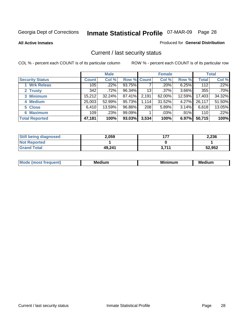**All Active Inmates**

### Produced for **General Distribution**

# Current / last security status

|                        |              | <b>Male</b> |             |       | <b>Female</b> |          |              | <b>Total</b> |
|------------------------|--------------|-------------|-------------|-------|---------------|----------|--------------|--------------|
| <b>Security Status</b> | <b>Count</b> | Col %       | Row % Count |       | Col %         | Row %    | <b>Total</b> | Col %        |
| 1 Wrk Releas           | 105          | .22%        | 93.75%      |       | .20%          | 6.25%    | 112          | .22%         |
| 2 Trusty               | 342          | $.72\%$     | 96.34%      | 13    | $.37\%$       | $3.66\%$ | 355          | $.70\%$      |
| 3 Minimum              | 15,212       | $32.24\%$   | 87.41%      | 2,191 | 62.00%        | 12.59%   | 17,403       | 34.32%       |
| 4 Medium               | 25,003       | 52.99%      | 95.73%      | 1,114 | 31.52%        | 4.27%    | 26,117       | 51.50%       |
| 5 Close                | 6,410        | 13.59%      | 96.86%      | 208   | 5.89%         | $3.14\%$ | 6,618        | 13.05%       |
| 6 Maximum              | 109          | .23%        | 99.09%      |       | $.03\%$       | .91%     | 110          | .22%         |
| <b>Total Reported</b>  | 47,181       | 100%        | 93.03%      | 3,534 | 100%          | 6.97%    | 50,715       | 100%         |

| <b>Still being diagnosed</b> | 2.059  | 477   | 2,236  |
|------------------------------|--------|-------|--------|
| <b>Not Reported</b>          |        |       |        |
| <b>Grand Total</b>           | 49.241 | 3.711 | 52,952 |

| M.<br>.<br>--<br>M.<br><b>ALL 1999</b><br>----<br>w. |  |  |
|------------------------------------------------------|--|--|
|                                                      |  |  |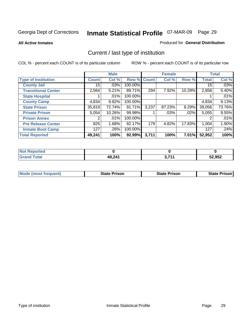**All Active Inmates**

### Produced for **General Distribution**

# Current / last type of institution

|                            |              | <b>Male</b> |         |              | <b>Female</b> |          |              | <b>Total</b> |
|----------------------------|--------------|-------------|---------|--------------|---------------|----------|--------------|--------------|
| <b>Type of Institution</b> | <b>Count</b> | Col %       | Row %   | <b>Count</b> | Col %         | Row %    | <b>Total</b> | Col %        |
| <b>County Jail</b>         | 15           | .03%        | 100.00% |              |               |          | 15           | .03%         |
| <b>Transitional Center</b> | 2,564        | 5.21%       | 89.71%  | 294          | $7.92\%$      | 10.29%   | 2,858        | 5.40%        |
| <b>State Hospital</b>      |              | .01%        | 100.00% |              |               |          |              | .01%         |
| <b>County Camp</b>         | 4,834        | 9.82%       | 100.00% |              |               |          | 4,834        | 9.13%        |
| <b>State Prison</b>        | 35,819       | 72.74%      | 91.71%  | 3,237        | 87.23%        | 8.29%    | 39,056       | 73.76%       |
| <b>Private Prison</b>      | 5,054        | 10.26%      | 99.98%  |              | $.03\%$       | .02%     | 5,055        | 9.55%        |
| <b>Prison Annex</b>        | 2            | .01%        | 100.00% |              |               |          | 2            | .01%         |
| <b>Pre Release Center</b>  | 825          | 1.68%       | 82.17%  | 179          | 4.82%         | 17.83%   | 1,004        | 1.90%        |
| <b>Inmate Boot Camp</b>    | 127          | .26%        | 100.00% |              |               |          | 127          | .24%         |
| <b>Total Reported</b>      | 49,241       | 100%        | 92.99%  | 3,711        | 100%          | $7.01\%$ | 52,952       | 100%         |

| <b>Not</b><br>Reported |        |      |        |
|------------------------|--------|------|--------|
| <b>Grand Total</b>     | 49,241 | 2744 | 52,952 |

| <b>Mode (most frequent)</b> | <b>State Prison</b> | <b>State Prison</b> | <b>State Prison I</b> |
|-----------------------------|---------------------|---------------------|-----------------------|
|                             |                     |                     |                       |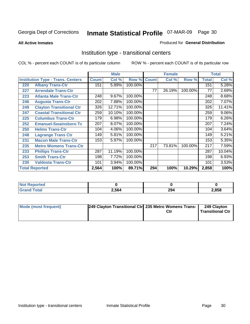**All Active Inmates**

### Produced for **General Distribution**

# Institution type - transitional centers

|     |                                          |              | <b>Male</b> |         |              | <b>Female</b> |         |              | <b>Total</b> |
|-----|------------------------------------------|--------------|-------------|---------|--------------|---------------|---------|--------------|--------------|
|     | <b>Institution Type - Trans. Centers</b> | <b>Count</b> | Col %       | Row %   | <b>Count</b> | Col %         | Row %   | <b>Total</b> | Col %        |
| 220 | <b>Albany Trans-Ctr</b>                  | 151          | 5.89%       | 100.00% |              |               |         | 151          | 5.28%        |
| 227 | <b>Arrendale Trans-Ctr</b>               |              |             |         | 77           | 26.19%        | 100.00% | 77           | 2.69%        |
| 223 | <b>Atlanta Male Trans-Ctr</b>            | 248          | 9.67%       | 100.00% |              |               |         | 248          | 8.68%        |
| 246 | <b>Augusta Trans-Ctr</b>                 | 202          | 7.88%       | 100.00% |              |               |         | 202          | 7.07%        |
| 249 | <b>Clayton Transitional Ctr</b>          | 326          | 12.71%      | 100.00% |              |               |         | 326          | 11.41%       |
| 247 | <b>Coastal Transitional Ctr</b>          | 259          | 10.10%      | 100.00% |              |               |         | 259          | 9.06%        |
| 225 | <b>Columbus Trans-Ctr</b>                | 179          | 6.98%       | 100.00% |              |               |         | 179          | 6.26%        |
| 252 | <b>Emanuel-Swainsboro Tc</b>             | 207          | 8.07%       | 100.00% |              |               |         | 207          | 7.24%        |
| 250 | <b>Helms Trans-Ctr</b>                   | 104          | 4.06%       | 100.00% |              |               |         | 104          | 3.64%        |
| 248 | <b>Lagrange Trans Ctr</b>                | 149          | 5.81%       | 100.00% |              |               |         | 149          | 5.21%        |
| 231 | <b>Macon Male Trans-Ctr</b>              | 153          | 5.97%       | 100.00% |              |               |         | 153          | 5.35%        |
| 235 | <b>Metro Womens Trans-Ctr</b>            |              |             |         | 217          | 73.81%        | 100.00% | 217          | 7.59%        |
| 233 | <b>Phillips Trans-Ctr</b>                | 287          | 11.19%      | 100.00% |              |               |         | 287          | 10.04%       |
| 253 | <b>Smith Trans-Ctr</b>                   | 198          | 7.72%       | 100.00% |              |               |         | 198          | 6.93%        |
| 230 | <b>Valdosta Trans-Ctr</b>                | 101          | 3.94%       | 100.00% |              |               |         | 101          | 3.53%        |
|     | <b>Total Reported</b>                    | 2,564        | 100%        | 89.71%  | 294          | 100%          | 10.29%  | 2,858        | 100%         |

| N.<br>portea |       |     |      |
|--------------|-------|-----|------|
| $\sim$       | 2,564 | 294 | .858 |

| Mode (most frequent) | 249 Clayton Transitional Ctr 235 Metro Womens Trans- | Ctr | 249 Clayton<br><b>Transitional Ctr</b> |
|----------------------|------------------------------------------------------|-----|----------------------------------------|
|                      |                                                      |     |                                        |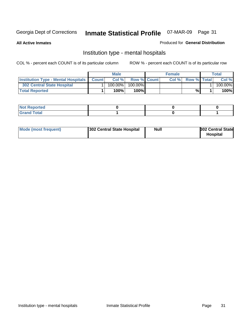**All Active Inmates**

### Produced for **General Distribution**

# Institution type - mental hospitals

|                                                  | <b>Male</b> |                    | <b>Female</b> |                    | Total   |
|--------------------------------------------------|-------------|--------------------|---------------|--------------------|---------|
| <b>Institution Type - Mental Hospitals Count</b> | Col%        | <b>Row % Count</b> | Col%          | <b>Row % Total</b> | Col %   |
| <b>302 Central State Hospital</b>                | $100.00\%$  | 100.00%            |               |                    | 100.00% |
| <b>Total Reported</b>                            | 100%        | 100%               |               | %                  | 100%    |

| Not Reported |  |  |
|--------------|--|--|
| <b>otal</b>  |  |  |

| Mode (most frequent)<br>302 Central State Hospital | Null | <b>302 Central State</b><br><b>Hospital</b> |
|----------------------------------------------------|------|---------------------------------------------|
|----------------------------------------------------|------|---------------------------------------------|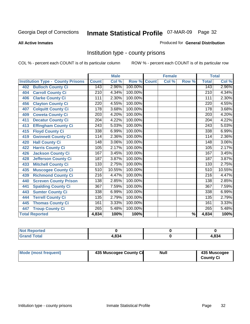#### **All Active Inmates**

### Produced for **General Distribution**

# Institution type - county prisons

|                                          |                   | <b>Male</b> |         |              | <b>Female</b> |                          |                  | <b>Total</b> |
|------------------------------------------|-------------------|-------------|---------|--------------|---------------|--------------------------|------------------|--------------|
| <b>Institution Type - County Prisons</b> | <b>Count</b>      | Col %       | Row %   | <b>Count</b> | Col %         | Row %                    | <b>Total</b>     | Col %        |
| <b>Bulloch County Ci</b><br>402          | 143               | 2.96%       | 100.00% |              |               |                          | 143              | 2.96%        |
| <b>Carroll County Ci</b><br>404          | $\overline{210}$  | 4.34%       | 100.00% |              |               |                          | $\overline{210}$ | 4.34%        |
| <b>Clarke County Ci</b><br>406           | 111               | 2.30%       | 100.00% |              |               |                          | 111              | 2.30%        |
| <b>Clayton County Ci</b><br>456          | 220               | 4.55%       | 100.00% |              |               |                          | 220              | 4.55%        |
| <b>Colquitt County Ci</b><br>407         | 178               | 3.68%       | 100.00% |              |               |                          | 178              | 3.68%        |
| <b>Coweta County Ci</b><br>409           | 203               | 4.20%       | 100.00% |              |               |                          | 203              | 4.20%        |
| <b>Decatur County Ci</b><br>411          | 204               | 4.22%       | 100.00% |              |               |                          | 204              | 4.22%        |
| <b>Effingham County Ci</b><br>413        | $\overline{2}$ 43 | 5.03%       | 100.00% |              |               |                          | $\overline{243}$ | 5.03%        |
| <b>Floyd County Ci</b><br>415            | 338               | 6.99%       | 100.00% |              |               |                          | 338              | 6.99%        |
| <b>Gwinnett County Ci</b><br>419         | 114               | 2.36%       | 100.00% |              |               |                          | 114              | 2.36%        |
| <b>Hall County Ci</b><br>420             | $\overline{148}$  | 3.06%       | 100.00% |              |               |                          | 148              | 3.06%        |
| <b>Harris County Ci</b><br>422           | 105               | 2.17%       | 100.00% |              |               |                          | 105              | 2.17%        |
| <b>Jackson County Ci</b><br>426          | 167               | 3.45%       | 100.00% |              |               |                          | 167              | 3.45%        |
| <b>Jefferson County Ci</b><br>428        | 187               | 3.87%       | 100.00% |              |               |                          | 187              | 3.87%        |
| <b>Mitchell County Ci</b><br>433         | 133               | 2.75%       | 100.00% |              |               |                          | 133              | 2.75%        |
| <b>Muscogee County Ci</b><br>435         | 510               | 10.55%      | 100.00% |              |               |                          | 510              | 10.55%       |
| <b>Richmond County Ci</b><br>439         | $\overline{216}$  | 4.47%       | 100.00% |              |               |                          | $\overline{216}$ | 4.47%        |
| <b>Screven County Prison</b><br>440      | 138               | 2.85%       | 100.00% |              |               |                          | 138              | 2.85%        |
| <b>Spalding County Ci</b><br>441         | 367               | 7.59%       | 100.00% |              |               |                          | $\overline{367}$ | 7.59%        |
| <b>Sumter County Ci</b><br>443           | 338               | 6.99%       | 100.00% |              |               |                          | 338              | 6.99%        |
| <b>Terrell County Ci</b><br>444          | 135               | 2.79%       | 100.00% |              |               |                          | 135              | 2.79%        |
| <b>Thomas County Ci</b><br>445           | 161               | 3.33%       | 100.00% |              |               |                          | 161              | 3.33%        |
| <b>Troup County Ci</b><br>447            | 265               | 5.48%       | 100.00% |              |               |                          | 265              | 5.48%        |
| <b>Total Reported</b>                    | 4,834             | 100%        | 100%    |              |               | $\overline{\frac{9}{6}}$ | 4,834            | 100%         |

| <b>Not Reported</b> |      |      |
|---------------------|------|------|
| Total<br>∣Grand     | .834 | .834 |

| Mode (most frequent)<br>435 Muscogee County Ci | Null | 435 Muscogee<br><b>County Ci</b> |
|------------------------------------------------|------|----------------------------------|
|------------------------------------------------|------|----------------------------------|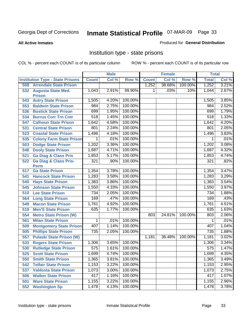### **All Active Inmates**

### Produced for **General Distribution**

# Institution type - state prisons

|     |                                            |              | <b>Male</b> |         |              | <b>Female</b> |         | <b>Total</b>     |       |
|-----|--------------------------------------------|--------------|-------------|---------|--------------|---------------|---------|------------------|-------|
|     | <b>Institution Type - State Prisons</b>    | <b>Count</b> | Col %       | Row %   | <b>Count</b> | Col %         | Row %   | <b>Total</b>     | Col % |
| 508 | <b>Arrendale State Prison</b>              |              |             |         | 1,252        | 38.68%        | 100.00% | 1,252            | 3.21% |
| 532 | <b>Augusta State Med.</b><br><b>Prison</b> | 1,043        | 2.91%       | 99.90%  | 1            | .03%          | .10%    | 1,044            | 2.67% |
| 543 | <b>Autry State Prison</b>                  | 1,505        | 4.20%       | 100.00% |              |               |         | 1,505            | 3.85% |
| 553 | <b>Baldwin State Prison</b>                | 984          | 2.75%       | 100.00% |              |               |         | 984              | 2.52% |
| 536 | <b>Bostick State Prison</b>                | 699          | 1.95%       | 100.00% |              |               |         | 699              | 1.79% |
| 534 | <b>Burrus Corr Trn Cntr</b>                | 518          | 1.45%       | 100.00% |              |               |         | 518              | 1.33% |
| 547 | <b>Calhoun State Prison</b>                | 1,642        | 4.58%       | 100.00% |              |               |         | 1,642            | 4.20% |
| 531 | <b>Central State Prison</b>                | 801          | 2.24%       | 100.00% |              |               |         | 801              | 2.05% |
| 523 | <b>Coastal State Prison</b>                | 1,496        | 4.18%       | 100.00% |              |               |         | 1,496            | 3.83% |
| 535 | <b>Colony Farm State Prison</b>            | 1            | .01%        | 100.00% |              |               |         | 1                | .01%  |
| 503 | <b>Dodge State Prison</b>                  | 1,202        | 3.36%       | 100.00% |              |               |         | 1,202            | 3.08% |
| 548 | <b>Dooly State Prison</b>                  | 1,687        | 4.71%       | 100.00% |              |               |         | 1,687            | 4.32% |
| 521 | <b>Ga Diag &amp; Class Pris</b>            | 1,853        | 5.17%       | 100.00% |              |               |         | 1,853            | 4.74% |
| 522 | <b>Ga Diag &amp; Class Pris-</b>           | 321          | .90%        | 100.00% |              |               |         | 321              | .82%  |
|     | <b>Perm</b>                                |              |             |         |              |               |         |                  |       |
| 517 | <b>Ga State Prison</b>                     | 1,354        | 3.78%       | 100.00% |              |               |         | 1,354            | 3.47% |
| 541 | <b>Hancock State Prison</b>                | 1,283        | 3.58%       | 100.00% |              |               |         | 1,283            | 3.29% |
| 540 | <b>Hays State Prison</b>                   | 1,383        | 3.86%       | 100.00% |              |               |         | 1,383            | 3.54% |
| 545 | <b>Johnson State Prison</b>                | 1,550        | 4.33%       | 100.00% |              |               |         | 1,550            | 3.97% |
| 510 | <b>Lee State Prison</b>                    | 734          | 2.05%       | 100.00% |              |               |         | 734              | 1.88% |
| 564 | <b>Long State Prison</b>                   | 169          | .47%        | 100.00% |              |               |         | 169              | .43%  |
| 549 | <b>Macon State Prison</b>                  | 1,761        | 4.92%       | 100.00% |              |               |         | 1,761            | 4.51% |
| 519 | <b>Men'S State Prison</b>                  | 635          | 1.77%       | 100.00% |              |               |         | 635              | 1.63% |
| 554 | <b>Metro State Prison (W)</b>              |              |             |         | 803          | 24.81%        | 100.00% | 803              | 2.06% |
| 561 | <b>Milan State Prison</b>                  | 1            | .01%        | 100.00% |              |               |         | 1                | .01%  |
| 509 | <b>Montgomery State Prison</b>             | 407          | 1.14%       | 100.00% |              |               |         | 407              | 1.04% |
| 505 | <b>Phillips State Prison</b>               | 735          | 2.05%       | 100.00% |              |               |         | $\overline{735}$ | 1.88% |
| 557 | <b>Pulaski State Prison (W)</b>            |              |             |         | 1,181        | 36.48%        | 100.00% | 1,181            | 3.02% |
| 533 | <b>Rogers State Prison</b>                 | 1,306        | 3.65%       | 100.00% |              |               |         | 1,306            | 3.34% |
| 530 | <b>Rutledge State Prison</b>               | 575          | 1.61%       | 100.00% |              |               |         | 575              | 1.47% |
| 525 | <b>Scott State Prison</b>                  | 1,699        | 4.74%       | 100.00% |              |               |         | 1,699            | 4.35% |
| 550 | <b>Smith State Prison</b>                  | 1,365        | 3.81%       | 100.00% |              |               |         | 1,365            | 3.49% |
| 542 | <b>Telfair State Prison</b>                | 1,153        | 3.22%       | 100.00% |              |               |         | 1,153            | 2.95% |
| 537 | <b>Valdosta State Prison</b>               | 1,073        | 3.00%       | 100.00% |              |               |         | 1,073            | 2.75% |
| 506 | <b>Walker State Prison</b>                 | 417          | 1.16%       | 100.00% |              |               |         | 417              | 1.07% |
| 501 | <b>Ware State Prison</b>                   | 1,155        | 3.22%       | 100.00% |              |               |         | 1,155            | 2.96% |
| 552 | <b>Washington Sp</b>                       | 1,478        | 4.13%       | 100.00% |              |               |         | 1,478            | 3.78% |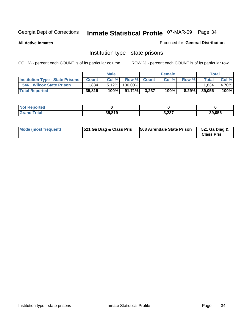**All Active Inmates**

### Produced for **General Distribution**

# Institution type - state prisons

|                                                 |        | <b>Male</b> |                 |             | <b>Female</b> |          |              | <b>Total</b> |
|-------------------------------------------------|--------|-------------|-----------------|-------------|---------------|----------|--------------|--------------|
| <b>Institution Type - State Prisons Count  </b> |        | Col %       |                 | Row % Count | Col %         | Row %    | <b>Total</b> | Col %        |
| 546 Wilcox State Prison                         | .834   | $5.12\%$    | 100.00%         |             |               |          | l.834        | 4.70%        |
| <b>Total Reported</b>                           | 35,819 | 100%        | 91.71% <b>I</b> | 3.237       | 100%          | $8.29\%$ | 39,056       | 100%         |

| NO)<br><b>portea</b> |        |               |            |
|----------------------|--------|---------------|------------|
|                      | 35.819 | 2.22<br>∍ב∡,כ | .056<br>วด |

| Mode (most frequent) | 521 Ga Diag & Class Pris | 508 Arrendale State Prison | 521 Ga Diag &<br><b>Class Pris</b> |
|----------------------|--------------------------|----------------------------|------------------------------------|
|----------------------|--------------------------|----------------------------|------------------------------------|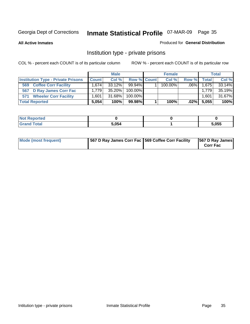**All Active Inmates**

### Produced for **General Distribution**

# Institution type - private prisons

|                                           | <b>Male</b>  |           | <b>Female</b> |  |         | <b>Total</b> |              |        |
|-------------------------------------------|--------------|-----------|---------------|--|---------|--------------|--------------|--------|
| <b>Institution Type - Private Prisons</b> | <b>Count</b> | Col %     | Row % Count   |  | Col %   | Row %        | <b>Total</b> | Col %  |
| <b>Coffee Corr Facility</b><br>569        | 1.674        | 33.12%    | $99.94\%$     |  | 100.00% | $.06\%$      | 1,675        | 33.14% |
| D Ray James Corr Fac<br>567               | 1.7791       | $35.20\%$ | $100.00\%$    |  |         |              | 1.779        | 35.19% |
| <b>Wheeler Corr Facility</b><br>571       | .601         | 31.68%    | $100.00\%$    |  |         |              | 1,601        | 31.67% |
| <b>Total Reported</b>                     | 5.054        | 100%      | 99.98%        |  | 100%    | $.02\%$      | 5,055        | 100%   |

| <b>Reported</b><br><b>NOT</b> |       |       |
|-------------------------------|-------|-------|
| <b>Grand Total</b>            | 5,054 | 5,055 |

| <b>Mode (most frequent)</b> | 567 D Ray James Corr Fac 569 Coffee Corr Facility |  | 567 D Ray James<br><b>Corr Fac</b> |
|-----------------------------|---------------------------------------------------|--|------------------------------------|
|-----------------------------|---------------------------------------------------|--|------------------------------------|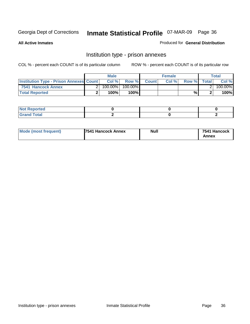**All Active Inmates**

Produced for **General Distribution**

# Institution type - prison annexes

|                                                | <b>Male</b> |            |         | <b>Female</b> |       |       | Total        |         |
|------------------------------------------------|-------------|------------|---------|---------------|-------|-------|--------------|---------|
| <b>Institution Type - Prison Annexes Count</b> |             | Col %      | Row %   | <b>Count</b>  | Col % | Row % | <b>Total</b> | Col %   |
| 7541 Hancock Annex                             |             | $100.00\%$ | 100.00% |               |       |       |              | 100.00% |
| <b>Total Reported</b>                          |             | 100%       | $100\%$ |               |       | %     |              | 100%    |

| <b>Not Reported</b> |  |  |
|---------------------|--|--|
| <b>Grand Total</b>  |  |  |

| <b>Mode (most frequent)</b> | <b>7541 Hancock Annex</b> | <b>Null</b> | 7541 Hancock |
|-----------------------------|---------------------------|-------------|--------------|
|                             |                           |             | Annex        |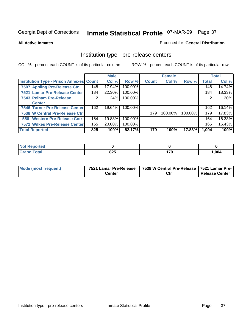#### **All Active Inmates**

#### Produced for **General Distribution**

### Institution type - pre-release centers

|                                                |     | <b>Male</b> |         |              | <b>Female</b> |         |              | <b>Total</b> |
|------------------------------------------------|-----|-------------|---------|--------------|---------------|---------|--------------|--------------|
| <b>Institution Type - Prison Annexes Count</b> |     | Col %       | Row %   | <b>Count</b> | Col %         | Row %   | <b>Total</b> | Col %        |
| 7507 Appling Pre-Release Ctr                   | 148 | 17.94%      | 100.00% |              |               |         | 148          | 14.74%       |
| 7521 Lamar Pre-Release Center                  | 184 | 22.30%      | 100.00% |              |               |         | 184          | 18.33%       |
| 7543 Pelham Pre-Release                        | ◠   | .24%        | 100.00% |              |               |         | 2            | .20%         |
| <b>Center</b>                                  |     |             |         |              |               |         |              |              |
| 7546 Turner Pre-Release Center                 | 162 | 19.64%      | 100.00% |              |               |         | 162          | 16.14%       |
| 7538 W Central Pre-Release Ctr                 |     |             |         | 179          | 100.00%       | 100.00% | 179          | 17.83%       |
| 556 Western Pre-Release Cntr                   | 164 | 19.88%      | 100.00% |              |               |         | 164          | 16.33%       |
| 7572 Wilkes Pre-Release Center                 | 165 | 20.00%      | 100.00% |              |               |         | 165          | 16.43%       |
| <b>Total Reported</b>                          | 825 | 100%        | 82.17%  | 179          | 100%          | 17.83%  | 1,004        | 100%         |

| <b>Reported</b>        |     |              |       |
|------------------------|-----|--------------|-------|
| <b>Total</b><br>'Grano | 825 | 170<br>- 1 5 | 1,004 |

| Mode (most frequent) | 7521 Lamar Pre-Release | 7538 W Central Pre-Release   7521 Lamar Pre- |                |
|----------------------|------------------------|----------------------------------------------|----------------|
|                      | Center                 | Ctı                                          | Release Center |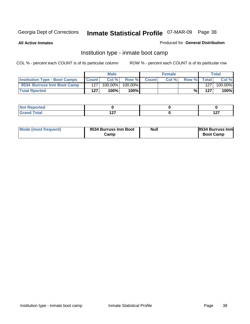**All Active Inmates**

#### Produced for **General Distribution**

### Institution type - inmate boot camp

|                                      |              | <b>Male</b> |            |              | <b>Female</b> |       |       | <b>Total</b> |
|--------------------------------------|--------------|-------------|------------|--------------|---------------|-------|-------|--------------|
| <b>Institution Type - Boot Camps</b> | <b>Count</b> | Col %       | Row %      | <b>Count</b> | Col%          | Row % | Total | Col %        |
| 9534 Burruss Inm Boot Camp           | 127          | 100.00%     | $100.00\%$ |              |               |       | 127   | 100.00%      |
| <b>Total Rported</b>                 | 127          | 100%        | 100%       |              |               | %     | 127   | 100%         |

| Reported<br>$\sim$ |        |        |
|--------------------|--------|--------|
| $n+n$              | כם ג   | 407    |
| _____              | $\sim$ | $\sim$ |

| Mode (most frequent) | 9534 Burruss Inm Boot | <b>Null</b> | 9534 Burruss Inm |
|----------------------|-----------------------|-------------|------------------|
|                      | Camp                  |             | <b>Boot Camp</b> |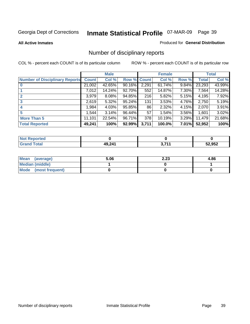#### **All Active Inmates**

#### Produced for **General Distribution**

## Number of disciplinary reports

|                                       |              | <b>Male</b> |        |              | <b>Female</b> |          |              | <b>Total</b> |
|---------------------------------------|--------------|-------------|--------|--------------|---------------|----------|--------------|--------------|
| <b>Number of Disciplinary Reports</b> | <b>Count</b> | Col %       | Row %  | <b>Count</b> | Col %         | Row %    | <b>Total</b> | Col %        |
|                                       | 21,002       | 42.65%      | 90.16% | 2,291        | 61.74%        | 9.84%    | 23,293       | 43.99%       |
|                                       | 7,012        | 14.24%      | 92.70% | 552          | 14.87%        | 7.30%    | 7,564        | 14.28%       |
| 2                                     | 3,979        | $8.08\%$    | 94.85% | 216          | 5.82%         | 5.15%    | 4,195        | 7.92%        |
| 3                                     | 2,619        | 5.32%       | 95.24% | 131          | 3.53%         | 4.76%    | 2,750        | 5.19%        |
|                                       | .984         | 4.03%       | 95.85% | 86           | 2.32%         | $4.15\%$ | 2,070        | 3.91%        |
| 5                                     | .544         | 3.14%       | 96.44% | 57           | 1.54%         | 3.56%    | 1,601        | 3.02%        |
| <b>More Than 5</b>                    | 11,101       | 22.54%      | 96.71% | 378          | 10.19%        | 3.29%    | 11,479       | 21.68%       |
| <b>Total Reported</b>                 | 49,241       | 100%        | 92.99% | 3,711        | 100.0%        | $7.01\%$ | 52,952       | 100%         |

| .<br>N                          |                     |        |        |
|---------------------------------|---------------------|--------|--------|
| $f \wedge f \wedge f$<br>______ | 19 241<br><b>AO</b> | 9 74 4 | 52.052 |

| Mean (average)       | 5.06 | 2.23 | 4.86 |
|----------------------|------|------|------|
| Median (middle)      |      |      |      |
| Mode (most frequent) |      |      |      |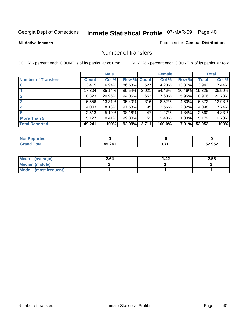#### **All Active Inmates**

### Produced for **General Distribution**

### Number of transfers

|                            |         | <b>Male</b> |             |       | <b>Female</b> |          |              | <b>Total</b> |
|----------------------------|---------|-------------|-------------|-------|---------------|----------|--------------|--------------|
| <b>Number of Transfers</b> | Count l | Col %       | Row % Count |       | Col %         | Row %    | <b>Total</b> | Col %        |
|                            | 3,415   | 6.94%       | 86.63%      | 527   | 14.20%        | 13.37%   | 3,942        | 7.44%        |
|                            | 17,304  | 35.14%      | 89.54%      | 2,021 | 54.46%        | 10.46%   | 19,325       | 36.50%       |
| $\mathbf{2}$               | 10,323  | 20.96%      | 94.05%      | 653   | 17.60%        | 5.95%    | 10,976       | 20.73%       |
| 3                          | 6,556   | 13.31%      | 95.40%      | 316   | 8.52%         | 4.60%    | 6,872        | 12.98%       |
|                            | 4,003   | 8.13%       | 97.68%      | 95    | 2.56%         | 2.32%    | 4,098        | 7.74%        |
| 5                          | 2,513   | 5.10%       | 98.16%      | 47    | 1.27%         | 1.84%    | 2,560        | 4.83%        |
| <b>More Than 5</b>         | 5,127   | 10.41%      | 99.00%      | 52    | 1.40%         | $1.00\%$ | 5,179        | 9.78%        |
| <b>Total Reported</b>      | 49,241  | 100%        | 92.99%      | 3,711 | 100.0%        | $7.01\%$ | 52,952       | 100%         |

| N         |             |            |        |
|-----------|-------------|------------|--------|
| $\sim$ 10 | $AQ$ $2A^4$ | <b>744</b> | 52.052 |
| ______    |             |            | りつム    |

| Mean (average)       | 2.64 | 42. ا | 2.56 |
|----------------------|------|-------|------|
| Median (middle)      |      |       |      |
| Mode (most frequent) |      |       |      |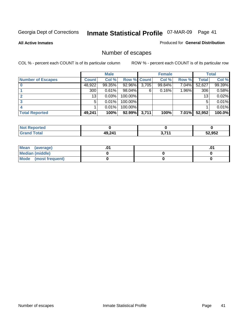**All Active Inmates**

#### Produced for **General Distribution**

## Number of escapes

|                          |              | <b>Male</b> |                    |       | <b>Female</b> |          |                  | <b>Total</b> |
|--------------------------|--------------|-------------|--------------------|-------|---------------|----------|------------------|--------------|
| <b>Number of Escapes</b> | <b>Count</b> | Col %       | <b>Row % Count</b> |       | Col %         | Row %    | Total            | Col %        |
|                          | 48,922       | 99.35%      | 92.96%             | 3,705 | 99.84%        | 7.04%    | 52,627           | 99.39%       |
|                          | 300          | 0.61%       | 98.04%             | 6     | 0.16%         | $1.96\%$ | 306 <sub>1</sub> | 0.58%        |
|                          | 13           | 0.03%       | 100.00%            |       |               |          | 13               | 0.02%        |
|                          | 5            | 0.01%       | 100.00%            |       |               |          | 5                | 0.01%        |
|                          |              | 0.01%       | $100.00\%$         |       |               |          |                  | 0.01%        |
| <b>Total Reported</b>    | 49,241       | 100%        | 92.99%             | 3,711 | 100%          | $7.01\%$ | 52,952           | 100.0%       |

| Reported<br><b>Not</b> |        |              |        |
|------------------------|--------|--------------|--------|
| <b>Cotal</b>           | 49 241 | <b>2 744</b> | 52,952 |

| Mean (average)         |  | .0 |
|------------------------|--|----|
| <b>Median (middle)</b> |  |    |
| Mode (most frequent)   |  |    |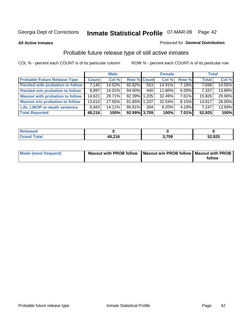#### **All Active Inmates**

### Produced for **General Distribution**

## Probable future release type of still active inmates

|                                         |              | <b>Male</b> |                    |       | <b>Female</b> |          | <b>Total</b> |        |
|-----------------------------------------|--------------|-------------|--------------------|-------|---------------|----------|--------------|--------|
| <b>Probable Future Release Type</b>     | <b>Count</b> | Col %       | <b>Row % Count</b> |       | Col %         | Row %    | <b>Total</b> | Col %  |
| <b>Paroled with probation to follow</b> | 7,145        | 14.52%      | 92.82%             | 553   | 14.91%        | $7.18\%$ | 7,698        | 14.55% |
| Paroled w/o probation to follow         | 6,897        | 14.01%      | $94.00\%$          | 440   | $11.86\%$     | $6.00\%$ | 7,337        | 13.86% |
| <b>Maxout with probation to follow</b>  | 14,621       | 29.71%      | 92.39%             | 1.205 | 32.49%        | $7.61\%$ | 15,826       | 29.90% |
| <b>Maxout w/o probation to follow</b>   | 13,610       | 27.65%      | 91.85% 1.207       |       | 32.54%        | $8.15\%$ | 14,817       | 28.00% |
| Life, LWOP or death sentence            | 6,943        | 14.11%      | 95.81%             | 304   | 8.20%         | $4.19\%$ | 7,247        | 13.69% |
| <b>Total Reported</b>                   | 49,216       | 100%        | 92.99% 3,709       |       | 100%          | 7.01%    | 52,925       | 100%   |

| <b>ised</b>          |        |       |        |
|----------------------|--------|-------|--------|
| <b>Total</b><br>Grar | 10.216 | 3,709 | 52,925 |

| Mode (most frequent) | Maxout with PROB follow   Maxout w/o PROB follow   Maxout with PROB |        |
|----------------------|---------------------------------------------------------------------|--------|
|                      |                                                                     | follow |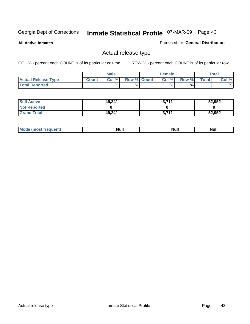**All Active Inmates**

#### Produced for **General Distribution**

### Actual release type

|                            |              | <b>Male</b> |                    | <b>Female</b> |       |       | <b>Total</b> |
|----------------------------|--------------|-------------|--------------------|---------------|-------|-------|--------------|
| <b>Actual Release Type</b> | <b>Count</b> | Col %       | <b>Row % Count</b> | Col %         | Row % | Total | Col %        |
| <b>Total Reported</b>      |              | %           | %                  | %             | %     |       | %            |

| <b>Still Active</b> | 49,241 | 2711<br>. | 52,952 |
|---------------------|--------|-----------|--------|
| <b>Not Reported</b> |        |           |        |
| <b>Grand Total</b>  | 49,241 | 2711<br>. | 52,952 |

| īМ | м.<br>$-$ - $-$ - $-$ | Null | $\cdots$ |
|----|-----------------------|------|----------|
|    |                       |      |          |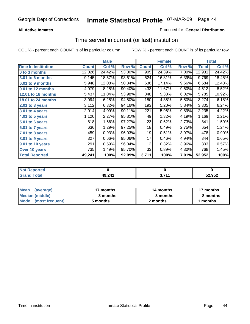### **All Active Inmates**

### Produced for **General Distribution**

### Time served in current (or last) institution

|                            |              | <b>Male</b> |        |              | <b>Female</b> |       |              | <b>Total</b> |
|----------------------------|--------------|-------------|--------|--------------|---------------|-------|--------------|--------------|
| <b>Time In Institution</b> | <b>Count</b> | Col %       | Row %  | <b>Count</b> | Col %         | Row % | <b>Total</b> | Col %        |
| 0 to 3 months              | 12,026       | 24.42%      | 93.00% | 905          | 24.39%        | 7.00% | 12,931       | 24.42%       |
| 3.01 to 6 months           | 9,145        | 18.57%      | 93.61% | 624          | 16.81%        | 6.39% | 9,769        | 18.45%       |
| 6.01 to 9 months           | 5,948        | 12.08%      | 90.34% | 636          | 17.14%        | 9.66% | 6,584        | 12.43%       |
| 9.01 to 12 months          | 4,079        | 8.28%       | 90.40% | 433          | 11.67%        | 9.60% | 4,512        | 8.52%        |
| <b>12.01 to 18 months</b>  | 5,437        | 11.04%      | 93.98% | 348          | 9.38%         | 6.02% | 5,785        | 10.92%       |
| <b>18.01 to 24 months</b>  | 3,094        | 6.28%       | 94.50% | 180          | 4.85%         | 5.50% | 3,274        | 6.18%        |
| $2.01$ to 3 years          | 3,112        | 6.32%       | 94.16% | 193          | 5.20%         | 5.84% | 3,305        | 6.24%        |
| $3.01$ to 4 years          | 2,014        | 4.09%       | 90.11% | 221          | 5.96%         | 9.89% | 2,235        | 4.22%        |
| 4.01 to 5 years            | 1,120        | 2.27%       | 95.81% | 49           | 1.32%         | 4.19% | 1,169        | 2.21%        |
| 5.01 to 6 years            | 818          | 1.66%       | 97.27% | 23           | 0.62%         | 2.73% | 841          | 1.59%        |
| 6.01 to 7 years            | 636          | 1.29%       | 97.25% | 18           | 0.49%         | 2.75% | 654          | 1.24%        |
| 7.01 to 8 years            | 459          | 0.93%       | 96.03% | 19           | 0.51%         | 3.97% | 478          | 0.90%        |
| 8.01 to 9 years            | 327          | 0.66%       | 95.06% | 17           | 0.46%         | 4.94% | 344          | 0.65%        |
| 9.01 to 10 years           | 291          | 0.59%       | 96.04% | 12           | 0.32%         | 3.96% | 303          | 0.57%        |
| Over 10 years              | 735          | 1.49%       | 95.70% | 33           | 0.89%         | 4.30% | 768          | 1.45%        |
| <b>Total Reported</b>      | 49,241       | 100%        | 92.99% | 3,711        | 100%          | 7.01% | 52,952       | 100%         |

| <b>Not R</b><br><b>Reported</b> |        |     |        |
|---------------------------------|--------|-----|--------|
| <b>Total</b>                    | 49,241 | 74. | 52,952 |

| <b>Mean</b><br>(average)       | 17 months | 14 months | 17 months |  |
|--------------------------------|-----------|-----------|-----------|--|
| Median (middle)                | 8 months  | 8 months  | 8 months  |  |
| <b>Mode</b><br>(most frequent) | 5 months  | 2 months  | months    |  |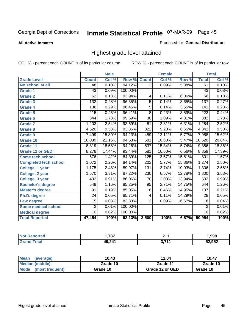**All Active Inmates**

#### Produced for **General Distribution**

### Highest grade level attained

|                              |                  | <b>Male</b> |         |                  | <b>Female</b>             |        |                  | <b>Total</b> |
|------------------------------|------------------|-------------|---------|------------------|---------------------------|--------|------------------|--------------|
| <b>Grade Level</b>           | <b>Count</b>     | Col %       | Row %   | <b>Count</b>     | $\overline{\text{Col}}$ % | Row %  | <b>Total</b>     | Col %        |
| No school at all             | 48               | 0.10%       | 94.12%  | $\overline{3}$   | 0.09%                     | 5.88%  | $\overline{51}$  | 0.10%        |
| <b>Grade 1</b>               | $\overline{43}$  | 0.09%       | 100.00% |                  |                           |        | $\overline{43}$  | 0.08%        |
| <b>Grade 2</b>               | 62               | 0.13%       | 93.94%  | 4                | 0.11%                     | 6.06%  | $\overline{66}$  | 0.13%        |
| <b>Grade 3</b>               | 132              | 0.28%       | 96.35%  | $\overline{5}$   | 0.14%                     | 3.65%  | 137              | 0.27%        |
| <b>Grade 4</b>               | 136              | 0.29%       | 96.45%  | $\overline{5}$   | 0.14%                     | 3.55%  | 141              | 0.28%        |
| Grade 5                      | $\overline{215}$ | 0.45%       | 96.41%  | $\overline{8}$   | 0.23%                     | 3.59%  | $\overline{223}$ | 0.44%        |
| Grade 6                      | 844              | 1.78%       | 95.69%  | $\overline{38}$  | 1.09%                     | 4.31%  | 882              | 1.73%        |
| <b>Grade 7</b>               | 1,203            | 2.54%       | 93.69%  | $\overline{81}$  | 2.31%                     | 6.31%  | 1,284            | 2.52%        |
| <b>Grade 8</b>               | 4,520            | 9.53%       | 93.35%  | 322              | 9.20%                     | 6.65%  | 4,842            | 9.50%        |
| Grade 9                      | 7,499            | 15.80%      | 94.23%  | 459              | 13.11%                    | 5.77%  | 7,958            | 15.62%       |
| Grade 10                     | 10,039           | 21.16%      | 94.53%  | 581              | 16.60%                    | 5.47%  | 10,620           | 20.84%       |
| Grade 11                     | 8,819            | 18.58%      | 94.26%  | 537              | 15.34%                    | 5.74%  | 9,356            | 18.36%       |
| <b>Grade 12 or GED</b>       | 8,278            | 17.44%      | 93.44%  | 581              | 16.60%                    | 6.56%  | 8,859            | 17.39%       |
| <b>Some tech school</b>      | 676              | 1.42%       | 84.39%  | 125              | 3.57%                     | 15.61% | 801              | 1.57%        |
| <b>Completed tech school</b> | 1,072            | 2.26%       | 84.14%  | $\overline{202}$ | 5.77%                     | 15.86% | 1,274            | 2.50%        |
| College, 1 year              | 1,175            | 2.48%       | 89.97%  | $\overline{131}$ | 3.74%                     | 10.03% | 1,306            | 2.56%        |
| College, 2 year              | 1,570            | 3.31%       | 87.22%  | 230              | 6.57%                     | 12.78% | 1,800            | 3.53%        |
| College, 3 year              | 432              | 0.91%       | 86.06%  | $\overline{70}$  | 2.00%                     | 13.94% | 502              | 0.99%        |
| <b>Bachelor's degree</b>     | 549              | 1.16%       | 85.25%  | 95               | 2.71%                     | 14.75% | 644              | 1.26%        |
| <b>Master's degree</b>       | 91               | 0.19%       | 85.05%  | 16               | 0.46%                     | 14.95% | 107              | 0.21%        |
| Ph.D. degree                 | $\overline{24}$  | 0.05%       | 85.71%  | 4                | 0.11%                     | 14.29% | 28               | 0.05%        |
| Law degree                   | $\overline{15}$  | 0.03%       | 83.33%  | $\overline{3}$   | 0.09%                     | 16.67% | $\overline{18}$  | 0.04%        |
| <b>Some medical school</b>   | $\overline{2}$   | 0.01%       | 100.00% |                  |                           |        | $\overline{2}$   | 0.01%        |
| <b>Medical degree</b>        | $\overline{10}$  | 0.02%       | 100.00% |                  |                           |        | 10               | 0.02%        |
| <b>Total Reported</b>        | 47,454           | 100%        | 93.13%  | 3,500            | 100%                      | 6.87%  | 50,954           | 100%         |

| 707<br>. . | 044<br>-- | .998   |
|------------|-----------|--------|
| $AO$ $244$ | , 744     | 52.052 |

| <b>Mean</b><br>(average)       | 10.43    | 11.04           | 10.47    |
|--------------------------------|----------|-----------------|----------|
| Median (middle)                | Grade 10 | Grade 11        | Grade 10 |
| <b>Mode</b><br>(most frequent) | Grade 10 | Grade 12 or GED | Grade 10 |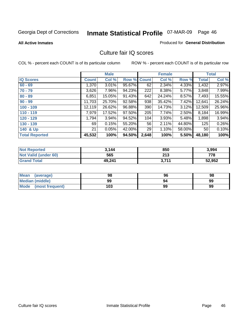**All Active Inmates**

#### Produced for **General Distribution**

### Culture fair IQ scores

|                       |              | <b>Male</b> |        |              | <b>Female</b> |        |              | <b>Total</b> |
|-----------------------|--------------|-------------|--------|--------------|---------------|--------|--------------|--------------|
| <b>IQ Scores</b>      | <b>Count</b> | Col %       | Row %  | <b>Count</b> | Col %         | Row %  | <b>Total</b> | Col %        |
| $60 - 69$             | 1,370        | 3.01%       | 95.67% | 62           | 2.34%         | 4.33%  | 1,432        | 2.97%        |
| $70 - 79$             | 3,626        | 7.96%       | 94.23% | 222          | 8.38%         | 5.77%  | 3,848        | 7.99%        |
| $80 - 89$             | 6,851        | 15.05%      | 91.43% | 642          | 24.24%        | 8.57%  | 7,493        | 15.55%       |
| $90 - 99$             | 11,703       | 25.70%      | 92.58% | 938          | 35.42%        | 7.42%  | 12,641       | 26.24%       |
| $100 - 109$           | 12,119       | 26.62%      | 96.88% | 390          | 14.73%        | 3.12%  | 12,509       | 25.96%       |
| $110 - 119$           | 7,979        | 17.52%      | 97.50% | 205          | 7.74%         | 2.50%  | 8,184        | 16.99%       |
| $120 - 129$           | 1,794        | 3.94%       | 94.52% | 104          | 3.93%         | 5.48%  | 1,898        | 3.94%        |
| $130 - 139$           | 69           | 0.15%       | 55.20% | 56           | 2.11%         | 44.80% | 125          | 0.26%        |
| 140 & Up              | 21           | 0.05%       | 42.00% | 29           | 1.10%         | 58.00% | 50           | 0.10%        |
| <b>Total Reported</b> | 45,532       | 100%        | 94.50% | 2,648        | 100%          | 5.50%  | 48,180       | 100%         |

| <b>Not Reported</b>  | 3.144  | 850   | 3,994  |
|----------------------|--------|-------|--------|
| Not Valid (under 60) | 565    | 213   | 778    |
| <b>Grand Total</b>   | 49,241 | 3,711 | 52,952 |

| <b>Mean</b><br>(average) | 98  | 96 | 98 |
|--------------------------|-----|----|----|
| Median (middle)          | 99  | 94 | 99 |
| Mode (most frequent)     | 103 | 99 | 99 |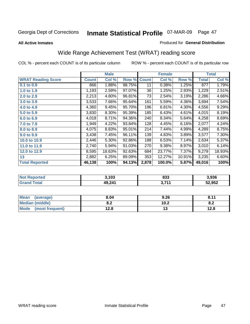#### **All Active Inmates**

#### Produced for **General Distribution**

## Wide Range Achievement Test (WRAT) reading score

|                           |              | <b>Male</b> |        |              | <b>Female</b> |        |              | <b>Total</b> |
|---------------------------|--------------|-------------|--------|--------------|---------------|--------|--------------|--------------|
| <b>WRAT Reading Score</b> | <b>Count</b> | Col %       | Row %  | <b>Count</b> | Col %         | Row %  | <b>Total</b> | Col %        |
| 0.1 to 0.9                | 866          | 1.88%       | 98.75% | 11           | 0.38%         | 1.25%  | 877          | 1.79%        |
| 1.0 to 1.9                | 1,193        | 2.59%       | 97.07% | 36           | 1.25%         | 2.93%  | 1,229        | 2.51%        |
| 2.0 to 2.9                | 2,213        | 4.80%       | 96.81% | 73           | 2.54%         | 3.19%  | 2,286        | 4.66%        |
| 3.0 to 3.9                | 3,533        | 7.66%       | 95.64% | 161          | 5.59%         | 4.36%  | 3,694        | 7.54%        |
| 4.0 to 4.9                | 4,360        | 9.45%       | 95.70% | 196          | 6.81%         | 4.30%  | 4,556        | 9.29%        |
| 5.0 to 5.9                | 3,830        | 8.30%       | 95.39% | 185          | 6.43%         | 4.61%  | 4,015        | 8.19%        |
| 6.0 to 6.9                | 4,018        | 8.71%       | 94.36% | 240          | 8.34%         | 5.64%  | 4,258        | 8.69%        |
| 7.0 to 7.9                | 1,949        | 4.22%       | 93.84% | 128          | 4.45%         | 6.16%  | 2,077        | 4.24%        |
| 8.0 to 8.9                | 4,075        | 8.83%       | 95.01% | 214          | 7.44%         | 4.99%  | 4,289        | 8.75%        |
| 9.0 to 9.9                | 3,438        | 7.45%       | 96.11% | 139          | 4.83%         | 3.89%  | 3,577        | 7.30%        |
| 10.0 to 10.9              | 2,446        | 5.30%       | 92.86% | 188          | 6.53%         | 7.14%  | 2,634        | 5.37%        |
| 11.0 to 11.9              | 2,740        | 5.94%       | 91.03% | 270          | 9.38%         | 8.97%  | 3,010        | 6.14%        |
| 12.0 to 12.9              | 8,595        | 18.63%      | 92.63% | 684          | 23.77%        | 7.37%  | 9,279        | 18.93%       |
| 13                        | 2,882        | 6.25%       | 89.09% | 353          | 12.27%        | 10.91% | 3,235        | 6.60%        |
| <b>Total Reported</b>     | 46,138       | 100%        | 94.13% | 2,878        | 100.0%        | 5.87%  | 49,016       | 100%         |

| <b>Not Reported</b> | 3,103  | 833        | 3,936  |
|---------------------|--------|------------|--------|
| Total<br>' Grand    | 49,241 | つ フィィ<br>. | 52,952 |

| <b>Mean</b><br>(average)       | 8.04       | 9.26 | 0.11<br>O.11 |
|--------------------------------|------------|------|--------------|
| <b>Median (middle)</b>         | י ה<br>0.Z | 10.2 | O.A          |
| <b>Mode</b><br>(most frequent) | 12.8       | . .  | 12.8         |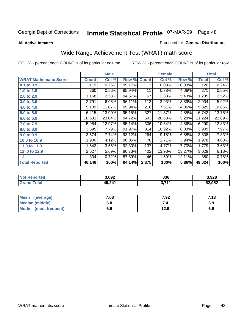### Georgia Dept of Corrections 07-MAR-09 Page **Inmate Statistical Profile** 48

**All Active Inmates**

#### Produced for **General Distribution**

## Wide Range Achievement Test (WRAT) math score

|                              |              | <b>Male</b> |        |              | <b>Female</b> |        |              | <b>Total</b> |
|------------------------------|--------------|-------------|--------|--------------|---------------|--------|--------------|--------------|
| <b>WRAT Mathematic Score</b> | <b>Count</b> | Col %       | Row %  | <b>Count</b> | Col %         | Row %  | <b>Total</b> | Col %        |
| 0.1 to 0.9                   | 119          | 0.26%       | 99.17% | 1            | 0.03%         | 0.83%  | 120          | 0.24%        |
| 1.0 to 1.9                   | 260          | 0.56%       | 95.94% | 11           | 0.38%         | 4.06%  | 271          | 0.55%        |
| 2.0 to 2.9                   | 1,168        | 2.53%       | 94.57% | 67           | 2.33%         | 5.43%  | 1,235        | 2.52%        |
| 3.0 to 3.9                   | 2,791        | 6.05%       | 96.11% | 113          | 3.93%         | 3.89%  | 2,904        | 5.92%        |
| 4.0 to 4.9                   | 5,109        | 11.07%      | 95.94% | 216          | 7.51%         | 4.06%  | 5,325        | 10.86%       |
| 5.0 to 5.9                   | 6,415        | 13.90%      | 95.15% | 327          | 11.37%        | 4.85%  | 6,742        | 13.75%       |
| 6.0 to 6.9                   | 10,631       | 23.04%      | 94.72% | 593          | 20.63%        | 5.28%  | 11,224       | 22.89%       |
| 7.0 to 7.9                   | 5,984        | 12.97%      | 95.14% | 306          | 10.64%        | 4.86%  | 6,290        | 12.83%       |
| 8.0 to 8.9                   | 3,595        | 7.79%       | 91.97% | 314          | 10.92%        | 8.03%  | 3,909        | 7.97%        |
| 9.0 to 9.9                   | 3,574        | 7.74%       | 93.12% | 264          | 9.18%         | 6.88%  | 3,838        | 7.83%        |
| 10.0 to 10.9                 | 1,900        | 4.12%       | 96.06% | 78           | 2.71%         | 3.94%  | 1,978        | 4.03%        |
| 11.0 to 11.9                 | 1,642        | 3.56%       | 92.30% | 137          | 4.77%         | 7.70%  | 1,779        | 3.63%        |
| 12.0 to 12.9                 | 2,627        | 5.69%       | 86.73% | 402          | 13.98%        | 13.27% | 3,029        | 6.18%        |
| 13                           | 334          | 0.72%       | 87.89% | 46           | 1.60%         | 12.11% | 380          | 0.78%        |
| <b>Total Reported</b>        | 46,149       | 100%        | 94.14% | 2,875        | 100%          | 5.86%  | 49,024       | 100%         |

| orted<br>NO.         | 3,092  | 836        | 3,928  |
|----------------------|--------|------------|--------|
| <b>otal</b><br>'Grai | 49,241 | <b>744</b> | 52,952 |

| Mean (average)         | 7.08 | 7.92 | 7.13 |
|------------------------|------|------|------|
| <b>Median (middle)</b> | 6.8  |      | 6.9  |
| Mode (most frequent)   | 6.9  | 12.9 | 6.9  |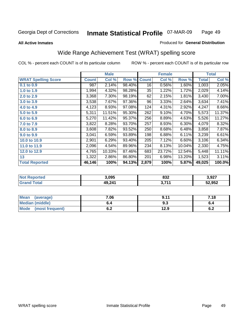#### **All Active Inmates**

#### Produced for **General Distribution**

### Wide Range Achievement Test (WRAT) spelling score

|                            |              | <b>Male</b> |        |              | <b>Female</b> |        |              | <b>Total</b> |
|----------------------------|--------------|-------------|--------|--------------|---------------|--------|--------------|--------------|
| <b>WRAT Spelling Score</b> | <b>Count</b> | Col %       | Row %  | <b>Count</b> | Col %         | Row %  | <b>Total</b> | Col %        |
| 0.1 to 0.9                 | 987          | 2.14%       | 98.40% | 16           | 0.56%         | 1.60%  | 1,003        | 2.05%        |
| 1.0 to 1.9                 | 1,994        | 4.32%       | 98.28% | 35           | 1.22%         | 1.72%  | 2,029        | 4.14%        |
| 2.0 to 2.9                 | 3,368        | 7.30%       | 98.19% | 62           | 2.15%         | 1.81%  | 3,430        | 7.00%        |
| 3.0 to 3.9                 | 3,538        | 7.67%       | 97.36% | 96           | 3.33%         | 2.64%  | 3,634        | 7.41%        |
| 4.0 to 4.9                 | 4,123        | 8.93%       | 97.08% | 124          | 4.31%         | 2.92%  | 4,247        | 8.66%        |
| 5.0 to 5.9                 | 5,311        | 11.51%      | 95.30% | 262          | 9.10%         | 4.70%  | 5,573        | 11.37%       |
| 6.0 to 6.9                 | 5,270        | 11.42%      | 95.37% | 256          | 8.89%         | 4.63%  | 5,526        | 11.27%       |
| 7.0 to 7.9                 | 3,822        | 8.28%       | 93.70% | 257          | 8.93%         | 6.30%  | 4,079        | 8.32%        |
| 8.0 to 8.9                 | 3,608        | 7.82%       | 93.52% | 250          | 8.68%         | 6.48%  | 3,858        | 7.87%        |
| 9.0 to 9.9                 | 3,041        | 6.59%       | 93.89% | 198          | 6.88%         | 6.11%  | 3,239        | 6.61%        |
| 10.0 to 10.9               | 2,901        | 6.29%       | 93.40% | 205          | 7.12%         | 6.60%  | 3,106        | 6.34%        |
| 11.0 to 11.9               | 2,096        | 4.54%       | 89.96% | 234          | 8.13%         | 10.04% | 2,330        | 4.75%        |
| 12.0 to 12.9               | 4,765        | 10.33%      | 87.46% | 683          | 23.72%        | 12.54% | 5,448        | 11.11%       |
| 13                         | 1,322        | 2.86%       | 86.80% | 201          | 6.98%         | 13.20% | 1,523        | 3.11%        |
| <b>Total Reported</b>      | 46,146       | 100%        | 94.13% | 2,879        | 100%          | 5.87%  | 49,025       | 100.0%       |

| <b>orted</b><br>NO | 3,095             | 832        | 3,927  |
|--------------------|-------------------|------------|--------|
| <b>otal</b><br>.Gr | 49 241<br>TJ.LT I | <b>744</b> | 52,952 |

| Mean (average)         | 7.06       | 9.11 | 7.18       |
|------------------------|------------|------|------------|
| <b>Median (middle)</b> | b.4        | ৬.১  |            |
| Mode (most frequent)   | r n<br>ο.Ζ | 12.9 | c -<br>0.4 |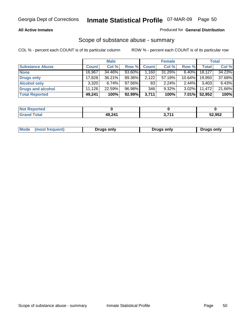#### **All Active Inmates**

### Produced for **General Distribution**

### Scope of substance abuse - summary

|                        |              | <b>Male</b> |        |              | <b>Female</b> |           |              | <b>Total</b> |
|------------------------|--------------|-------------|--------|--------------|---------------|-----------|--------------|--------------|
| <b>Substance Abuse</b> | <b>Count</b> | Col %       | Row %  | <b>Count</b> | Col %         | Row %     | <b>Total</b> | Col %        |
| <b>None</b>            | 16,967       | 34.46%      | 93.60% | ا 160. ا     | 31.26%        | $6.40\%$  | 18,127       | 34.23%       |
| <b>Drugs only</b>      | 17.828       | $36.21\%$   | 89.36% | 2,122        | 57.18%        | $10.64\%$ | 19,950       | 37.68%       |
| <b>Alcohol only</b>    | 3,320        | $6.74\%$    | 97.56% | 83           | $2.24\%$      | $2.44\%$  | 3,403        | 6.43%        |
| Drugs and alcohol      | 11.126       | 22.59%      | 96.98% | 346          | $9.32\%$      | $3.02\%$  | 11,472       | 21.66%       |
| <b>Total Reported</b>  | 49,241       | 100%        | 92.99% | 3,711        | 100%          | $7.01\%$  | 52,952       | 100%         |

| <b>Not</b><br>Reported       |        |      |        |
|------------------------------|--------|------|--------|
| <b>Total</b><br><b>Grand</b> | 49,241 | 274/ | 52,952 |

|  | Mode<br>(most frequent) | Drugs only | <b>Drugs only</b> | <b>Drugs only</b> |
|--|-------------------------|------------|-------------------|-------------------|
|--|-------------------------|------------|-------------------|-------------------|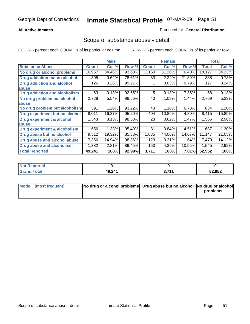### **All Active Inmates**

#### Produced for **General Distribution**

### Scope of substance abuse - detail

|                                      |              | <b>Male</b> |        |              | <b>Female</b> |        |              | <b>Total</b>        |
|--------------------------------------|--------------|-------------|--------|--------------|---------------|--------|--------------|---------------------|
| <b>Substance Abuse</b>               | <b>Count</b> | Col %       | Row %  | <b>Count</b> | Col %         | Row %  | <b>Total</b> | Col %               |
| No drug or alcohol problems          | 16,967       | 34.46%      | 93.60% | 1,160        | 31.26%        | 6.40%  | 18,127       | 34.23%              |
| <b>Drug addiction but no alcohol</b> | 305          | 0.62%       | 78.61% | 83           | 2.24%         | 21.39% | 388          | 0.73%               |
| <b>Drug addiction and alcohol</b>    | 126          | 0.26%       | 99.21% |              | 0.03%         | 0.79%  | 127          | 0.24%               |
| abuse                                |              |             |        |              |               |        |              |                     |
| <b>Drug addiction and alcoholism</b> | 63           | 0.13%       | 92.65% | 5            | 0.13%         | 7.35%  | 68           | $\overline{0.13\%}$ |
| No drug problem but alcohol          | 2,729        | 5.54%       | 98.56% | 40           | 1.08%         | 1.44%  | 2,769        | 5.23%               |
| abuse                                |              |             |        |              |               |        |              |                     |
| No drug problem but alcoholism       | 591          | 1.20%       | 93.22% | 43           | 1.16%         | 6.78%  | 634          | 1.20%               |
| Drug experiment but no alcohol       | 8,011        | 16.27%      | 95.20% | 404          | 10.89%        | 4.80%  | 8,415        | 15.89%              |
| <b>Drug experiment &amp; alcohol</b> | 1,543        | 3.13%       | 98.53% | 23           | 0.62%         | 1.47%  | 1,566        | 2.96%               |
| abuse                                |              |             |        |              |               |        |              |                     |
| Drug experiment & alcoholism         | 656          | 1.33%       | 95.49% | 31           | 0.84%         | 4.51%  | 687          | 1.30%               |
| Drug abuse but no alcohol            | 9,512        | 19.32%      | 85.33% | 1,635        | 44.06%        | 14.67% | 11,147       | 21.05%              |
| Drug abuse and alcohol abuse         | 7,356        | 14.94%      | 98.36% | 123          | 3.31%         | 1.64%  | 7,479        | 14.12%              |
| Drug abuse and alcoholism            | 1,382        | 2.81%       | 89.45% | 163          | 4.39%         | 10.55% | 1,545        | 2.92%               |
| <b>Total Reported</b>                | 49,241       | 100%        | 92.99% | 3,711        | 100%          | 7.01%  | 52,952       | 100%                |

| <b>Not Reported</b> |        |                |        |
|---------------------|--------|----------------|--------|
| <b>cotal</b>        | 49,241 | 2747<br>. J. I | 52,952 |

| Mode (most frequent) | No drug or alcohol problems Drug abuse but no alcohol No drug or alcohol |          |
|----------------------|--------------------------------------------------------------------------|----------|
|                      |                                                                          | problems |
|                      |                                                                          |          |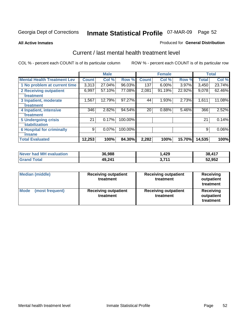#### **All Active Inmates**

#### Produced for **General Distribution**

### Current / last mental health treatment level

|                                    |              | <b>Male</b> |         |              | <b>Female</b> |          |              | <b>Total</b> |
|------------------------------------|--------------|-------------|---------|--------------|---------------|----------|--------------|--------------|
| <b>Mental Health Treatment Lev</b> | <b>Count</b> | Col %       | Row %   | <b>Count</b> | Col %         | Row %    | <b>Total</b> | Col %        |
| 1 No problem at current time       | 3,313        | 27.04%      | 96.03%  | 137          | $6.00\%$      | $3.97\%$ | 3,450        | 23.74%       |
| 2 Receiving outpatient             | 6,997        | 57.10%      | 77.08%  | 2,081        | 91.19%        | 22.92%   | 9,078        | 62.46%       |
| treatment                          |              |             |         |              |               |          |              |              |
| 3 Inpatient, moderate              | 1,567        | 12.79%      | 97.27%  | 44           | 1.93%         | 2.73%    | 1,611        | 11.08%       |
| treatment                          |              |             |         |              |               |          |              |              |
| 4 Inpatient, intensive             | 346          | 2.82%       | 94.54%  | 20           | 0.88%         | 5.46%    | 366          | 2.52%        |
| treatment                          |              |             |         |              |               |          |              |              |
| <b>5 Undergoing crisis</b>         | 21           | 0.17%       | 100.00% |              |               |          | 21           | 0.14%        |
| stabilization                      |              |             |         |              |               |          |              |              |
| <b>6 Hospital for criminally</b>   | 9            | $0.07\%$    | 100.00% |              |               |          | 9            | 0.06%        |
| insane                             |              |             |         |              |               |          |              |              |
| <b>Total Evaluated</b>             | 12,253       | 100%        | 84.30%  | 2,282        | 100%          | 15.70%   | 14,535       | 100%         |

| Never had MH evaluation | 36,988 | .429                  | 38,417 |
|-------------------------|--------|-----------------------|--------|
| <b>Grand Total</b>      | 49,241 | - 744<br><u>J.III</u> | 52,952 |

| <b>Median (middle)</b>  | <b>Receiving outpatient</b><br>treatment | <b>Receiving outpatient</b><br>treatment | <b>Receiving</b><br>outpatient<br>treatment |  |
|-------------------------|------------------------------------------|------------------------------------------|---------------------------------------------|--|
| Mode<br>(most frequent) | <b>Receiving outpatient</b><br>treatment | <b>Receiving outpatient</b><br>treatment | Receiving<br>outpatient<br>treatment        |  |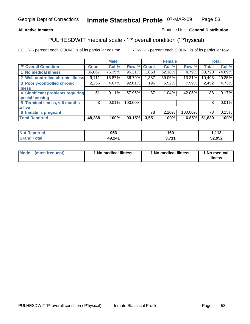### **All Active Inmates**

### Produced for **General Distribution**

# PULHESDWIT medical scale - 'P' overall condition ('P'hysical)

|                                   |              | <b>Male</b> |         |              | <b>Female</b> |         |              | <b>Total</b> |
|-----------------------------------|--------------|-------------|---------|--------------|---------------|---------|--------------|--------------|
| 'P' Overall Condition             | <b>Count</b> | Col %       | Row %   | <b>Count</b> | Col %         | Row %   | <b>Total</b> | Col %        |
| 1 No medical illness              | 36,867       | 76.35%      | 95.21%  | 1,853        | 52.18%        | 4.79%   | 38,720       | 74.69%       |
| 2 Well-controlled chronic illness | 9,111        | 18.87%      | 86.79%  | 1,387        | 39.06%        | 13.21%  | 10,498       | 20.25%       |
| 3 Poorly-controlled chronic       | 2,256        | 4.67%       | 92.01%  | 196          | 5.52%         | 7.99%   | 2,452        | 4.73%        |
| <b>illness</b>                    |              |             |         |              |               |         |              |              |
| 4 Significant problems requiring  | 51           | 0.11%       | 57.95%  | 37           | $1.04\%$      | 42.05%  | 88           | 0.17%        |
| special housing                   |              |             |         |              |               |         |              |              |
| 5 Terminal illness, < 6 months    | 3            | 0.01%       | 100.00% |              |               |         | 3            | 0.01%        |
| to live                           |              |             |         |              |               |         |              |              |
| 6 Inmate is pregnant              |              |             |         | 78           | 2.20%         | 100.00% | 78           | 0.15%        |
| <b>Total Reported</b>             | 48,288       | 100%        | 93.15%  | 3,551        | 100%          | 6.85%   | 51,839       | 100%         |

| <b>rted</b> | 953             | 4 C D<br>vv | 442<br>. . |
|-------------|-----------------|-------------|------------|
| $\sim$      | 49.241<br>TV.LT | <b>744</b>  | 52,952     |

| Mode | (most frequent) | 1 No medical illness | 1 No medical illness | 1 No medical<br>illness |
|------|-----------------|----------------------|----------------------|-------------------------|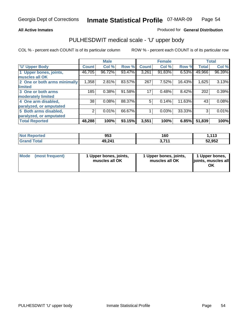#### **All Active Inmates**

#### Produced for **General Distribution**

### PULHESDWIT medical scale - 'U' upper body

|                              |              | <b>Male</b> |        |              | <b>Female</b> |        |              | <b>Total</b> |
|------------------------------|--------------|-------------|--------|--------------|---------------|--------|--------------|--------------|
| <b>U' Upper Body</b>         | <b>Count</b> | Col %       | Row %  | <b>Count</b> | Col %         | Row %  | <b>Total</b> | Col %        |
| 1 Upper bones, joints,       | 46,705       | 96.72%      | 93.47% | 3,261        | 91.83%        | 6.53%  | 49,966       | 96.39%       |
| muscles all OK               |              |             |        |              |               |        |              |              |
| 2 One or both arms minimally | 1,358        | 2.81%       | 83.57% | 267          | 7.52%         | 16.43% | 1,625        | 3.13%        |
| limited                      |              |             |        |              |               |        |              |              |
| 3 One or both arms           | 185          | 0.38%       | 91.58% | 17           | 0.48%         | 8.42%  | 202          | 0.39%        |
| moderately limited           |              |             |        |              |               |        |              |              |
| 4 One arm disabled,          | 38           | 0.08%       | 88.37% | 5            | 0.14%         | 11.63% | 43           | 0.08%        |
| paralyzed, or amputated      |              |             |        |              |               |        |              |              |
| 5 Both arms disabled,        | 2            | 0.01%       | 66.67% |              | 0.03%         | 33.33% | 3            | 0.01%        |
| paralyzed, or amputated      |              |             |        |              |               |        |              |              |
| <b>Total Reported</b>        | 48,288       | 100%        | 93.15% | 3,551        | 100%          | 6.85%  | 51,839       | 100%         |

| <b>Not Reported</b>   | 953    | 160        | 112<br>. |
|-----------------------|--------|------------|----------|
| Total<br><b>Grand</b> | 49,241 | 2.744<br>. | 52,952   |

| <b>Mode</b> | (most frequent) | 1 Upper bones, joints,<br>muscles all OK | 1 Upper bones, joints,<br>muscles all OK | 1 Upper bones,<br>joints, muscles all<br>ΟK |
|-------------|-----------------|------------------------------------------|------------------------------------------|---------------------------------------------|
|-------------|-----------------|------------------------------------------|------------------------------------------|---------------------------------------------|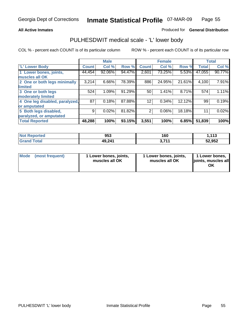#### **All Active Inmates**

#### Produced for **General Distribution**

### PULHESDWIT medical scale - 'L' lower body

|                                |              | <b>Male</b> |        |                | <b>Female</b> |        |              | <b>Total</b> |
|--------------------------------|--------------|-------------|--------|----------------|---------------|--------|--------------|--------------|
| <b>L' Lower Body</b>           | <b>Count</b> | Col %       | Row %  | <b>Count</b>   | Col %         | Row %  | <b>Total</b> | Col %        |
| 1 Lower bones, joints,         | 44,454       | 92.06%      | 94.47% | 2,601          | 73.25%        | 5.53%  | 47,055       | 90.77%       |
| muscles all OK                 |              |             |        |                |               |        |              |              |
| 2 One or both legs minimally   | 3,214        | 6.66%       | 78.39% | 886            | 24.95%        | 21.61% | 4,100        | 7.91%        |
| limited                        |              |             |        |                |               |        |              |              |
| 3 One or both legs             | 524          | 1.09%       | 91.29% | 50             | 1.41%         | 8.71%  | 574          | 1.11%        |
| moderately limited             |              |             |        |                |               |        |              |              |
| 4 One leg disabled, paralyzed, | 87           | 0.18%       | 87.88% | 12             | 0.34%         | 12.12% | 99           | 0.19%        |
| or amputated                   |              |             |        |                |               |        |              |              |
| 5 Both legs disabled,          | 9            | 0.02%       | 81.82% | $\overline{2}$ | 0.06%         | 18.18% | 11           | 0.02%        |
| paralyzed, or amputated        |              |             |        |                |               |        |              |              |
| <b>Total Reported</b>          | 48,288       | 100%        | 93.15% | 3,551          | 100%          | 6.85%  | 51,839       | 100%         |

| <b>Not Reported</b> | 953    | 160        | 112<br>7. I I J |
|---------------------|--------|------------|-----------------|
| <b>Grand Total</b>  | 49,241 | 2.744<br>. | 52,952          |

|  | Mode (most frequent) | 1 Lower bones, joints,<br>muscles all OK | 1 Lower bones, joints,<br>muscles all OK | 1 Lower bones,<br>joints, muscles all<br>OK |
|--|----------------------|------------------------------------------|------------------------------------------|---------------------------------------------|
|--|----------------------|------------------------------------------|------------------------------------------|---------------------------------------------|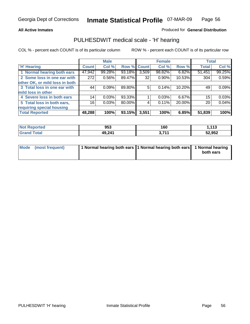#### **All Active Inmates**

#### Produced for **General Distribution**

### PULHESDWIT medical scale - 'H' hearing

|                                |        | <b>Male</b> |             |       | <b>Female</b> |          | <b>Total</b> |        |
|--------------------------------|--------|-------------|-------------|-------|---------------|----------|--------------|--------|
| <b>H'</b> Hearing              | Count  | Col %       | Row % Count |       | Col %         | Row %    | <b>Total</b> | Col %  |
| 1 Normal hearing both ears     | 47,942 | 99.28%      | 93.18%      | 3,509 | 98.82%        | $6.82\%$ | 51,451       | 99.25% |
| 2 Some loss in one ear with    | 272    | 0.56%       | 89.47%      | 32    | $0.90\%$      | 10.53%   | 304          | 0.59%  |
| other OK, or mild loss in both |        |             |             |       |               |          |              |        |
| 3 Total loss in one ear with   | 44     | 0.09%       | 89.80%      | 5     | 0.14%         | 10.20%   | 49           | 0.09%  |
| mild loss in other             |        |             |             |       |               |          |              |        |
| 4 Severe loss in both ears     | 14     | 0.03%       | 93.33%      |       | 0.03%         | $6.67\%$ | 15           | 0.03%  |
| 5 Total loss in both ears,     | 16     | 0.03%       | 80.00%      | 4     | 0.11%         | 20.00%   | 20           | 0.04%  |
| requiring special housing      |        |             |             |       |               |          |              |        |
| <b>Total Reported</b>          | 48,288 | 100%        | 93.15%      | 3,551 | 100%          | 6.85%    | 51,839       | 100%   |

| orted             | 953    | 160                   | 442<br>. |
|-------------------|--------|-----------------------|----------|
| $f \sim f \sim f$ | 49,241 | <b>2 744</b><br>9.111 | 52,952   |

| Mode (most frequent) | 1 Normal hearing both ears   1 Normal hearing both ears   1 Normal hearing |           |
|----------------------|----------------------------------------------------------------------------|-----------|
|                      |                                                                            | both ears |
|                      |                                                                            |           |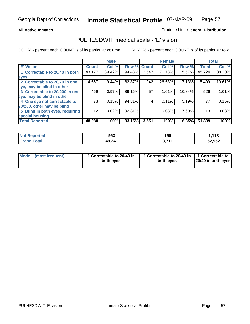#### **All Active Inmates**

### Produced for **General Distribution**

### PULHESDWIT medical scale - 'E' vision

|                                 |              | <b>Male</b> |             |       | <b>Female</b> |        |              | <b>Total</b> |
|---------------------------------|--------------|-------------|-------------|-------|---------------|--------|--------------|--------------|
| 'E' Vision                      | <b>Count</b> | Col %       | Row % Count |       | Col %         | Row %  | <b>Total</b> | Col %        |
| 1 Correctable to 20/40 in both  | 43,177       | 89.42%      | 94.43%      | 2,547 | 71.73%        | 5.57%  | 45,724       | 88.20%       |
| eyes                            |              |             |             |       |               |        |              |              |
| 2 Correctable to 20/70 in one   | 4,557        | 9.44%       | 82.87%      | 942   | 26.53%        | 17.13% | 5,499        | 10.61%       |
| eye, may be blind in other      |              |             |             |       |               |        |              |              |
| 3 Correctable to 20/200 in one  | 469          | 0.97%       | 89.16%      | 57    | 1.61%         | 10.84% | 526          | 1.01%        |
| eye, may be blind in other      |              |             |             |       |               |        |              |              |
| 4 One eye not correctable to    | 73           | 0.15%       | 94.81%      | 4     | 0.11%         | 5.19%  | 77           | 0.15%        |
| 20/200, other may be blind      |              |             |             |       |               |        |              |              |
| 5 Blind in both eyes, requiring | 12           | 0.02%       | 92.31%      |       | 0.03%         | 7.69%  | 13           | 0.03%        |
| special housing                 |              |             |             |       |               |        |              |              |
| <b>Total Reported</b>           | 48,288       | 100%        | 93.15%      | 3,551 | 100%          | 6.85%  | 51,839       | 100%         |

| <b>Not Reported</b> | 953    | 160    | $\overline{442}$<br>. |
|---------------------|--------|--------|-----------------------|
| <b>Total</b>        | 49,241 | 9 74 4 | 52,952                |

|  | Mode (most frequent) | 1 Correctable to 20/40 in<br>both eves | 1 Correctable to 20/40 in   1 Correctable to<br>both eves | 20/40 in both eyes |
|--|----------------------|----------------------------------------|-----------------------------------------------------------|--------------------|
|--|----------------------|----------------------------------------|-----------------------------------------------------------|--------------------|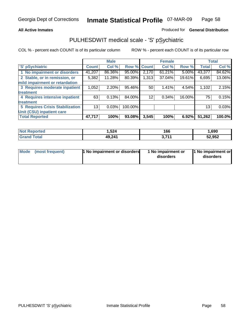#### **All Active Inmates**

#### Produced for **General Distribution**

### PULHESDWIT medical scale - 'S' pSychiatric

|                                        |              | <b>Male</b> |             |       | <b>Female</b> |          |              | <b>Total</b> |
|----------------------------------------|--------------|-------------|-------------|-------|---------------|----------|--------------|--------------|
| 'S' pSychiatric                        | <b>Count</b> | Col %       | Row % Count |       | Col %         | Row %    | <b>Total</b> | Col %        |
| 1 No impairment or disorders           | 41,207       | 86.36%      | 95.00%      | 2,170 | $61.21\%$     | $5.00\%$ | 43,377       | 84.62%       |
| 2 Stable, or in remission, or          | 5,382        | 11.28%      | 80.39%      | 1,313 | 37.04%        | 19.61%   | 6,695        | 13.06%       |
| mild impairment or retardation         |              |             |             |       |               |          |              |              |
| 3 Requires moderate inpatient          | 1,052        | $2.20\%$    | 95.46%      | 50    | 1.41%         | 4.54%    | 1,102        | 2.15%        |
| treatment                              |              |             |             |       |               |          |              |              |
| 4 Requires intensive inpatient         | 63           | 0.13%       | 84.00%      | 12    | 0.34%         | 16.00%   | 75           | 0.15%        |
| treatment                              |              |             |             |       |               |          |              |              |
| <b>5 Requires Crisis Stabilization</b> | 13           | 0.03%       | 100.00%     |       |               |          | 13           | 0.03%        |
| Unit (CSU) inpatient care              |              |             |             |       |               |          |              |              |
| <b>Total Reported</b>                  | 47,717       | 100%        | 93.08%      | 3,545 | 100%          | 6.92%    | 51,262       | 100.0%       |

| <b>Not Reported</b>     | .524   | 166             | 690, ا |
|-------------------------|--------|-----------------|--------|
| $\tau$ otal<br>ˈGrand . | 49,241 | 2711<br>J.I I I | 52,952 |

| Mode (most frequent) | <b>1</b> No impairment or disorders | 1 No impairment or<br>disorders | 1 No impairment or<br>disorders |
|----------------------|-------------------------------------|---------------------------------|---------------------------------|
|                      |                                     |                                 |                                 |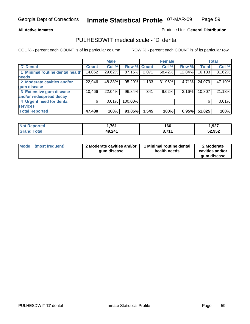#### **All Active Inmates**

### Produced for **General Distribution**

### PULHESDWIT medical scale - 'D' dental

|                                 |              | <b>Male</b> |             |       | <b>Female</b> |        |              | <b>Total</b> |
|---------------------------------|--------------|-------------|-------------|-------|---------------|--------|--------------|--------------|
| <b>D' Dental</b>                | <b>Count</b> | Col %       | Row % Count |       | Col %         | Row %  | <b>Total</b> | Col %        |
| 1 Minimal routine dental health | 14,062       | 29.62%      | 87.16%      | 2,071 | 58.42%        | 12.84% | 16,133       | 31.62%       |
| <b>needs</b>                    |              |             |             |       |               |        |              |              |
| 2 Moderate cavities and/or      | 22,946       | 48.33%      | 95.29%      | 1,133 | 31.96%        | 4.71%  | 24,079       | 47.19%       |
| gum disease                     |              |             |             |       |               |        |              |              |
| 3 Extensive gum disease         | 10,466       | 22.04%      | 96.84%      | 341   | 9.62%         | 3.16%  | 10,807       | 21.18%       |
| and/or widespread decay         |              |             |             |       |               |        |              |              |
| 4 Urgent need for dental        | 6            | 0.01%       | 100.00%     |       |               |        | 6            | 0.01%        |
| <b>services</b>                 |              |             |             |       |               |        |              |              |
| <b>Total Reported</b>           | 47,480       | 100%        | 93.05%      | 3,545 | 100%          | 6.95%  | 51,025       | 100%         |

| 'Noi<br>orted | 761<br>I . I V I | 166 | 927, ا |
|---------------|------------------|-----|--------|
| <b>ota</b>    | 49,241           | 744 | 52,952 |

| <b>Mode</b><br>(most frequent) | 2 Moderate cavities and/or<br>qum disease | Minimal routine dental<br>health needs | 2 Moderate<br>cavities and/or<br>qum disease |
|--------------------------------|-------------------------------------------|----------------------------------------|----------------------------------------------|
|                                |                                           |                                        |                                              |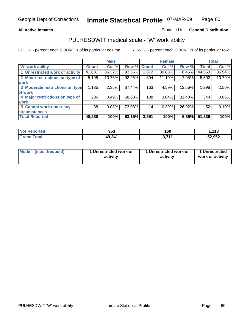#### **All Active Inmates**

#### Produced for **General Distribution**

### PULHESDWIT medical scale - 'W' work ability

|                                 |              | <b>Male</b> |        |              | <b>Female</b> |        |              | <b>Total</b> |
|---------------------------------|--------------|-------------|--------|--------------|---------------|--------|--------------|--------------|
| <b>W' work ability</b>          | <b>Count</b> | Col %       | Row %  | <b>Count</b> | Col %         | Row %  | <b>Total</b> | Col %        |
| 1 Unrestricted work or activity | 41,681       | 86.32%      | 93.55% | 2,872        | 80.88%        | 6.45%  | 44,553       | 85.94%       |
| 2 Minor restrictions on type of | 5,198        | 10.76%      | 92.95% | 394          | 11.10%        | 7.05%  | 5,592        | 10.79%       |
| <b>work</b>                     |              |             |        |              |               |        |              |              |
| 3 Moderate restrictions on type | 1,135        | 2.35%       | 87.44% | 163          | 4.59%         | 12.56% | 1,298        | 2.50%        |
| of work                         |              |             |        |              |               |        |              |              |
| 4 Major restrictions on type of | 236          | 0.49%       | 68.60% | 108          | 3.04%         | 31.40% | 344          | 0.66%        |
| <b>work</b>                     |              |             |        |              |               |        |              |              |
| 5 Cannot work under any         | 38           | 0.08%       | 73.08% | 14           | 0.39%         | 26.92% | 52           | 0.10%        |
| <b>circumstances</b>            |              |             |        |              |               |        |              |              |
| <b>Total Reported</b>           | 48,288       | 100%        | 93.15% | 3,551        | 100%          | 6.85%  | 51,839       | 100%         |

| <b>Not Reported</b> | 953    | 160         | 112<br>. |
|---------------------|--------|-------------|----------|
| <b>Grand Total</b>  | 49,241 | 2744<br>J.I | 52,952   |

| Mode            | 1 Unrestricted work or | 1 Unrestricted work or | 1 Unrestricted   |
|-----------------|------------------------|------------------------|------------------|
| (most frequent) | activity               | activity               | work or activity |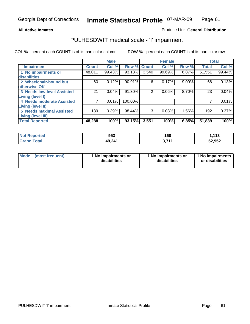#### **All Active Inmates**

#### Produced for **General Distribution**

### PULHESDWIT medical scale - 'I' impairment

|                                   |              | <b>Male</b> |             |       | <b>Female</b> |          |              | <b>Total</b> |
|-----------------------------------|--------------|-------------|-------------|-------|---------------|----------|--------------|--------------|
| <b>'l' Impairment</b>             | <b>Count</b> | Col %       | Row % Count |       | Col %         | Row %    | <b>Total</b> | Col %        |
| 1 No impairments or               | 48,011       | 99.43%      | 93.13%      | 3,540 | 99.69%        | 6.87%    | 51,551       | 99.44%       |
| disabilities                      |              |             |             |       |               |          |              |              |
| 2 Wheelchair-bound but            | 60           | 0.12%       | 90.91%      | 6     | 0.17%         | $9.09\%$ | 66           | 0.13%        |
| otherwise OK                      |              |             |             |       |               |          |              |              |
| <b>3 Needs low-level Assisted</b> | 21           | 0.04%       | 91.30%      | 2     | 0.06%         | 8.70%    | 23           | 0.04%        |
| Living (level I)                  |              |             |             |       |               |          |              |              |
| 4 Needs moderate Assisted         |              | 0.01%       | 100.00%     |       |               |          |              | $0.01\%$     |
| Living (level II)                 |              |             |             |       |               |          |              |              |
| <b>5 Needs maximal Assisted</b>   | 189          | 0.39%       | 98.44%      | 3     | 0.08%         | 1.56%    | 192          | 0.37%        |
| Living (level III)                |              |             |             |       |               |          |              |              |
| <b>Total Reported</b>             | 48,288       | 100%        | 93.15%      | 3,551 | 100%          | 6.85%    | 51,839       | 100%         |

| <b>Not Reported</b> | 953    | 160        | 1,113  |
|---------------------|--------|------------|--------|
| <b>Grand Total</b>  | 49,241 | 2744<br>◡… | 52,952 |

| <b>Mode</b> | (most frequent) | 1 No impairments or<br>disabilities | 1 No impairments or<br>disabilities | 1 No impairments<br>or disabilities |
|-------------|-----------------|-------------------------------------|-------------------------------------|-------------------------------------|
|-------------|-----------------|-------------------------------------|-------------------------------------|-------------------------------------|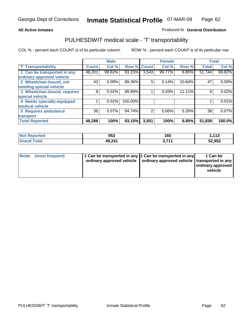#### **Inmate Statistical Profile** 07-MAR-09 Page Page 62

### **All Active Inmates Allowski** Produced fo **General Distribution**

### PULHESDWIT medical scale - 'T' transportability

|                              |              | <b>Male</b> |             |                | <b>Female</b> |          |              | <b>Total</b> |
|------------------------------|--------------|-------------|-------------|----------------|---------------|----------|--------------|--------------|
| <b>'T' Transportability</b>  | <b>Count</b> | Col %       | Row % Count |                | Col %         | Row %    | <b>Total</b> | Col %        |
| 1 Can be transported in any  | 48,201       | 99.82%      | 93.15%      | 3,543          | 99.77%        | $6.85\%$ | 51,744       | 99.82%       |
| ordinary approved vehicle    |              |             |             |                |               |          |              |              |
| 2 Wheelchair-bound, not      | 42           | 0.09%       | 89.36%      | 5              | 0.14%         | 10.64%   | 47           | 0.09%        |
| needing special vehicle      |              |             |             |                |               |          |              |              |
| 3 Wheelchair-bound, requires | 8            | 0.02%       | 88.89%      |                | 0.03%         | 11.11%   | 9            | 0.02%        |
| special vehicle              |              |             |             |                |               |          |              |              |
| 4 Needs specially-equipped   |              | 0.01%       | 100.00%     |                |               |          |              | 0.01%        |
| medical vehicle              |              |             |             |                |               |          |              |              |
| <b>5 Requires ambulance</b>  | 36           | $0.07\%$    | 94.74%      | $\overline{2}$ | 0.06%         | 5.26%    | 38           | 0.07%        |
| transport                    |              |             |             |                |               |          |              |              |
| <b>Total Reported</b>        | 48,288       | 100%        | 93.15%      | 3,551          | 100%          | 6.85%    | 51,839       | 100.0%       |

| <b>Not</b><br>Reported       | 953    | 160              | 1,113  |
|------------------------------|--------|------------------|--------|
| <b>Fotal</b><br><b>Grand</b> | 49,241 | , 744<br><b></b> | 52,952 |

| Mode (most frequent) | 1 Can be transported in any 1 Can be transported in any | ordinary approved vehicle   ordinary approved vehicle   transported in any | 1 Can be<br>ordinary approved<br>vehicle |
|----------------------|---------------------------------------------------------|----------------------------------------------------------------------------|------------------------------------------|
|                      |                                                         |                                                                            |                                          |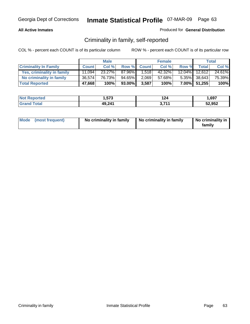#### **All Active Inmates**

### Produced for **General Distribution**

### Criminality in family, self-reported

|                              |              | <b>Male</b> |         |              | <b>Female</b> |       |               | <b>Total</b> |
|------------------------------|--------------|-------------|---------|--------------|---------------|-------|---------------|--------------|
| <b>Criminality In Family</b> | <b>Count</b> | Col %       | Row %   | <b>Count</b> | Col %         | Row % | <b>Total</b>  | Col %        |
| Yes, criminality in family   | 11,094       | $23.27\%$   | 87.96%I | 1,518        | 42.32%        |       | 12.04% 12,612 | 24.61%       |
| No criminality in family     | 36,574       | 76.73%      | 94.65%  | 2,069        | 57.68%        |       | 5.35% 38,643  | 75.39%       |
| <b>Total Reported</b>        | 47,668       | 100%        | 93.00%  | 3,587        | 100%          |       | 7.00% 51,255  | 100%         |

| <b>Not Reported</b>   | 1,573  | 124              | .,697  |
|-----------------------|--------|------------------|--------|
| Гоtal<br><b>Grand</b> | 49,241 | <b>744</b><br>v. | 52,952 |

| Mode (most frequent) |  | No criminality in family | No criminality in family | No criminality in<br>family |
|----------------------|--|--------------------------|--------------------------|-----------------------------|
|----------------------|--|--------------------------|--------------------------|-----------------------------|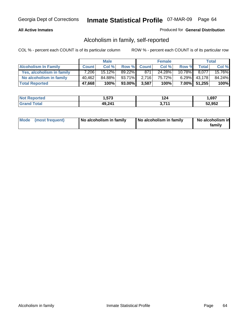### **All Active Inmates**

### Produced for **General Distribution**

### Alcoholism in family, self-reported

|                             |              | <b>Male</b> |         |              | <b>Female</b> |           |                 | <b>Total</b> |
|-----------------------------|--------------|-------------|---------|--------------|---------------|-----------|-----------------|--------------|
| <b>Alcoholism In Family</b> | <b>Count</b> | Col %       | Row %   | <b>Count</b> | Col %         | Row %     | <b>Total</b>    | Col %        |
| Yes, alcoholism in family   | 7.206        | $15.12\%$   | 89.22%I | 871          | 24.28%        | $10.78\%$ | 8.077           | 15.76%       |
| No alcoholism in family     | 40,462       | 84.88%      | 93.71%  | 2,716        | 75.72%        |           | $6.29\%$ 43,178 | 84.24%       |
| <b>Total Reported</b>       | 47,668       | 100%        | 93.00%  | 3,587        | 100%          |           | 7.00% 51,255    | 100%         |

| <b>Not Reported</b>   | 573. ا | 124        | 697ء،  |
|-----------------------|--------|------------|--------|
| <b>Grand</b><br>⊺otal | 49,241 | <b>744</b> | 52,952 |

|  | Mode (most frequent) | No alcoholism in family | No alcoholism in family | No alcoholism in<br>family |
|--|----------------------|-------------------------|-------------------------|----------------------------|
|--|----------------------|-------------------------|-------------------------|----------------------------|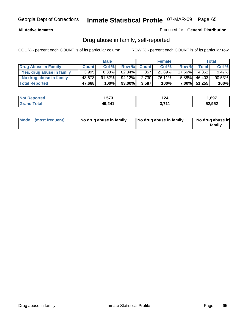#### **All Active Inmates**

Produced for **General Distribution**

### Drug abuse in family, self-reported

|                           |              | <b>Male</b> |        |              | <b>Female</b> |          |              | <b>Total</b> |
|---------------------------|--------------|-------------|--------|--------------|---------------|----------|--------------|--------------|
| Drug Abuse In Family      | <b>Count</b> | Col %       | Row %  | <b>Count</b> | Col %         | Row %    | Total        | Col %        |
| Yes, drug abuse in family | 3,995        | 8.38%       | 82.34% | 857          | 23.89%        | 17.66%   | 4.852        | $9.47\%$     |
| No drug abuse in family   | 43,673       | 91.62%      | 94.12% | 2,730        | 76.11%        | $5.88\%$ | 46,403       | 90.53%       |
| <b>Total Reported</b>     | 47,668       | 100%        | 93.00% | 3,587        | 100%          |          | 7.00% 51,255 | 100%         |

| <b>Not Reported</b>   | 1,573  | 124              | .,697  |
|-----------------------|--------|------------------|--------|
| Гоtal<br><b>Grand</b> | 49,241 | <b>744</b><br>v. | 52,952 |

|  | Mode (most frequent) | No drug abuse in family | No drug abuse in family | No drug abuse in<br>family |
|--|----------------------|-------------------------|-------------------------|----------------------------|
|--|----------------------|-------------------------|-------------------------|----------------------------|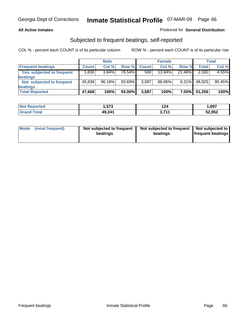#### **All Active Inmates**

### Produced for **General Distribution**

### Subjected to frequent beatings, self-reported

|                                   |              | <b>Male</b> |           |              | <b>Female</b> |          |              | <b>Total</b> |
|-----------------------------------|--------------|-------------|-----------|--------------|---------------|----------|--------------|--------------|
| <b>Frequent beatings</b>          | <b>Count</b> | Col%        | Row %     | <b>Count</b> | Col%          | Row %    | <b>Total</b> | Col %        |
| <b>Yes, subjected to frequent</b> | 1,830        | 3.84%       | 78.54%    | 500          | $13.94\%$     | 21.46%   | 2,330        | 4.55%        |
| beatings                          |              |             |           |              |               |          |              |              |
| Not subjected to frequent         | 45,838       | 96.16%      | $93.69\%$ | 3,087        | 86.06%        | $6.31\%$ | 48,925       | 95.45%       |
| beatings                          |              |             |           |              |               |          |              |              |
| <b>Total Reported</b>             | 47,668       | 100%        | 93.00%    | 3,587        | 100%          | 7.00%    | 51,255       | 100%         |

| orted<br><u>∣</u> ΝΟι | .,573  | 124              | ,697   |
|-----------------------|--------|------------------|--------|
| <b>Total</b><br>. Gr  | 49,241 | <b>744</b><br>v. | 52,952 |

| <b>Mode</b> | (most frequent) | Not subjected to frequent<br>beatings | Not subjected to frequent<br>beatings | Not subjected to<br>frequent beatings |
|-------------|-----------------|---------------------------------------|---------------------------------------|---------------------------------------|
|             |                 |                                       |                                       |                                       |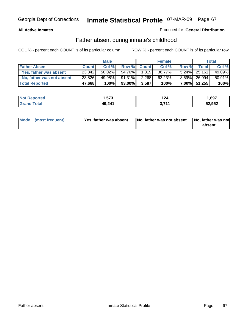### **All Active Inmates**

### Produced for **General Distribution**

### Father absent during inmate's childhood

|                           |              | <b>Male</b> |        |              | <b>Female</b> |       |              | Total  |
|---------------------------|--------------|-------------|--------|--------------|---------------|-------|--------------|--------|
| <b>Father Absent</b>      | <b>Count</b> | Col %       | Row %  | <b>Count</b> | Col %         | Row % | Total        | Col %  |
| Yes, father was absent    | 23,842       | $50.02\%$   | 94.76% | 1.319        | 36.77%        |       | 5.24% 25,161 | 49.09% |
| No, father was not absent | 23,826       | 49.98%      | 91.31% | 2,268        | 63.23%        |       | 8.69% 26,094 | 50.91% |
| <b>Total Reported</b>     | 47,668       | 100%        | 93.00% | 3,587        | 100%          |       | 7.00% 51,255 | 100%   |

| <b>Not Reported</b>   | 1,573  | 124              | .,697  |
|-----------------------|--------|------------------|--------|
| Гоtal<br><b>Grand</b> | 49,241 | <b>744</b><br>v. | 52,952 |

| Mode (most frequent) | Yes, father was absent | No, father was not absent No, father was not | absent |
|----------------------|------------------------|----------------------------------------------|--------|
|                      |                        |                                              |        |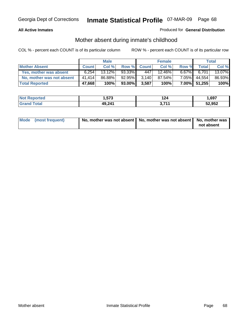### **All Active Inmates**

### Produced for **General Distribution**

### Mother absent during inmate's childhood

|                           |              | <b>Male</b> |        |              | <b>Female</b> |          |              | <b>Total</b> |
|---------------------------|--------------|-------------|--------|--------------|---------------|----------|--------------|--------------|
| <b>Mother Absent</b>      | <b>Count</b> | Col %       | Row %  | <b>Count</b> | Col %         | Row %    | Total        | Col %        |
| Yes, mother was absent    | 6.254        | 13.12%      | 93.33% | 447          | 12.46%        | $6.67\%$ | 6.701        | 13.07%       |
| No, mother was not absent | 41.414       | 86.88%      | 92.95% | 3.140        | 87.54%        | 7.05%    | 44,554       | 86.93%       |
| <b>Total Reported</b>     | 47,668       | 100%        | 93.00% | 3,587        | 100%          |          | 7.00% 51,255 | 100%         |

| <b>Not Reported</b>   | 1,573  | 124              | .,697  |
|-----------------------|--------|------------------|--------|
| Гоtal<br><b>Grand</b> | 49,241 | <b>744</b><br>v. | 52,952 |

| Mode (most frequent) | No, mother was not absent $\vert$ No, mother was not absent $\vert$ No, mother was | not absent |
|----------------------|------------------------------------------------------------------------------------|------------|
|                      |                                                                                    |            |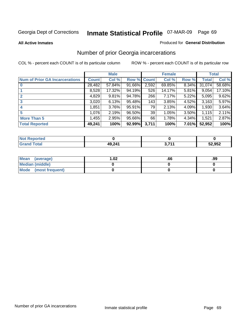#### **All Active Inmates**

#### Produced for **General Distribution**

### Number of prior Georgia incarcerations

|                                       |              | <b>Male</b> |                    |       | <b>Female</b> |          |        | <b>Total</b> |
|---------------------------------------|--------------|-------------|--------------------|-------|---------------|----------|--------|--------------|
| <b>Num of Prior GA Incarcerations</b> | <b>Count</b> | Col %       | <b>Row % Count</b> |       | Col %         | Row %    | Total  | Col %        |
| $\bf{0}$                              | 28,482       | 57.84%      | 91.66%             | 2,592 | 69.85%        | $8.34\%$ | 31,074 | 58.68%       |
|                                       | 8,528        | 17.32%      | 94.19%             | 526   | 14.17%        | 5.81%    | 9,054  | 17.10%       |
|                                       | 4,829        | 9.81%       | 94.78%             | 266   | 7.17%         | 5.22%    | 5,095  | 9.62%        |
| 3                                     | 3,020        | 6.13%       | 95.48%             | 143   | 3.85%         | 4.52%    | 3,163  | 5.97%        |
|                                       | 1,851        | 3.76%       | 95.91%             | 79    | 2.13%         | 4.09%    | 1,930  | 3.64%        |
| 5                                     | 1,076        | 2.19%       | 96.50%             | 39    | 1.05%         | $3.50\%$ | 1,115  | 2.11%        |
| <b>More Than 5</b>                    | 1,455        | 2.95%       | 95.66%             | 66    | 1.78%         | 4.34%    | 1,521  | 2.87%        |
| <b>Total Reported</b>                 | 49,241       | 100%        | 92.99%             | 3,711 | 100%          | 7.01%    | 52,952 | 100%         |

| N<br>тес |                  |       |        |
|----------|------------------|-------|--------|
| $\sim$   | 49 241<br>$-1.4$ | , 747 | 52,952 |

| Mean (average)       | .02 | .99 |
|----------------------|-----|-----|
| Median (middle)      |     |     |
| Mode (most frequent) |     |     |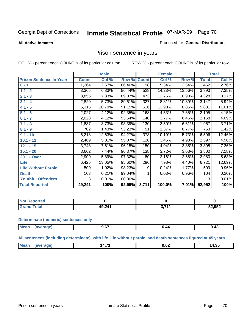#### **All Active Inmates**

#### Produced for **General Distribution**

### Prison sentence in years

COL % - percent each COUNT is of its particular column ROW % - percent each COUNT is of its particular row

|                                 |              | <b>Male</b> |         |              | <b>Female</b> |        |                    | <b>Total</b> |
|---------------------------------|--------------|-------------|---------|--------------|---------------|--------|--------------------|--------------|
| <b>Prison Sentence In Years</b> | <b>Count</b> | Col %       | Row %   | <b>Count</b> | Col %         | Row %  | <b>Total</b>       | Col %        |
| $0 - 1$                         | 1,264        | 2.57%       | 86.46%  | 198          | 5.34%         | 13.54% | 1,462              | 2.76%        |
| $1.1 - 2$                       | 3,365        | 6.83%       | 86.44%  | 528          | 14.23%        | 13.56% | 3,893              | 7.35%        |
| $2.1 - 3$                       | 3,855        | 7.83%       | 89.07%  | 473          | 12.75%        | 10.93% | 4,328              | 8.17%        |
| $3.1 - 4$                       | 2,820        | 5.73%       | 89.61%  | 327          | 8.81%         | 10.39% | 3,147              | 5.94%        |
| $4.1 - 5$                       | 5,315        | 10.79%      | 91.15%  | 516          | 13.90%        | 8.85%  | 5,831              | 11.01%       |
| $5.1 - 6$                       | 2,027        | 4.12%       | 92.35%  | 168          | 4.53%         | 7.65%  | 2,195              | 4.15%        |
| $6.1 - 7$                       | 2,028        | 4.12%       | 93.54%  | 140          | 3.77%         | 6.46%  | 2,168              | 4.09%        |
| $7.1 - 8$                       | 1,837        | 3.73%       | 93.39%  | 130          | 3.50%         | 6.61%  | 1,967              | 3.71%        |
| $8.1 - 9$                       | 702          | 1.43%       | 93.23%  | 51           | 1.37%         | 6.77%  | 753                | 1.42%        |
| $9.1 - 10$                      | 6,218        | 12.63%      | 94.27%  | 378          | 10.19%        | 5.73%  | 6,596              | 12.46%       |
| $10.1 - 12$                     | 2,469        | 5.01%       | 95.07%  | 128          | 3.45%         | 4.93%  | 2,597              | 4.90%        |
| $12.1 - 15$                     | 3,748        | 7.61%       | 96.15%  | 150          | 4.04%         | 3.85%  | 3,898              | 7.36%        |
| $15.1 - 20$                     | 3,662        | 7.44%       | 96.37%  | 138          | 3.72%         | 3.63%  | $\overline{3,800}$ | 7.18%        |
| 20.1 - Over                     | 2,900        | 5.89%       | 97.32%  | 80           | 2.16%         | 2.68%  | 2,980              | 5.63%        |
| <b>Life</b>                     | 6,425        | 13.05%      | 95.60%  | 296          | 7.98%         | 4.40%  | 6,721              | 12.69%       |
| <b>Life Without Parole</b>      | 500          | 1.02%       | 98.23%  | 9            | 0.24%         | 1.77%  | 509                | 0.96%        |
| <b>Death</b>                    | 103          | 0.21%       | 99.04%  |              | 0.03%         | 0.96%  | 104                | 0.20%        |
| <b>Youthful Offenders</b>       | 3            | 0.01%       | 100.00% |              |               |        | 3                  | 0.01%        |
| <b>Total Reported</b>           | 49,241       | 100%        | 92.99%  | 3,711        | 100.0%        | 7.01%  | 52,952             | 100%         |

| ported<br><b>NOT</b> |        |      |        |
|----------------------|--------|------|--------|
| <b>otal</b>          | 49,241 | 274/ | 52,952 |

#### **Determinate (numeric) sentences only**

| Mear | "ane.<br>-- | $-$<br>v.v. | <br>9.4. |
|------|-------------|-------------|----------|
|      |             |             |          |

**All sentences (including determinate), with life, life without parole, and death sentences figured at 45 years**

| - -                                                 |             |  |  |
|-----------------------------------------------------|-------------|--|--|
| -28.<br>а л<br>ıд<br>4.JJ<br>$\cdots$<br>.<br>----- | $M_{\odot}$ |  |  |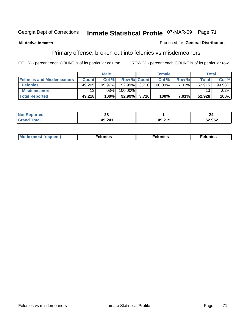#### **All Active Inmates**

#### Produced for **General Distribution**

## Primary offense, broken out into felonies vs misdemeanors

|                                  |              | <b>Male</b> |                    | <b>Female</b> |          | Total        |           |
|----------------------------------|--------------|-------------|--------------------|---------------|----------|--------------|-----------|
| <b>Felonies and Misdemeanors</b> | <b>Count</b> | Col %       | <b>Row % Count</b> | Col%          | Row %    | <b>Total</b> | Col %     |
| <b>Felonies</b>                  | 49,205       | $99.97\%$   | 92.99% 3,710       | 100.00%       | 7.01%    | 52.915       | $99.98\%$ |
| <b>Misdemeanors</b>              | 131          | $.03\%$     | 100.00%            |               |          | 13           | .02%      |
| <b>Total Reported</b>            | 49,218       | 100%        | $92.99\%$ 3.710    | 100%          | $7.01\%$ | 52.928       | 100%      |

| <b>Not Reported</b>   | ^^<br>∼∽ |                     | 44     |
|-----------------------|----------|---------------------|--------|
| <b>Total</b><br>Grand | 49 241   | 10 21 C<br>79.Z I J | 52,952 |

| Mode (most frequent) | elonies | elonies | onies<br>-е к |
|----------------------|---------|---------|---------------|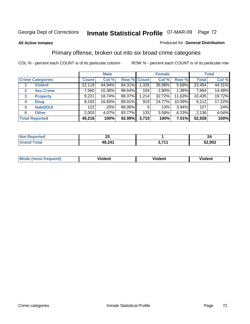#### **All Active Inmates**

#### Produced for **General Distribution**

### Primary offense, broken out into six broad crime categories

|                                  |              | <b>Male</b> |             |       | <b>Female</b> |        |              | <b>Total</b> |
|----------------------------------|--------------|-------------|-------------|-------|---------------|--------|--------------|--------------|
| <b>Crime Categories</b>          | <b>Count</b> | Col %       | Row % Count |       | Col %         | Row %  | <b>Total</b> | Col %        |
| <b>Violent</b>                   | 22,119       | 44.94%      | 94.31%      | 1,335 | 35.98%        | 5.69%  | 23,454       | 44.31%       |
| <b>Sex Crime</b><br>$\mathbf{2}$ | 7,560        | 15.36%      | 98.64%      | 104   | 2.80%         | 1.36%  | 7,664        | 14.48%       |
| $\mathbf{3}$<br><b>Property</b>  | 9,221        | 18.74%      | 88.37%      | 1,214 | 32.72%        | 11.63% | 10,435       | 19.72%       |
| <b>Drug</b><br>4                 | 8,193        | 16.65%      | 89.91%      | 919   | 24.77%        | 10.09% | 9,112        | 17.22%       |
| <b>Habit/DUI</b><br>5            | 122          | .25%        | 96.06%      | 5     | .13%          | 3.94%  | 127          | $.24\%$      |
| <b>Other</b><br>6                | 2,003        | 4.07%       | 93.77%      | 133   | 3.58%         | 6.23%  | 2,136        | 4.04%        |
| <b>Total Reported</b>            | 49,218       | 100%        | 92.99%      | 3,710 | 100%          | 7.01%  | 52,928       | 100%         |

| N | n,<br>$\overline{\phantom{a}}$ |     | ,,<br>-- |
|---|--------------------------------|-----|----------|
|   | 49,241                         | 74. | 52,952   |

| <b>Mou</b> | .<br>วient | วlent | ent |
|------------|------------|-------|-----|
|            |            |       |     |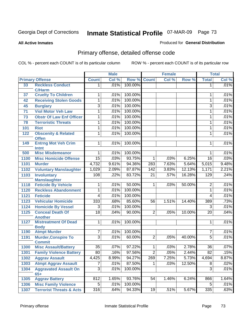**All Active Inmates**

### Produced for **General Distribution**

# Primary offense, detailed offense code

|      |                                                |                                  | <b>Male</b>  |                   |                 | <b>Female</b> |        |                     | <b>Total</b> |
|------|------------------------------------------------|----------------------------------|--------------|-------------------|-----------------|---------------|--------|---------------------|--------------|
|      | <b>Primary Offense</b>                         | <b>Count</b>                     | Col %        |                   | Row % Count     | Col %         | Row %  | <b>Total</b>        | Col %        |
| 33   | <b>Reckless Conduct</b>                        | $\mathbf 1$                      | .01%         | 100.00%           |                 |               |        | $\mathbf 1$         | .01%         |
|      | <b>C/Harm</b>                                  |                                  |              |                   |                 |               |        |                     |              |
| 37   | <b>Cruelty To Children</b>                     | 1                                | .01%         | 100.00%           |                 |               |        | 1                   | .01%         |
| 42   | <b>Receiving Stolen Goods</b>                  | 1                                | .01%         | 100.00%           |                 |               |        | 1                   | .01%         |
| 45   | <b>Burglary</b>                                | $\overline{3}$                   | .01%         | 100.00%           |                 |               |        | 3                   | .01%         |
| 71   | <b>Viol Motor Veh Law</b>                      | 1                                | .01%         | 100.00%           |                 |               |        | $\mathbf{1}$        | .01%         |
| 73   | <b>Obstr Of Law Enf Officer</b>                | 1                                | .01%         | 100.00%           |                 |               |        | $\mathbf{1}$        | .01%         |
| 78   | <b>Terroristic Threats</b>                     | 1                                | .01%         | 100.00%           |                 |               |        | $\mathbf{1}$        | .01%         |
| 101  | <b>Riot</b>                                    | 1                                | .01%         | 100.00%           |                 |               |        | $\mathbf{1}$        | .01%         |
| 122  | <b>Obscenity &amp; Related</b><br><b>Offen</b> | 1                                | .01%         | 100.00%           |                 |               |        | 1                   | .01%         |
| 149  | <b>Entrng Mot Veh Crim</b><br>Intnt            | $\overline{1}$                   | .01%         | 100.00%           |                 |               |        | 1                   | .01%         |
| 500  | <b>Misc Misdemeanor</b>                        | 1                                | .01%         | 100.00%           |                 |               |        | 1                   | .01%         |
| 1100 | <b>Misc Homicide Offense</b>                   | $\overline{15}$                  | .03%         | 93.75%            | 1               | .03%          | 6.25%  | $\overline{16}$     | .03%         |
| 1101 | <b>Murder</b>                                  | 4,732                            | 9.61%        | 94.36%            | 283             | 7.63%         | 5.64%  | 5,015               | 9.48%        |
| 1102 | <b>Voluntary Manslaughter</b>                  | 1,029                            | 2.09%        | 87.87%            | 142             | 3.83%         | 12.13% | 1,171               | 2.21%        |
| 1103 | <b>Involuntary</b>                             | 108                              | .22%         | 83.72%            | $\overline{21}$ | .57%          | 16.28% | 129                 | .24%         |
|      | <b>Manslaughter</b>                            |                                  |              |                   |                 |               |        |                     |              |
| 1118 | <b>Feticide By Vehicle</b>                     | 1                                | .01%         | 50.00%            | $\mathbf 1$     | .03%          | 50.00% | $\overline{2}$      | .01%         |
| 1120 | <b>Reckless Abandonment</b>                    | 1                                | .01%         | 100.00%           |                 |               |        | 1                   | .01%         |
| 1121 | <b>Feticide</b>                                | $\overline{4}$                   | .01%         | 100.00%           |                 |               |        | $\overline{4}$      | .01%         |
| 1123 | <b>Vehicular Homicide</b>                      | 333                              | .68%         | 85.60%            | 56              | 1.51%         | 14.40% | 389                 | .73%         |
| 1124 | <b>Homicide By Vessel</b>                      | $\overline{3}$                   | .01%         | 100.00%           |                 |               |        | $\overline{3}$      | .01%         |
| 1125 | <b>Conceal Death Of</b><br><b>Another</b>      | $\overline{18}$                  | .04%         | 90.00%            | $\overline{2}$  | .05%          | 10.00% | $\overline{20}$     | .04%         |
| 1127 | <b>Mistreatment Of Dead</b>                    | $\mathbf{1}$                     | .01%         | 100.00%           |                 |               |        | 1                   | .01%         |
|      | <b>Body</b>                                    |                                  |              |                   |                 |               |        |                     | .01%         |
| 1190 | <b>Atmpt Murder</b>                            | $\overline{7}$<br>$\overline{3}$ | .01%<br>.01% | 100.00%<br>60.00% |                 |               | 40.00% | 7<br>$\overline{5}$ | .01%         |
| 1191 | <b>Murder, Conspire To</b><br><b>Commit</b>    |                                  |              |                   | $\overline{2}$  | .05%          |        |                     |              |
| 1300 | <b>Misc Assault/Battery</b>                    | $\overline{35}$                  | .07%         | 97.22%            | $\mathbf{1}$    | .03%          | 2.78%  | $\overline{36}$     | .07%         |
| 1301 | <b>Family Violence Battery</b>                 | $\overline{80}$                  | .16%         | 97.56%            | $\overline{2}$  | .05%          | 2.44%  | $\overline{82}$     | .15%         |
| 1302 | <b>Aggrav Assault</b>                          | 4,425                            | 8.99%        | 94.27%            | 269             | 7.25%         | 5.73%  | 4,694               | 8.87%        |
| 1303 | <b>Atmpt Aggrav Assault</b>                    | 7                                | .01%         | 87.50%            | $\mathbf 1$     | .03%          | 12.50% | 8                   | .02%         |
| 1304 | <b>Aggravated Assault On</b>                   | $\overline{3}$                   | .01%         | 100.00%           |                 |               |        | $\overline{3}$      | .01%         |
|      | $65+$                                          |                                  |              |                   |                 |               |        |                     |              |
| 1305 | <b>Aggrav Battery</b>                          | 812                              | 1.65%        | 93.76%            | $\overline{54}$ | 1.46%         | 6.24%  | 866                 | 1.64%        |
| 1306 | <b>Misc Family Violence</b>                    | $\overline{5}$                   | .01%         | 100.00%           |                 |               |        | 5                   | .01%         |
| 1307 | <b>Terrorist Threats &amp; Acts</b>            | 316                              | .64%         | 94.33%            | 19              | .51%          | 5.67%  | 335                 | .63%         |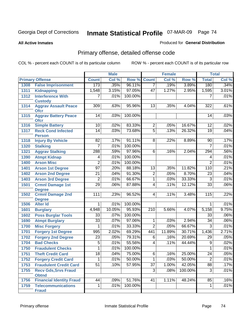#### **All Active Inmates**

### Produced for **General Distribution**

# Primary offense, detailed offense code

|      |                                             |                 | <b>Male</b> |         |                  | Female  |         |                 | <b>Total</b> |
|------|---------------------------------------------|-----------------|-------------|---------|------------------|---------|---------|-----------------|--------------|
|      | <b>Primary Offense</b>                      | <b>Count</b>    | Col %       | Row %   | <b>Count</b>     | Col %   | Row %   | <b>Total</b>    | Col %        |
| 1308 | <b>False Imprisonment</b>                   | 173             | .35%        | 96.11%  | $\overline{7}$   | .19%    | 3.89%   | 180             | .34%         |
| 1311 | <b>Kidnapping</b>                           | 1,548           | 3.15%       | 97.05%  | 47               | 1.27%   | 2.95%   | 1,595           | 3.01%        |
| 1312 | <b>Interference With</b>                    | 7               | .01%        | 100.00% |                  |         |         | 7               | .01%         |
|      | <b>Custody</b>                              |                 |             |         |                  |         |         |                 |              |
| 1314 | <b>Aggrav Assault Peace</b>                 | 309             | .63%        | 95.96%  | 13               | .35%    | 4.04%   | 322             | .61%         |
| 1315 | <b>Ofcr</b><br><b>Aggrav Battery Peace</b>  | 14              | .03%        | 100.00% |                  |         |         | 14              | .03%         |
|      | <b>Ofcr</b>                                 |                 |             |         |                  |         |         |                 |              |
| 1316 | <b>Simple Battery</b>                       | 10              | .02%        | 83.33%  | $\overline{2}$   | .05%    | 16.67%  | $\overline{12}$ | .02%         |
| 1317 | <b>Reck Cond Infected</b>                   | $\overline{14}$ | .03%        | 73.68%  | $\overline{5}$   | .13%    | 26.32%  | $\overline{19}$ | .04%         |
|      | <b>Person</b>                               |                 |             |         |                  |         |         |                 |              |
| 1318 | <b>Injury By Vehicle</b>                    | 82              | .17%        | 91.11%  | 8                | .22%    | 8.89%   | 90              | .17%         |
| 1320 | <b>Stalking</b>                             | 7               | .01%        | 100.00% |                  |         |         | 7               | .01%         |
| 1321 | <b>Aggrav Stalking</b>                      | 288             | .59%        | 97.96%  | $\overline{6}$   | .16%    | 2.04%   | 294             | .56%         |
| 1390 | <b>Atmpt Kidnap</b>                         | 4               | .01%        | 100.00% |                  |         |         | 4               | .01%         |
| 1400 | <b>Arson Misc</b>                           | $\overline{2}$  | .01%        | 100.00% |                  |         |         | $\overline{2}$  | .01%         |
| 1401 | <b>Arson 1st Degree</b>                     | $\overline{97}$ | .20%        | 88.18%  | 13               | .35%    | 11.82%  | 110             | .21%         |
| 1402 | <b>Arson 2nd Degree</b>                     | $\overline{21}$ | .04%        | 91.30%  | $\overline{2}$   | .05%    | 8.70%   | $\overline{23}$ | .04%         |
| 1403 | <b>Arson 3rd Degree</b>                     | 2               | .01%        | 66.67%  | $\overline{1}$   | .03%    | 33.33%  | $\overline{3}$  | .01%         |
| 1501 | <b>Crmnl Damage 1st</b>                     | $\overline{29}$ | .06%        | 87.88%  | $\overline{4}$   | .11%    | 12.12%  | $\overline{33}$ | .06%         |
|      | <b>Degree</b>                               |                 |             |         |                  |         |         |                 |              |
| 1502 | <b>Crmnl Damage 2nd</b>                     | 111             | .23%        | 96.52%  | 4                | .11%    | 3.48%   | 115             | .22%         |
| 1506 | <b>Degree</b><br><b>Alter Id</b>            | 1               | .01%        | 100.00% |                  |         |         | 1               | .01%         |
| 1601 | <b>Burglary</b>                             | 4,948           | 10.05%      | 95.93%  | $\overline{210}$ | 5.66%   | 4.07%   | 5,158           | 9.75%        |
| 1602 | <b>Poss Burglar Tools</b>                   | $\overline{33}$ | .07%        | 100.00% |                  |         |         | $\overline{33}$ | .06%         |
| 1690 | <b>Atmpt Burglary</b>                       | $\overline{33}$ | .07%        | 97.06%  | 1                | .03%    | 2.94%   | $\overline{34}$ | .06%         |
| 1700 | <b>Misc Forgery</b>                         |                 | .01%        | 33.33%  | $\overline{2}$   | .05%    | 66.67%  | $\overline{3}$  | .01%         |
| 1701 | <b>Forgery 1st Degree</b>                   | 995             | 2.02%       | 69.29%  | 441              | 11.89%  | 30.71%  | 1,436           | 2.71%        |
| 1702 | <b>Forgery 2nd Degree</b>                   | $\overline{23}$ | .05%        | 79.31%  | $\overline{6}$   | .16%    | 20.69%  | $\overline{29}$ | .05%         |
| 1704 | <b>Bad Checks</b>                           | $\overline{5}$  | .01%        | 55.56%  | $\overline{4}$   | .11%    | 44.44%  | $\overline{9}$  | .02%         |
| 1750 | <b>Fraudulent Checks</b>                    | 1               | .01%        | 100.00% |                  |         |         | 1               | .01%         |
| 1751 | <b>Theft Credit Card</b>                    | $\overline{18}$ | .04%        | 75.00%  | 6                | $.16\%$ | 25.00%  | $\overline{24}$ | .05%         |
| 1752 | <b>Forgery Credit Card</b>                  | 1               | .01%        | 50.00%  | $\overline{1}$   | .03%    | 50.00%  | $\overline{2}$  | .01%         |
| 1753 | <b>Fraudulent Credit Card</b>               | 51              | .10%        | 57.95%  | $\overline{37}$  | 1.00%   | 42.05%  | 88              | .17%         |
|      |                                             |                 |             |         |                  |         |         |                 |              |
| 1755 | <b>Recv Gds, Srvs Fraud</b><br><b>Obtnd</b> |                 |             |         | $\overline{3}$   | .08%    | 100.00% | $\overline{3}$  | .01%         |
| 1756 | <b>Financial Identity Fraud</b>             | 44              | .09%        | 51.76%  | 41               | 1.11%   | 48.24%  | 85              | .16%         |
| 1759 | <b>Telecommunications</b>                   | 1               | .01%        | 100.00% |                  |         |         | $\mathbf 1$     | .01%         |
|      | <b>Fraud</b>                                |                 |             |         |                  |         |         |                 |              |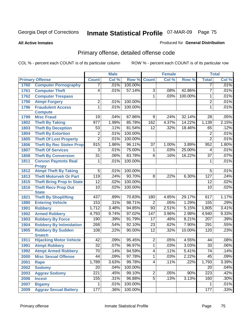**All Active Inmates**

### Produced for **General Distribution**

# Primary offense, detailed offense code

|      |                                            |                  | <b>Male</b> |         |                 | <b>Female</b> |         |                  | <b>Total</b> |
|------|--------------------------------------------|------------------|-------------|---------|-----------------|---------------|---------|------------------|--------------|
|      | <b>Primary Offense</b>                     | <b>Count</b>     | Col %       | Row %   | <b>Count</b>    | Col %         | Row %   | <b>Total</b>     | Col %        |
| 1760 | <b>Computer Pornography</b>                | $\overline{7}$   | .01%        | 100.00% |                 |               |         | $\overline{7}$   | .01%         |
| 1761 | <b>Computer Theft</b>                      | 4                | .01%        | 57.14%  | $\overline{3}$  | .08%          | 42.86%  | 7                | .01%         |
| 1762 | <b>Computer Trespass</b>                   |                  |             |         | $\mathbf{1}$    | .03%          | 100.00% | 1                | .01%         |
| 1790 | <b>Atmpt Forgery</b>                       | $\overline{2}$   | .01%        | 100.00% |                 |               |         | 2                | .01%         |
| 1796 | <b>Fraudulent Access</b>                   | 1                | .01%        | 100.00% |                 |               |         | 1                | .01%         |
|      | <b>Compute</b>                             |                  |             |         |                 |               |         |                  |              |
| 1799 | <b>Misc Fraud</b>                          | $\overline{19}$  | .04%        | 67.86%  | $\overline{9}$  | .24%          | 32.14%  | $\overline{28}$  | .05%         |
| 1802 | <b>Theft By Taking</b>                     | $\overline{977}$ | 1.99%       | 85.78%  | 162             | 4.37%         | 14.22%  | 1,139            | 2.15%        |
| 1803 | <b>Theft By Deception</b>                  | 53               | .11%        | 81.54%  | $\overline{12}$ | .32%          | 18.46%  | 65               | .12%         |
| 1804 | <b>Theft By Extortion</b>                  | $\overline{2}$   | .01%        | 100.00% |                 |               |         | $\overline{2}$   | .01%         |
| 1805 | <b>Theft Of Lost Property</b>              | $\overline{2}$   | .01%        | 100.00% |                 |               |         | $\overline{2}$   | .01%         |
| 1806 | <b>Theft By Rec Stolen Prop</b>            | 915              | 1.86%       | 96.11%  | $\overline{37}$ | 1.00%         | 3.89%   | 952              | 1.80%        |
| 1807 | <b>Theft Of Services</b>                   | 3                | .01%        | 75.00%  | 1               | .03%          | 25.00%  | 4                | .01%         |
| 1808 | <b>Theft By Conversion</b>                 | $\overline{31}$  | .06%        | 83.78%  | $\overline{6}$  | .16%          | 16.22%  | $\overline{37}$  | .07%         |
| 1811 | <b>Convsn Paymnts Real</b>                 | 1                | .01%        | 100.00% |                 |               |         | 1                | .01%         |
|      | <b>Propy</b>                               |                  |             |         |                 |               |         |                  |              |
| 1812 | <b>Atmpt Theft By Taking</b>               | $\overline{5}$   | .01%        | 100.00% |                 |               |         | $\overline{5}$   | .01%         |
| 1813 | <b>Theft Motorveh Or Part</b>              | $\overline{119}$ | .24%        | 93.70%  | $\overline{8}$  | $.22\%$       | 6.30%   | 127              | .24%         |
| 1815 | <b>Theft Bring Prop In State</b>           | $\overline{12}$  | .02%        | 100.00% |                 |               |         | $\overline{12}$  | .02%         |
| 1816 | <b>Theft Recv Prop Out</b><br><b>State</b> | $\overline{10}$  | .02%        | 100.00% |                 |               |         | 10               | .02%         |
| 1821 | <b>Theft By Shoplifting</b>                | 437              | .89%        | 70.83%  | 180             | 4.85%         | 29.17%  | 617              | 1.17%        |
| 1880 | <b>Entering Vehicle</b>                    | 153              | .31%        | 98.71%  | $\overline{2}$  | .05%          | 1.29%   | 155              | .29%         |
| 1901 | <b>Robbery</b>                             | 1,712            | 3.48%       | 94.85%  | $\overline{93}$ | 2.51%         | 5.15%   | 1,805            | 3.41%        |
| 1902 | <b>Armed Robbery</b>                       | 4,793            | 9.74%       | 97.02%  | 147             | 3.96%         | 2.98%   | 4,940            | 9.33%        |
| 1903 | <b>Robbery By Force</b>                    | 190              | .39%        | 91.79%  | $\overline{17}$ | .46%          | 8.21%   | 207              | .39%         |
| 1904 | <b>Robbery By Intimidation</b>             | 268              | .54%        | 92.10%  | $\overline{23}$ | .62%          | 7.90%   | 291              | .55%         |
| 1905 | <b>Robbery By Sudden</b><br><b>Snatch</b>  | 108              | .22%        | 90.00%  | $\overline{12}$ | .32%          | 10.00%  | 120              | .23%         |
| 1911 | <b>Hijacking Motor Vehicle</b>             | $\overline{42}$  | .09%        | 95.45%  | $\overline{2}$  | .05%          | 4.55%   | 44               | .08%         |
| 1991 | <b>Atmpt Robbery</b>                       | $\overline{32}$  | .07%        | 96.97%  | $\overline{1}$  | .03%          | 3.03%   | $\overline{33}$  | .06%         |
| 1992 | <b>Atmpt Armed Robbery</b>                 | $\overline{70}$  | .14%        | 94.59%  | $\overline{4}$  | .11%          | 5.41%   | $\overline{74}$  | .14%         |
| 2000 | <b>Misc Sexual Offense</b>                 | 44               | .09%        | 97.78%  | $\mathbf{1}$    | .03%          | 2.22%   | 45               | .09%         |
| 2001 | Rape                                       | 1,789            | 3.63%       | 99.78%  | $\overline{4}$  | .11%          | .22%    | 1,793            | 3.39%        |
| 2002 | <b>Sodomy</b>                              | $\overline{20}$  | .04%        | 100.00% |                 |               |         | 20               | .04%         |
| 2003 | <b>Aggrav Sodomy</b>                       | 221              | .45%        | 99.10%  | $\overline{2}$  | .05%          | .90%    | $\overline{223}$ | .42%         |
| 2006 | <b>Incest</b>                              | 155              | .31%        | 96.88%  | $\overline{5}$  | .13%          | 3.13%   | 160              | .30%         |
| 2007 | <b>Bigamy</b>                              | 1                | .01%        | 100.00% |                 |               |         |                  | .01%         |
| 2009 | <b>Aggrav Sexual Battery</b>               | 177              | .36%        | 100.00% |                 |               |         | 177              | .33%         |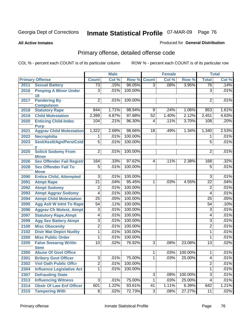#### **All Active Inmates**

### Produced for **General Distribution**

# Primary offense, detailed offense code

|      |                                            | <b>Male</b>     |       | <b>Female</b> |                 |       | <b>Total</b> |                 |       |
|------|--------------------------------------------|-----------------|-------|---------------|-----------------|-------|--------------|-----------------|-------|
|      | <b>Primary Offense</b>                     | <b>Count</b>    | Col % | Row %         | <b>Count</b>    | Col % | Row %        | <b>Total</b>    | Col % |
| 2011 | <b>Sexual Battery</b>                      | $\overline{73}$ | .15%  | 96.05%        | $\overline{3}$  | .08%  | 3.95%        | 76              | .14%  |
| 2016 | <b>Pimping A Minor Under</b><br>18         | $\overline{3}$  | .01%  | 100.00%       |                 |       |              | $\overline{3}$  | .01%  |
| 2017 | <b>Pandering By</b><br><b>Compulsion</b>   | $\overline{2}$  | .01%  | 100.00%       |                 |       |              | 2               | .01%  |
| 2018 | <b>Statutory Rape</b>                      | 844             | 1.71% | 98.94%        | 9               | .24%  | 1.06%        | 853             | 1.61% |
| 2019 | <b>Child Molestation</b>                   | 2,399           | 4.87% | 97.88%        | $\overline{52}$ | 1.40% | 2.12%        | 2,451           | 4.63% |
| 2020 | <b>Enticing Child-Indec</b><br><b>Purp</b> | 104             | .21%  | 96.30%        | 4               | .11%  | 3.70%        | 108             | .20%  |
| 2021 | <b>Aggrav Child Molestation</b>            | 1,322           | 2.69% | 98.66%        | 18              | .49%  | 1.34%        | 1,340           | 2.53% |
| 2022 | Necrophilia                                | 1               | .01%  | 100.00%       |                 |       |              | 1               | .01%  |
| 2023 | Sexl/AssIt/Agn/Pers/Cstd                   | $\overline{5}$  | .01%  | 100.00%       |                 |       |              | 5               | .01%  |
| 2025 | <b>Solicit Sodomy From</b><br><b>Minor</b> | $\overline{2}$  | .01%  | 100.00%       |                 |       |              | $\overline{2}$  | .01%  |
| 2026 | <b>Sex Offender Fail Registr</b>           | 164             | .33%  | 97.62%        | $\overline{4}$  | .11%  | 2.38%        | 168             | .32%  |
| 2028 | <b>Sex Offender Fail To</b><br><b>Move</b> | $\overline{5}$  | .01%  | 100.00%       |                 |       |              | 5               | .01%  |
| 2090 | <b>Entice Child, Attempted</b>             | $\overline{3}$  | .01%  | 100.00%       |                 |       |              | $\overline{3}$  | .01%  |
| 2091 | <b>Atmpt Rape</b>                          | $\overline{21}$ | .04%  | 95.45%        | $\mathbf 1$     | .03%  | 4.55%        | $\overline{22}$ | .04%  |
| 2092 | <b>Atmpt Sodomy</b>                        | $\overline{2}$  | .01%  | 100.00%       |                 |       |              | $\overline{2}$  | .01%  |
| 2093 | <b>Atmpt Aggrav Sodomy</b>                 | $\overline{4}$  | .01%  | 100.00%       |                 |       |              | $\overline{4}$  | .01%  |
| 2094 | <b>Atmpt Child Molestation</b>             | $\overline{25}$ | .05%  | 100.00%       |                 |       |              | $\overline{25}$ | .05%  |
| 2095 | <b>Agg Aslt W Intnt To Rape</b>            | $\overline{54}$ | .11%  | 100.00%       |                 |       |              | 54              | .10%  |
| 2096 | <b>Aggrav Ch Molest, Atmpt</b>             | $\overline{3}$  | .01%  | 100.00%       |                 |       |              | $\overline{3}$  | .01%  |
| 2097 | <b>Statutory Rape, Atmpt</b>               | $\overline{4}$  | .01%  | 100.00%       |                 |       |              | 4               | .01%  |
| 2099 | <b>Agg Sex Battery Atmpt</b>               | $\overline{3}$  | .01%  | 100.00%       |                 |       |              | $\overline{3}$  | .01%  |
| 2100 | <b>Misc Obscenity</b>                      | $\overline{2}$  | .01%  | 100.00%       |                 |       |              | $\overline{2}$  | .01%  |
| 2102 | <b>Distr Mat Depict Nudity</b>             | $\overline{1}$  | .01%  | 100.00%       |                 |       |              | 1               | .01%  |
| 2200 | <b>Misc Public Order</b>                   | $\overline{1}$  | .01%  | 100.00%       |                 |       |              | 1               | .01%  |
| 2205 | <b>False Swearng Writtn</b><br><b>Stmt</b> | 10              | .02%  | 76.92%        | $\overline{3}$  | .08%  | 23.08%       | $\overline{13}$ | .02%  |
| 2300 | <b>Abuse Of Govt Office</b>                |                 |       |               | 1 <sup>1</sup>  | .03%  | 100.00%      | $\mathbf{1}$    | .01%  |
| 2301 | <b>Bribery Govt Officer</b>                | $\overline{3}$  | .01%  | 75.00%        | $\mathbf{1}$    | .03%  | 25.00%       | 4               | .01%  |
| 2302 | <b>Viol Oath Public Offcr</b>              | $\overline{2}$  | .01%  | 100.00%       |                 |       |              | $\overline{2}$  | .01%  |
| 2304 | <b>Influence Legislative Act</b>           | 1               | .01%  | 100.00%       |                 |       |              | 1               | .01%  |
| 2307 | <b>Defrauding State</b>                    |                 |       |               | $\overline{3}$  | .08%  | 100.00%      | $\overline{3}$  | .01%  |
| 2313 | <b>Influencing Witness</b>                 | $\overline{3}$  | .01%  | 75.00%        | $\overline{1}$  | .03%  | 25.00%       | 4               | .01%  |
| 2314 | <b>Obstr Of Law Enf Officer</b>            | 601             | 1.22% | 93.61%        | 41              | 1.11% | 6.39%        | 642             | 1.21% |
| 2315 | <b>Tampering With</b>                      | 8               | .02%  | 72.73%        | $\overline{3}$  | .08%  | 27.27%       | $\overline{11}$ | .02%  |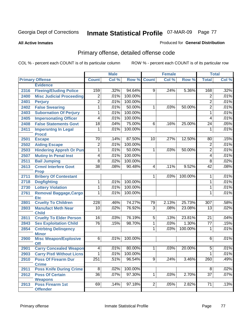#### **All Active Inmates**

### Produced for **General Distribution**

# Primary offense, detailed offense code

|      |                                            |                  | <b>Male</b> |         |                | <b>Female</b> |         | <b>Total</b>    |       |
|------|--------------------------------------------|------------------|-------------|---------|----------------|---------------|---------|-----------------|-------|
|      | <b>Primary Offense</b>                     | <b>Count</b>     | Col %       | Row %   | <b>Count</b>   | Col %         | Row %   | <b>Total</b>    | Col % |
|      | <b>Evidence</b>                            |                  |             |         |                |               |         |                 |       |
| 2316 | <b>Fleeing/Eluding Police</b>              | 159              | .32%        | 94.64%  | 9 <sup>1</sup> | .24%          | 5.36%   | 168             | .32%  |
| 2400 | <b>Misc Judicial Proceeding</b>            | $\overline{2}$   | .01%        | 100.00% |                |               |         | $\overline{2}$  | .01%  |
| 2401 | <b>Perjury</b>                             | $\overline{2}$   | .01%        | 100.00% |                |               |         | $\overline{2}$  | .01%  |
| 2402 | <b>False Swearing</b>                      | 1                | .01%        | 50.00%  | $\mathbf{1}$   | .03%          | 50.00%  | $\overline{2}$  | .01%  |
| 2403 | <b>Subornation Of Perjury</b>              | $\overline{1}$   | .01%        | 100.00% |                |               |         | $\mathbf{1}$    | .01%  |
| 2405 | <b>Impersonating Officer</b>               | $\overline{4}$   | .01%        | 100.00% |                |               |         | 4               | .01%  |
| 2408 | <b>False Statements Govt</b>               | $\overline{18}$  | .04%        | 75.00%  | 6              | .16%          | 25.00%  | 24              | .05%  |
| 2411 | <b>Impersntng In Legal</b><br><b>Procd</b> | 1                | .01%        | 100.00% |                |               |         | $\mathbf{1}$    | .01%  |
| 2501 | <b>Escape</b>                              | 70               | .14%        | 87.50%  | 10             | .27%          | 12.50%  | 80              | .15%  |
| 2502 | <b>Aiding Escape</b>                       | $\overline{2}$   | .01%        | 100.00% |                |               |         | $\overline{2}$  | .01%  |
| 2503 | <b>Hindering Appreh Or Pun</b>             | $\overline{1}$   | .01%        | 50.00%  | 1              | .03%          | 50.00%  | 2               | .01%  |
| 2507 | <b>Mutiny In Penal Inst</b>                | $\overline{4}$   | .01%        | 100.00% |                |               |         | 4               | .01%  |
| 2511 | <b>Bail Jumping</b>                        | $\overline{8}$   | .02%        | 100.00% |                |               |         | 8               | .02%  |
| 2613 | <b>Crmnl Interfere Govt</b><br><b>Prop</b> | $\overline{38}$  | .08%        | 90.48%  | $\overline{4}$ | .11%          | 9.52%   | $\overline{42}$ | .08%  |
| 2711 | <b>Bribery Of Contestant</b>               |                  |             |         | $\mathbf{1}$   | .03%          | 100.00% | 1               | .01%  |
| 2718 | <b>Dogfighting</b>                         | $\overline{1}$   | .01%        | 100.00% |                |               |         | 1               | .01%  |
| 2730 | <b>Lottery Violation</b>                   | 1                | .01%        | 100.00% |                |               |         | 1               | .01%  |
| 2761 | <b>Removal Baggage, Cargo</b>              | 1                | .01%        | 100.00% |                |               |         | 1               | .01%  |
| 2801 | <b>Etc</b><br><b>Cruelty To Children</b>   | $\overline{228}$ | .46%        | 74.27%  | 79             | 2.13%         | 25.73%  | 307             | .58%  |
| 2803 | <b>Manufact Meth Near</b>                  | $\overline{10}$  | .02%        | 76.92%  | $\overline{3}$ | .08%          | 23.08%  | $\overline{13}$ | .02%  |
|      | <b>Child</b>                               |                  |             |         |                |               |         |                 |       |
| 2811 | <b>Cruelty To Elder Person</b>             | 16               | .03%        | 76.19%  | 5              | .13%          | 23.81%  | 21              | .04%  |
| 2843 | <b>Sex Exploitation Child</b>              | $\overline{76}$  | .15%        | 98.70%  | 1              | .03%          | 1.30%   | $\overline{77}$ | .15%  |
| 2854 | <b>Cntrbtng Delingency</b><br><b>Minor</b> |                  |             |         | 1              | .03%          | 100.00% | 1               | .01%  |
| 2900 | <b>Misc Weapon/Explosive</b><br><b>Off</b> | $\overline{6}$   | .01%        | 100.00% |                |               |         | 6               | .01%  |
| 2901 | <b>Carry Concealed Weapon</b>              | $\overline{4}$   | .01%        | 80.00%  | 1              | .03%          | 20.00%  | $\overline{5}$  | .01%  |
| 2903 | <b>Carry Pistl Without Licns</b>           | $\overline{1}$   | $.01\%$     | 100.00% |                |               |         | $\mathbf{1}$    | .01%  |
| 2910 | <b>Poss Of Firearm Dur</b>                 | 251              | .51%        | 96.54%  | 9              | .24%          | 3.46%   | 260             | .49%  |
|      | <b>Crime</b>                               |                  |             |         |                |               |         |                 |       |
| 2911 | <b>Poss Knife During Crime</b>             | $\overline{8}$   | .02%        | 100.00% |                |               |         | 8               | .02%  |
| 2912 | <b>Poss Of Certain</b><br><b>Weapons</b>   | 36               | .07%        | 97.30%  | $\overline{1}$ | .03%          | 2.70%   | $\overline{37}$ | .07%  |
| 2913 | <b>Poss Firearm 1st</b><br><b>Offender</b> | 69               | .14%        | 97.18%  | $\overline{2}$ | .05%          | 2.82%   | $\overline{71}$ | .13%  |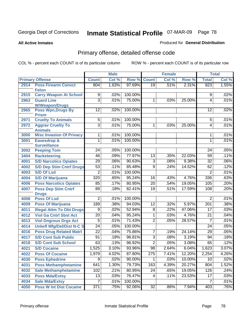**All Active Inmates**

#### Produced for **General Distribution**

# Primary offense, detailed offense code

|      |                                               | <b>Male</b>     |       | <b>Female</b> |                 |       | <b>Total</b> |                 |       |
|------|-----------------------------------------------|-----------------|-------|---------------|-----------------|-------|--------------|-----------------|-------|
|      | <b>Primary Offense</b>                        | <b>Count</b>    | Col % | Row %         | <b>Count</b>    | Col % | Row %        | <b>Total</b>    | Col % |
| 2914 | <b>Poss Firearm Convct</b>                    | 804             | 1.63% | 97.69%        | $\overline{19}$ | .51%  | 2.31%        | 823             | 1.55% |
|      | <b>Felon</b>                                  |                 |       |               |                 |       |              |                 |       |
| 2915 | <b>Carry Weapon At School</b>                 | 9               | .02%  | 100.00%       |                 |       |              | 9               | .02%  |
| 2963 | <b>Guard Line</b><br><b>W/Weapon/Drugs</b>    | $\overline{3}$  | .01%  | 75.00%        | 1               | .03%  | 25.00%       | 4               | .01%  |
| 2965 | <b>Poss Wpn, Drugs By</b>                     | $\overline{12}$ | .02%  | 100.00%       |                 |       |              | 12              | .02%  |
|      | <b>Prisnr</b>                                 |                 |       |               |                 |       |              |                 |       |
| 2971 | <b>Cruelty To Animals</b>                     | $\overline{5}$  | .01%  | 100.00%       |                 |       |              | 5               | .01%  |
| 2972 | <b>Aggrav Cruelty To</b>                      | $\overline{3}$  | .01%  | 75.00%        | $\overline{1}$  | .03%  | 25.00%       | 4               | .01%  |
|      | <b>Animals</b>                                |                 |       |               |                 |       |              |                 |       |
| 3000 | <b>Misc Invasion Of Privacy</b>               | 1               | .01%  | 100.00%       |                 |       |              | 1               | .01%  |
| 3001 | <b>Eavesdrop &amp;</b><br><b>Surveillance</b> | 1               | .01%  | 100.00%       |                 |       |              | 1               | .01%  |
| 3002 | <b>Peeping Tom</b>                            | 24              | .05%  | 100.00%       |                 |       |              | 24              | .05%  |
| 3404 | <b>Racketeering</b>                           | 46              | .09%  | 77.97%        | 13              | .35%  | 22.03%       | 59              | .11%  |
| 4001 | <b>S/D Narcotics Opiates</b>                  | 29              | .06%  | 90.63%        | $\overline{3}$  | .08%  | 9.38%        | $\overline{32}$ | .06%  |
| 4002 | <b>S/D Dep Stim Cntrf Drugs</b>               | $\overline{53}$ | .11%  | 85.48%        | $\overline{9}$  | .24%  | 14.52%       | 62              | .12%  |
| 4003 | <b>S/D Of Lsd</b>                             | $\overline{2}$  | .01%  | 100.00%       |                 |       |              | $\overline{2}$  | .01%  |
| 4004 | <b>S/D Of Marijuana</b>                       | 320             | .65%  | 95.24%        | 16              | .43%  | 4.76%        | 336             | .63%  |
| 4006 | <b>Poss Narcotics Opiates</b>                 | 85              | .17%  | 80.95%        | $\overline{20}$ | .54%  | 19.05%       | 105             | .20%  |
| 4007 | <b>Poss Dep Stim Cntrf</b>                    | $\overline{89}$ | .18%  | 82.41%        | 19              | .51%  | 17.59%       | 108             | .20%  |
|      | <b>Drugs</b>                                  |                 |       |               |                 |       |              |                 |       |
| 4008 | <b>Poss Of Lsd</b>                            | $\overline{2}$  | .01%  | 100.00%       |                 |       |              | $\overline{2}$  | .01%  |
| 4009 | <b>Poss Of Marijuana</b>                      | 189             | .38%  | 94.03%        | 12              | .32%  | 5.97%        | 201             | .38%  |
| 4011 | <b>Illegal Attm To Obt Drugs</b>              | $\overline{9}$  | .02%  | 52.94%        | $\overline{8}$  | .22%  | 47.06%       | $\overline{17}$ | .03%  |
| 4012 | <b>Viol Ga Cntrl Sbst Act</b>                 | $\overline{20}$ | .04%  | 95.24%        | $\overline{1}$  | .03%  | 4.76%        | $\overline{21}$ | .04%  |
| 4013 | <b>Viol Dngrous Drgs Act</b>                  | $\overline{5}$  | .01%  | 71.43%        | $\overline{2}$  | .05%  | 28.57%       | 7               | .01%  |
| 4014 | <b>Uniwfl Mfg/Del/Dist N-C S</b>              | $\overline{24}$ | .05%  | 100.00%       |                 |       |              | $\overline{24}$ | .05%  |
| 4016 | <b>Poss Drug Related Matri</b>                | $\overline{22}$ | .04%  | 75.86%        | 7               | .19%  | 24.14%       | $\overline{29}$ | .05%  |
| 4017 | <b>S/D Cont Sub Public</b>                    | 91              | .18%  | 96.81%        | $\overline{3}$  | .08%  | 3.19%        | $\overline{94}$ | .18%  |
| 4018 | <b>S/D Cont Sub School</b>                    | 63              | .13%  | 96.92%        | $\overline{2}$  | .05%  | 3.08%        | 65              | .12%  |
| 4021 | <b>S/D Cocaine</b>                            | 1,525           | 3.10% | 93.96%        | $\overline{98}$ | 2.64% | 6.04%        | 1,623           | 3.07% |
| 4022 | <b>Poss Of Cocaine</b>                        | 1,979           | 4.02% | 87.80%        | 275             | 7.41% | 12.20%       | 2,254           | 4.26% |
| 4030 | <b>Poss Ephedrine</b>                         | $\overline{9}$  | .02%  | 90.00%        | $\overline{1}$  | .03%  | 10.00%       | 10              | .02%  |
| 4031 | <b>Poss Methamphetamine</b>                   | 641             | 1.30% | 79.73%        | 163             | 4.39% | 20.27%       | 804             | 1.52% |
| 4032 | <b>Sale Methamphetamine</b>                   | 102             | .21%  | 80.95%        | 24              | .65%  | 19.05%       | 126             | .24%  |
| 4033 | <b>Poss Mda/Extsy</b>                         | 13              | .03%  | 76.47%        | 4               | .11%  | 23.53%       | $\overline{17}$ | .03%  |
| 4034 | <b>Sale Mda/Extsy</b>                         | $\overline{7}$  | .01%  | 100.00%       |                 |       |              | $\overline{7}$  | .01%  |
| 4050 | <b>Poss W Int Dist Cocaine</b>                | 371             | .75%  | 92.06%        | 32              | .86%  | 7.94%        | 403             | .76%  |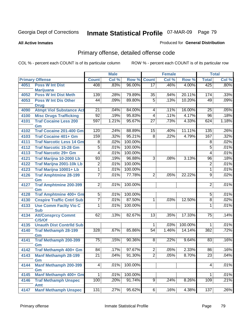**All Active Inmates**

### Produced for **General Distribution**

# Primary offense, detailed offense code

|      |                                                |                 | <b>Male</b> |                  |                 | <b>Female</b> |         |                 | <b>Total</b> |
|------|------------------------------------------------|-----------------|-------------|------------------|-----------------|---------------|---------|-----------------|--------------|
|      | <b>Primary Offense</b>                         | <b>Count</b>    | Col %       | Row %            | <b>Count</b>    | Col %         | Row %   | <b>Total</b>    | Col %        |
| 4051 | <b>Poss W Int Dist</b>                         | 408             | .83%        | 96.00%           | $\overline{17}$ | .46%          | 4.00%   | 425             | $.80\%$      |
|      | <b>Marijuana</b>                               |                 |             |                  |                 |               |         |                 |              |
| 4052 | <b>Poss W Int Dist Meth</b>                    | 139             | .28%        | 79.89%           | $\overline{35}$ | .94%          | 20.11%  | 174             | .33%         |
| 4053 | <b>Poss W Int Dis Other</b>                    | $\overline{44}$ | .09%        | 89.80%           | $\overline{5}$  | .13%          | 10.20%  | 49              | .09%         |
| 4090 | <b>Drug</b><br><b>Atmpt Viol Substance Act</b> | $\overline{21}$ | .04%        | 84.00%           | 4               | .11%          | 16.00%  | $\overline{25}$ | .05%         |
|      |                                                | $\overline{92}$ | .19%        |                  |                 |               |         |                 |              |
| 4100 | <b>Misc Drugs Trafficking</b>                  |                 |             | 95.83%<br>95.67% | 4               | .11%          | 4.17%   | 96              | .18%         |
| 4101 | <b>Traf Cocaine Less 200</b><br>Gm             | 597             | 1.21%       |                  | $\overline{27}$ | .73%          | 4.33%   | 624             | 1.18%        |
| 4102 | <b>Traf Cocaine 201-400 Gm</b>                 | 120             | .24%        | 88.89%           | 15              | .40%          | 11.11%  | 135             | .26%         |
| 4103 | <b>Traf Cocaine 401+ Gm</b>                    | 159             | .32%        | 95.21%           | $\overline{8}$  | .22%          | 4.79%   | 167             | .32%         |
| 4111 | <b>Traf Narcotic Less 14 Gm</b>                | 8               | .02%        | 100.00%          |                 |               |         | 8               | .02%         |
| 4112 | <b>Traf Narcotic 15-28 Gm</b>                  | $\overline{5}$  | .01%        | 100.00%          |                 |               |         | $\overline{5}$  | .01%         |
| 4113 | <b>Traf Narcotic 29+ Gm</b>                    | $\overline{4}$  | .01%        | 100.00%          |                 |               |         | $\overline{4}$  | .01%         |
| 4121 | Traf Marijna 10-2000 Lb                        | 93              | .19%        | 96.88%           | $\overline{3}$  | .08%          | 3.13%   | 96              | .18%         |
| 4122 | Traf Marijna 2001-10k Lb                       | $\overline{2}$  | .01%        | 100.00%          |                 |               |         | $\overline{2}$  | .01%         |
| 4123 | Traf Marijna 10001+ Lb                         | 1               | .01%        | 100.00%          |                 |               |         | 1               | .01%         |
| 4126 | <b>Traf Amphtmine 28-199</b>                   | 7               | .01%        | 77.78%           | $\overline{2}$  | .05%          | 22.22%  | $\overline{9}$  | .02%         |
|      | Gm                                             |                 |             |                  |                 |               |         |                 |              |
| 4127 | <b>Traf Amphtmine 200-399</b><br>Gm            | $\overline{2}$  | .01%        | 100.00%          |                 |               |         | $\overline{2}$  | .01%         |
| 4128 | <b>Traf Amphtmine 400+ Gm</b>                  | 5               | .01%        | 100.00%          |                 |               |         | 5               | .01%         |
| 4130 | <b>Cnspire Traffic Cntrl Sub</b>               | 7               | .01%        | 87.50%           | 1               | .03%          | 12.50%  | 8               | .02%         |
| 4133 | <b>Use Comm Facity Vio C</b>                   | 1               | .01%        | 100.00%          |                 |               |         | 1               | .01%         |
|      | <b>Sub</b>                                     |                 |             |                  |                 |               |         |                 |              |
| 4134 | <b>Att/Consprcy Commt</b>                      | 62              | .13%        | 82.67%           | $\overline{13}$ | .35%          | 17.33%  | $\overline{75}$ | .14%         |
|      | C/S/Of                                         |                 |             |                  |                 |               |         |                 |              |
| 4135 | <b>Unauth Dist Contrild Sub</b>                |                 |             |                  | 1               | .03%          | 100.00% | 1               | .01%         |
| 4140 | <b>Traf Methamph 28-199</b><br>Gm              | 328             | .67%        | 85.86%           | 54              | 1.46%         | 14.14%  | 382             | .72%         |
| 4141 | <b>Traf Methamph 200-399</b>                   | 75              | .15%        | 90.36%           | 8               | .22%          | 9.64%   | 83              | .16%         |
|      | Gm                                             |                 |             |                  |                 |               |         |                 |              |
| 4142 | Traf Methamph 400+ Gm                          | 84              | .17%        | 97.67%           | $\overline{2}$  | .05%          | 2.33%   | 86              | .16%         |
| 4143 | <b>Manf Methamph 28-199</b>                    | $\overline{21}$ | .04%        | 91.30%           | $\overline{2}$  | .05%          | 8.70%   | $\overline{23}$ | .04%         |
|      | Gm                                             |                 |             |                  |                 |               |         |                 |              |
| 4144 | <b>Manf Methamph 200-399</b>                   | 4               | .01%        | 100.00%          |                 |               |         | 4               | .01%         |
|      | Gm                                             |                 |             |                  |                 |               |         |                 |              |
| 4145 | Manf Methamph 400+ Gm                          | 1               | .01%        | 100.00%          |                 |               |         | 1               | .01%         |
| 4146 | <b>Traf Methamph Unspec</b>                    | 100             | .20%        | 91.74%           | $\overline{9}$  | .24%          | 8.26%   | 109             | .21%         |
| 4147 | <b>Amt</b><br><b>Manf Methamph Unspec</b>      | 131             | .27%        | 95.62%           | 6               | .16%          | 4.38%   | 137             | .26%         |
|      |                                                |                 |             |                  |                 |               |         |                 |              |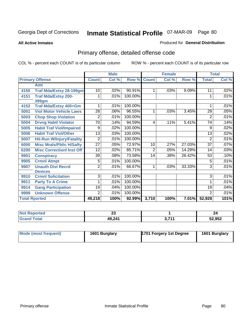**All Active Inmates**

### Produced for **General Distribution**

# Primary offense, detailed offense code

|                      |                                  | <b>Male</b>     |       |         |                 | <b>Female</b> |        | <b>Total</b>    |       |
|----------------------|----------------------------------|-----------------|-------|---------|-----------------|---------------|--------|-----------------|-------|
|                      | <b>Primary Offense</b>           | <b>Count</b>    | Col % | Row %   | <b>Count</b>    | Col %         | Row %  | <b>Total</b>    | Col % |
|                      | Amt                              |                 |       |         |                 |               |        |                 |       |
| 4150                 | <b>Traf Mda/Extsy 28-199gm</b>   | 10              | .02%  | 90.91%  | 1               | .03%          | 9.09%  | 11              | .02%  |
| 4151                 | <b>Traf Mda/Extsy 200-</b>       |                 | .01%  | 100.00% |                 |               |        | 1               | .01%  |
|                      | 399gm                            |                 |       |         |                 |               |        |                 |       |
| 4152                 | Traf Mda/Extsy 400+Gm            |                 | .01%  | 100.00% |                 |               |        | 1               | .01%  |
| 5001                 | <b>Viol Motor Vehicle Laws</b>   | $\overline{28}$ | .06%  | 96.55%  | 1               | .03%          | 3.45%  | 29              | .05%  |
| 5003                 | <b>Chop Shop Violation</b>       | $\overline{2}$  | .01%  | 100.00% |                 |               |        | $\overline{2}$  | .01%  |
| 5004                 | <b>Drvng Habtl Violator</b>      | 70              | .14%  | 94.59%  | 4               | .11%          | 5.41%  | 74              | .14%  |
| 5005                 | <b>Habit Traf Viol/Impaired</b>  | 9               | .02%  | 100.00% |                 |               |        | 9               | .02%  |
| 5006                 | <b>Habit Traf Viol/Other</b>     | 13              | .03%  | 100.00% |                 |               |        | 13              | .02%  |
| 5007                 | <b>Hit-Run W/Injury/Fatality</b> | 2               | .01%  | 100.00% |                 |               |        | 2               | .01%  |
| 6000                 | <b>Misc Mrals/Pblic H/Safty</b>  | $\overline{27}$ | .05%  | 72.97%  | 10              | .27%          | 27.03% | $\overline{37}$ | .07%  |
| 6200                 | <b>Misc Correctionl Inst Off</b> | 12              | .02%  | 85.71%  | $\overline{2}$  | .05%          | 14.29% | 14              | .03%  |
| 9901                 | <b>Conspiracy</b>                | $\overline{39}$ | .08%  | 73.58%  | $\overline{14}$ | .38%          | 26.42% | $\overline{53}$ | .10%  |
| 9905                 | <b>Crmnl Atmpt</b>               | 5               | .01%  | 100.00% |                 |               |        | 5               | .01%  |
| 9907                 | <b>Unauth Dist Recrd</b>         | 2               | .01%  | 66.67%  | 1               | .03%          | 33.33% | 3               | .01%  |
|                      | <b>Devices</b>                   |                 |       |         |                 |               |        |                 |       |
| 9910                 | <b>Crmnl Solicitation</b>        | 3               | .01%  | 100.00% |                 |               |        | $\overline{3}$  | .01%  |
| 9911                 | <b>Party To A Crime</b>          |                 | .01%  | 100.00% |                 |               |        | 1               | .01%  |
| 9914                 | <b>Gang Participation</b>        | 19              | .04%  | 100.00% |                 |               |        | 19              | .04%  |
| 9999                 | <b>Unknown Offense</b>           | 2               | .01%  | 100.00% |                 |               |        | $\overline{2}$  | .01%  |
| <b>Total Rported</b> |                                  | 49,218          | 100%  | 92.99%  | 3,710           | 100%          | 7.01%  | 52,928          | 101%  |

| <b>Not Reported</b> | ^^<br>ΔJ |             | 24     |
|---------------------|----------|-------------|--------|
| <b>Grand Total</b>  | 49,241   | 2. 744<br>. | 52,952 |

| Mode (most frequent) | 1601 Burglary | 1701 Forgery 1st Degree | 1601 Burglary |
|----------------------|---------------|-------------------------|---------------|
|----------------------|---------------|-------------------------|---------------|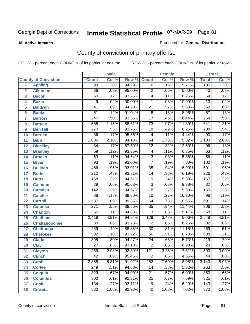#### **All Active Inmates**

#### Produced for **General Distribution**

# County of conviction of primary offense

|                 |                             |                  | <b>Male</b> |        | <b>Female</b>    |       |        | <b>Total</b>     |       |  |
|-----------------|-----------------------------|------------------|-------------|--------|------------------|-------|--------|------------------|-------|--|
|                 | <b>County of Conviction</b> | <b>Count</b>     | Col %       | Row %  | <b>Count</b>     | Col % | Row %  | <b>Total</b>     | Col % |  |
| 1               | <b>Appling</b>              | 99               | .20%        | 94.29% | $\overline{6}$   | .16%  | 5.71%  | 105              | .20%  |  |
| $\overline{2}$  | <b>Atkinson</b>             | $\overline{38}$  | .08%        | 95.00% | $\overline{2}$   | .05%  | 5.00%  | 40               | .08%  |  |
| 3               | <b>Bacon</b>                | 60               | .12%        | 93.75% | 4                | .11%  | 6.25%  | 64               | .12%  |  |
| 4               | <b>Baker</b>                | 9                | .02%        | 90.00% | 1                | .03%  | 10.00% | $\overline{10}$  | .02%  |  |
| 5               | <b>Baldwin</b>              | $\overline{341}$ | .69%        | 94.20% | $\overline{21}$  | .57%  | 5.80%  | 362              | .68%  |  |
| 6               | <b>Banks</b>                | 61               | .12%        | 91.04% | $\overline{6}$   | .16%  | 8.96%  | $\overline{67}$  | .13%  |  |
| 7               | <b>Barrow</b>               | $\overline{247}$ | .50%        | 93.56% | $\overline{17}$  | .46%  | 6.44%  | $\overline{264}$ | .50%  |  |
| 8               | <b>Bartow</b>               | 568              | 1.15%       | 88.61% | $\overline{73}$  | 1.97% | 11.39% | 641              | 1.21% |  |
| 9               | <b>Ben Hill</b>             | 270              | .55%        | 93.75% | $\overline{18}$  | .49%  | 6.25%  | 288              | .54%  |  |
| 10              | <b>Berrien</b>              | 86               | .17%        | 95.56% | 4                | .11%  | 4.44%  | $\overline{90}$  | .17%  |  |
| 11              | <b>Bibb</b>                 | 1,036            | 2.10%       | 94.18% | 64               | 1.73% | 5.82%  | 1,100            | 2.08% |  |
| 12              | <b>Bleckley</b>             | 84               | .17%        | 87.50% | $\overline{12}$  | .32%  | 12.50% | 96               | .18%  |  |
| $\overline{13}$ | <b>Brantley</b>             | $\overline{59}$  | .12%        | 93.65% | 4                | .11%  | 6.35%  | 63               | .12%  |  |
| 14              | <b>Brooks</b>               | $\overline{53}$  | .11%        | 94.64% | $\overline{3}$   | .08%  | 5.36%  | $\overline{56}$  | .11%  |  |
| 15              | <b>Bryan</b>                | $\overline{93}$  | .19%        | 93.00% | $\overline{7}$   | .19%  | 7.00%  | 100              | .19%  |  |
| 16              | <b>Bulloch</b>              | 466              | .95%        | 93.01% | $\overline{35}$  | .94%  | 6.99%  | 501              | .95%  |  |
| 17              | <b>Burke</b>                | $\overline{212}$ | .43%        | 93.81% | 14               | .38%  | 6.19%  | $\overline{226}$ | .43%  |  |
| 18              | <b>Butts</b>                | 158              | .32%        | 94.61% | 9                | .24%  | 5.39%  | 167              | .32%  |  |
| 19              | <b>Calhoun</b>              | $\overline{29}$  | .06%        | 90.63% | $\overline{3}$   | .08%  | 9.38%  | $\overline{32}$  | .06%  |  |
| 20              | <b>Camden</b>               | 142              | .29%        | 94.67% | $\overline{8}$   | .22%  | 5.33%  | 150              | .28%  |  |
| 21              | <b>Candler</b>              | $\overline{88}$  | .18%        | 89.80% | $\overline{10}$  | .27%  | 10.20% | $\overline{98}$  | .19%  |  |
| 22              | <b>Carroll</b>              | 537              | 1.09%       | 89.35% | 64               | 1.73% | 10.65% | 601              | 1.14% |  |
| 23              | <b>Catoosa</b>              | $\overline{271}$ | .55%        | 88.56% | $\overline{35}$  | .94%  | 11.44% | 306              | .58%  |  |
| 24              | <b>Charlton</b>             | $\overline{55}$  | .11%        | 94.83% | $\overline{3}$   | .08%  | 5.17%  | $\overline{58}$  | .11%  |  |
| 25              | <b>Chatham</b>              | 2,419            | 4.91%       | 94.94% | $\overline{129}$ | 3.48% | 5.06%  | 2,548            | 4.81% |  |
| 26              | <b>Chattahoochee</b>        | $\overline{30}$  | .06%        | 93.75% | $\overline{2}$   | .05%  | 6.25%  | $\overline{32}$  | .06%  |  |
| 27              | <b>Chattooga</b>            | 239              | .49%        | 88.85% | $\overline{30}$  | .81%  | 11.15% | 269              | .51%  |  |
| 28              | <b>Cherokee</b>             | 582              | 1.18%       | 91.22% | $\overline{56}$  | 1.51% | 8.78%  | 638              | 1.21% |  |
| 29              | <b>Clarke</b>               | 395              | .80%        | 94.27% | $\overline{24}$  | .65%  | 5.73%  | 419              | .79%  |  |
| 30              | <b>Clay</b>                 | $\overline{27}$  | .05%        | 93.10% | $\overline{2}$   | .05%  | 6.90%  | $\overline{29}$  | .05%  |  |
| 31              | <b>Clayton</b>              | 1,469            | 2.98%       | 92.39% | $\overline{121}$ | 3.26% | 7.61%  | 1,590            | 3.00% |  |
| 32              | <b>Clinch</b>               | 42               | .09%        | 95.45% | 2                | .05%  | 4.55%  | 44               | .08%  |  |
| 33              | <b>Cobb</b>                 | 2,858            | 5.81%       | 91.02% | 282              | 7.60% | 8.98%  | 3,140            | 5.93% |  |
| 34              | <b>Coffee</b>               | 249              | .51%        | 94.68% | 14               | .38%  | 5.32%  | 263              | .50%  |  |
| 35              | <b>Colquitt</b>             | 329              | .67%        | 94.00% | 21               | .57%  | 6.00%  | 350              | .66%  |  |
| 36              | <b>Columbia</b>             | 300              | .61%        | 92.31% | 25               | .67%  | 7.69%  | 325              | .61%  |  |
| 37              | <b>Cook</b>                 | 134              | .27%        | 93.71% | $\overline{9}$   | .24%  | 6.29%  | 143              | .27%  |  |
| 38              | <b>Coweta</b>               | 530              | 1.08%       | 92.98% | 40               | 1.08% | 7.02%  | 570              | 1.08% |  |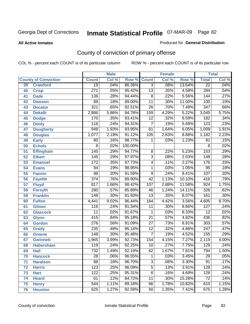#### **All Active Inmates**

#### Produced for **General Distribution**

# County of conviction of primary offense

|                 |                             |                  | <b>Male</b> |         | <b>Female</b>   |       |        | <b>Total</b>     |       |  |
|-----------------|-----------------------------|------------------|-------------|---------|-----------------|-------|--------|------------------|-------|--|
|                 | <b>County of Conviction</b> | <b>Count</b>     | Col %       | Row %   | <b>Count</b>    | Col % | Row %  | <b>Total</b>     | Col % |  |
| 39              | <b>Crawford</b>             | $\overline{19}$  | .04%        | 86.36%  | $\overline{3}$  | .08%  | 13.64% | $\overline{22}$  | .04%  |  |
| 40              | <b>Crisp</b>                | $\overline{271}$ | .55%        | 95.42%  | $\overline{13}$ | .35%  | 4.58%  | 284              | .54%  |  |
| 41              | <b>Dade</b>                 | 136              | .28%        | 94.44%  | $\overline{8}$  | .22%  | 5.56%  | 144              | .27%  |  |
| 42              | <b>Dawson</b>               | 89               | .18%        | 89.00%  | $\overline{11}$ | .30%  | 11.00% | 100              | .19%  |  |
| 43              | <b>Decatur</b>              | 321              | .65%        | 92.51%  | $\overline{26}$ | .70%  | 7.49%  | 347              | .66%  |  |
| 44              | <b>Dekalb</b>               | 2,886            | 5.86%       | 94.78%  | 159             | 4.29% | 5.22%  | 3,045            | 5.75% |  |
| 45              | <b>Dodge</b>                | 170              | .35%        | 93.41%  | $\overline{12}$ | .32%  | 6.59%  | 182              | .34%  |  |
| 46              | <b>Dooly</b>                | 116              | .24%        | 94.31%  | $\overline{7}$  | .19%  | 5.69%  | $\overline{123}$ | .23%  |  |
| 47              | <b>Dougherty</b>            | $\overline{948}$ | 1.93%       | 93.95%  | 61              | 1.64% | 6.05%  | 1,009            | 1.91% |  |
| 48              | <b>Douglas</b>              | 1,077            | 2.19%       | 91.12%  | 105             | 2.83% | 8.88%  | 1,182            | 2.23% |  |
| 49              | <b>Early</b>                | 80               | .16%        | 98.77%  | 1               | .03%  | 1.23%  | 81               | .15%  |  |
| 50              | <b>Echols</b>               | $\overline{8}$   | .02%        | 100.00% |                 |       |        | 8                | .02%  |  |
| $\overline{51}$ | <b>Effingham</b>            | $\overline{145}$ | .29%        | 94.77%  | $\overline{8}$  | .22%  | 5.23%  | 153              | .29%  |  |
| 52              | <b>Elbert</b>               | $\overline{145}$ | .29%        | 97.97%  | $\overline{3}$  | .08%  | 2.03%  | $\overline{148}$ | .28%  |  |
| 53              | <b>Emanuel</b>              | 172              | .35%        | 97.73%  | 4               | .11%  | 2.27%  | $\overline{176}$ | .33%  |  |
| 54              | <b>Evans</b>                | $\overline{94}$  | .19%        | 98.95%  | 1               | .03%  | 1.05%  | $\overline{95}$  | .18%  |  |
| 55              | <b>Fannin</b>               | $\overline{98}$  | .20%        | 91.59%  | $\overline{9}$  | .24%  | 8.41%  | $\overline{107}$ | .20%  |  |
| 56              | <b>Fayette</b>              | $\overline{374}$ | .76%        | 89.90%  | $\overline{42}$ | 1.13% | 10.10% | 416              | .79%  |  |
| 57              | <b>Floyd</b>                | 817              | 1.66%       | 88.42%  | 107             | 2.88% | 11.58% | 924              | 1.75% |  |
| 58              | <b>Forsyth</b>              | 280              | .57%        | 85.89%  | 46              | 1.24% | 14.11% | 326              | .62%  |  |
| 59              | <b>Franklin</b>             | 148              | .30%        | 91.93%  | $\overline{13}$ | .35%  | 8.07%  | 161              | .30%  |  |
| 60              | <b>Fulton</b>               | 4,441            | 9.02%       | 96.44%  | 164             | 4.42% | 3.56%  | 4,605            | 8.70% |  |
| 61              | Gilmer                      | 116              | .24%        | 91.34%  | $\overline{11}$ | .30%  | 8.66%  | $\overline{127}$ | .24%  |  |
| 62              | <b>Glascock</b>             | $\overline{11}$  | .02%        | 91.67%  | 1               | .03%  | 8.33%  | $\overline{12}$  | .02%  |  |
| 63              | <b>Glynn</b>                | 415              | .84%        | 95.18%  | $\overline{21}$ | .57%  | 4.82%  | 436              | .82%  |  |
| 64              | <b>Gordon</b>               | $\overline{276}$ | .56%        | 91.09%  | $\overline{27}$ | .73%  | 8.91%  | $\overline{303}$ | .57%  |  |
| 65              | <b>Grady</b>                | 235              | .48%        | 95.14%  | $\overline{12}$ | .32%  | 4.86%  | $\overline{247}$ | .47%  |  |
| 66              | <b>Greene</b>               | 148              | .30%        | 95.48%  | $\overline{7}$  | .19%  | 4.52%  | 155              | .29%  |  |
| 67              | <b>Gwinnett</b>             | 1,965            | 3.99%       | 92.73%  | 154             | 4.15% | 7.27%  | 2,119            | 4.00% |  |
| 68              | <b>Habersham</b>            | $\overline{119}$ | .24%        | 92.25%  | 10              | .27%  | 7.75%  | $\overline{129}$ | .24%  |  |
| 69              | <b>Hall</b>                 | 732              | 1.49%       | 92.19%  | 62              | 1.67% | 7.81%  | 794              | 1.50% |  |
| 70              | <b>Hancock</b>              | 28               | .06%        | 96.55%  | 1               | .03%  | 3.45%  | 29               | .05%  |  |
| 71              | <b>Haralson</b>             | $\overline{88}$  | .18%        | 96.70%  | $\overline{3}$  | .08%  | 3.30%  | $\overline{91}$  | .17%  |  |
| 72              | <b>Harris</b>               | $\overline{123}$ | .25%        | 96.09%  | $\overline{5}$  | .13%  | 3.91%  | $\overline{128}$ | .24%  |  |
| 73              | <b>Hart</b>                 | 122              | .25%        | 95.31%  | $\overline{6}$  | .16%  | 4.69%  | 128              | .24%  |  |
| 74              | <b>Heard</b>                | 61               | .12%        | 84.72%  | $\overline{11}$ | .30%  | 15.28% | $\overline{72}$  | .14%  |  |
| 75              | <b>Henry</b>                | 544              | 1.11%       | 89.18%  | 66              | 1.78% | 10.82% | 610              | 1.15% |  |
| 76              | <b>Houston</b>              | 625              | 1.27%       | 92.59%  | $\overline{50}$ | 1.35% | 7.41%  | 675              | 1.28% |  |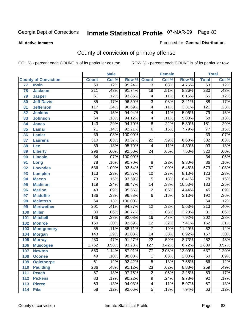#### **All Active Inmates**

#### Produced for **General Distribution**

# County of conviction of primary offense

|                 |                             |                  | <b>Male</b> |         |                  | <b>Female</b> |        |                  | <b>Total</b> |
|-----------------|-----------------------------|------------------|-------------|---------|------------------|---------------|--------|------------------|--------------|
|                 | <b>County of Conviction</b> | <b>Count</b>     | Col %       | Row %   | <b>Count</b>     | Col %         | Row %  | <b>Total</b>     | Col %        |
| $\overline{77}$ | <b>Irwin</b>                | 60               | .12%        | 95.24%  | $\overline{3}$   | .08%          | 4.76%  | 63               | .12%         |
| 78              | <b>Jackson</b>              | $\overline{211}$ | .43%        | 91.74%  | $\overline{19}$  | .51%          | 8.26%  | 230              | .43%         |
| 79              | <b>Jasper</b>               | 61               | .12%        | 93.85%  | 4                | .11%          | 6.15%  | 65               | .12%         |
| 80              | <b>Jeff Davis</b>           | 85               | .17%        | 96.59%  | $\overline{3}$   | .08%          | 3.41%  | $\overline{88}$  | .17%         |
| 81              | <b>Jefferson</b>            | $\overline{117}$ | .24%        | 96.69%  | $\overline{4}$   | .11%          | 3.31%  | $\overline{121}$ | .23%         |
| 82              | <b>Jenkins</b>              | $\overline{75}$  | .15%        | 94.94%  | 4                | .11%          | 5.06%  | 79               | .15%         |
| 83              | <b>Johnson</b>              | 64               | .13%        | 94.12%  | 4                | .11%          | 5.88%  | 68               | .13%         |
| 84              | <b>Jones</b>                | 143              | .29%        | 94.70%  | 8                | .22%          | 5.30%  | 151              | .29%         |
| 85              | <b>Lamar</b>                | $\overline{71}$  | .14%        | 92.21%  | $\overline{6}$   | .16%          | 7.79%  | $\overline{77}$  | .15%         |
| 86              | <b>Lanier</b>               | $\overline{39}$  | .08%        | 100.00% |                  |               |        | $\overline{39}$  | .07%         |
| 87              | <b>Laurens</b>              | $\overline{310}$ | .63%        | 93.37%  | 22               | .59%          | 6.63%  | 332              | .63%         |
| 88              | Lee                         | 89               | .18%        | 95.70%  | 4                | .11%          | 4.30%  | 93               | .18%         |
| 89              | <b>Liberty</b>              | 296              | .60%        | 92.50%  | $\overline{24}$  | .65%          | 7.50%  | $\overline{320}$ | .60%         |
| 90              | <b>Lincoln</b>              | $\overline{34}$  | .07%        | 100.00% |                  |               |        | $\overline{34}$  | .06%         |
| 91              | Long                        | $\overline{78}$  | .16%        | 90.70%  | 8                | .22%          | 9.30%  | 86               | .16%         |
| 92              | <b>Lowndes</b>              | 536              | 1.09%       | 93.54%  | $\overline{37}$  | 1.00%         | 6.46%  | $\overline{573}$ | 1.08%        |
| 93              | <b>Lumpkin</b>              | 113              | .23%        | 91.87%  | 10               | .27%          | 8.13%  | $\overline{123}$ | .23%         |
| 94              | <b>Macon</b>                | $\overline{73}$  | .15%        | 93.59%  | $\overline{5}$   | .13%          | 6.41%  | 78               | .15%         |
| 95              | <b>Madison</b>              | 119              | .24%        | 89.47%  | $\overline{14}$  | .38%          | 10.53% | $\overline{133}$ | .25%         |
| 96              | <b>Marion</b>               | 43               | .09%        | 95.56%  | $\overline{2}$   | .05%          | 4.44%  | 45               | .09%         |
| 97              | <b>Mcduffie</b>             | 186              | .38%        | 96.88%  | $\overline{6}$   | .16%          | 3.13%  | 192              | .36%         |
| 98              | <b>Mcintosh</b>             | 64               | .13%        | 100.00% |                  |               |        | 64               | .12%         |
| 99              | <b>Meriwether</b>           | $\overline{201}$ | .41%        | 94.37%  | $\overline{12}$  | .32%          | 5.63%  | $\overline{213}$ | .40%         |
| 100             | <b>Miller</b>               | $\overline{30}$  | .06%        | 96.77%  | 1                | .03%          | 3.23%  | $\overline{31}$  | .06%         |
| 101             | <b>Mitchell</b>             | 186              | .38%        | 92.08%  | $\overline{16}$  | .43%          | 7.92%  | 202              | .38%         |
| 102             | <b>Monroe</b>               | 150              | .30%        | 92.59%  | $\overline{12}$  | .32%          | 7.41%  | 162              | .31%         |
| 103             | <b>Montgomery</b>           | $\overline{55}$  | .11%        | 88.71%  | $\overline{7}$   | .19%          | 11.29% | 62               | .12%         |
| 104             | <b>Morgan</b>               | 143              | .29%        | 91.08%  | 14               | .38%          | 8.92%  | 157              | .30%         |
| 105             | <b>Murray</b>               | 230              | .47%        | 91.27%  | $\overline{22}$  | .59%          | 8.73%  | 252              | .48%         |
| 106             | <b>Muscogee</b>             | 1,762            | 3.58%       | 93.28%  | $\overline{127}$ | 3.42%         | 6.72%  | 1,889            | 3.57%        |
| 107             | <b>Newton</b>               | $\overline{560}$ | 1.14%       | 87.91%  | $\overline{77}$  | 2.08%         | 12.09% | 637              | 1.20%        |
| 108             | <b>Oconee</b>               | 49               | .10%        | 98.00%  | 1                | .03%          | 2.00%  | 50               | $.09\%$      |
| 109             | <b>Oglethorpe</b>           | 61               | .12%        | 92.42%  | $\overline{5}$   | .13%          | 7.58%  | 66               | .12%         |
| 110             | <b>Paulding</b>             | 236              | .48%        | 91.12%  | $\overline{23}$  | .62%          | 8.88%  | 259              | .49%         |
| 111             | <b>Peach</b>                | $\overline{87}$  | .18%        | 97.75%  | $\overline{c}$   | .05%          | 2.25%  | 89               | .17%         |
| 112             | <b>Pickens</b>              | 83               | .17%        | 90.22%  | $\overline{9}$   | .24%          | 9.78%  | 92               | .17%         |
| 113             | <b>Pierce</b>               | 63               | .13%        | 94.03%  | 4                | .11%          | 5.97%  | 67               | .13%         |
| 114             | <b>Pike</b>                 | 58               | .12%        | 92.06%  | $\overline{5}$   | .13%          | 7.94%  | 63               | .12%         |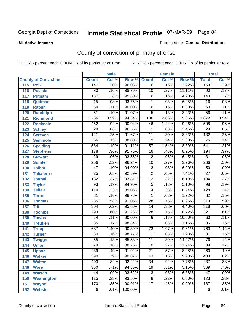#### **All Active Inmates**

#### Produced for **General Distribution**

# County of conviction of primary offense

|                             |                  | <b>Male</b> |         |                 | <b>Female</b> |        |                  | <b>Total</b>               |
|-----------------------------|------------------|-------------|---------|-----------------|---------------|--------|------------------|----------------------------|
| <b>County of Conviction</b> | <b>Count</b>     | Col %       | Row %   | <b>Count</b>    | Col %         | Row %  | <b>Total</b>     | $\overline{\text{Col }\%}$ |
| 115<br><b>Polk</b>          | 147              | .30%        | 96.08%  | $\overline{6}$  | .16%          | 3.92%  | 153              | .29%                       |
| <b>Pulaski</b><br>116       | $\overline{80}$  | .16%        | 88.89%  | 10              | .27%          | 11.11% | $\overline{90}$  | .17%                       |
| 117<br><b>Putnam</b>        | $\overline{137}$ | .28%        | 95.80%  | $\overline{6}$  | .16%          | 4.20%  | $\overline{143}$ | .27%                       |
| 118<br>Quitman              | $\overline{15}$  | .03%        | 93.75%  | 1               | .03%          | 6.25%  | $\overline{16}$  | .03%                       |
| 119<br><b>Rabun</b>         | $\overline{54}$  | .11%        | 90.00%  | $\overline{6}$  | .16%          | 10.00% | 60               | .11%                       |
| 120<br><b>Randolph</b>      | $\overline{51}$  | .10%        | 91.07%  | $\overline{5}$  | .13%          | 8.93%  | $\overline{56}$  | .11%                       |
| 121<br><b>Richmond</b>      | 1,766            | 3.59%       | 94.34%  | 106             | 2.86%         | 5.66%  | 1,872            | 3.54%                      |
| 122<br><b>Rockdale</b>      | 462              | .94%        | 90.94%  | 46              | 1.24%         | 9.06%  | 508              | .96%                       |
| 123<br><b>Schley</b>        | $\overline{28}$  | .06%        | 96.55%  | $\mathbf{1}$    | .03%          | 3.45%  | $\overline{29}$  | .05%                       |
| 124<br><b>Screven</b>       | $\overline{121}$ | .25%        | 91.67%  | $\overline{11}$ | .30%          | 8.33%  | 132              | .25%                       |
| 125<br><b>Seminole</b>      | 66               | .13%        | 88.00%  | $\overline{9}$  | .24%          | 12.00% | $\overline{75}$  | .14%                       |
| <b>Spalding</b><br>126      | 584              | 1.19%       | 91.11%  | $\overline{57}$ | 1.54%         | 8.89%  | 641              | 1.21%                      |
| 127<br><b>Stephens</b>      | $\overline{178}$ | .36%        | 91.75%  | 16              | .43%          | 8.25%  | 194              | .37%                       |
| 128<br><b>Stewart</b>       | $\overline{29}$  | .06%        | 93.55%  | $\overline{2}$  | .05%          | 6.45%  | $\overline{31}$  | .06%                       |
| 129<br><b>Sumter</b>        | 256              | .52%        | 96.24%  | 10              | .27%          | 3.76%  | 266              | .50%                       |
| <b>Talbot</b><br>130        | $\overline{47}$  | .10%        | 94.00%  | $\overline{3}$  | .08%          | 6.00%  | $\overline{50}$  | .09%                       |
| 131<br><b>Taliaferro</b>    | $\overline{25}$  | .05%        | 92.59%  | $\overline{2}$  | .05%          | 7.41%  | $\overline{27}$  | .05%                       |
| 132<br><b>Tattnall</b>      | $\overline{182}$ | .37%        | 93.81%  | $\overline{12}$ | .32%          | 6.19%  | 194              | .37%                       |
| 133<br><b>Taylor</b>        | $\overline{93}$  | .19%        | 94.90%  | $\overline{5}$  | .13%          | 5.10%  | $\overline{98}$  | .19%                       |
| <b>Telfair</b><br>134       | 114              | .23%        | 89.06%  | $\overline{14}$ | .38%          | 10.94% | 128              | .24%                       |
| 135<br><b>Terrell</b>       | $\overline{81}$  | .16%        | 98.78%  | $\mathbf{1}$    | .03%          | 1.22%  | $\overline{82}$  | .15%                       |
| 136<br><b>Thomas</b>        | 285              | .58%        | 91.05%  | $\overline{28}$ | .75%          | 8.95%  | $\overline{313}$ | .59%                       |
| 137<br><b>Tift</b>          | 304              | .62%        | 95.60%  | $\overline{14}$ | .38%          | 4.40%  | $\overline{318}$ | .60%                       |
| <b>Toombs</b><br>138        | 293              | .60%        | 91.28%  | $\overline{28}$ | .75%          | 8.72%  | 321              | .61%                       |
| 139<br><b>Towns</b>         | $\overline{54}$  | .11%        | 90.00%  | $\overline{6}$  | .16%          | 10.00% | 60               | .11%                       |
| 140<br><b>Treutlen</b>      | $\overline{85}$  | .17%        | 98.84%  | $\mathbf{1}$    | .03%          | 1.16%  | $\overline{86}$  | .16%                       |
| 141<br><b>Troup</b>         | 687              | 1.40%       | 90.39%  | $\overline{73}$ | 1.97%         | 9.61%  | 760              | 1.44%                      |
| 142<br><b>Turner</b>        | 80               | .16%        | 98.77%  | 1               | .03%          | 1.23%  | $\overline{81}$  | .15%                       |
| 143<br><b>Twiggs</b>        | 65               | .13%        | 85.53%  | $\overline{11}$ | .30%          | 14.47% | $\overline{76}$  | .14%                       |
| 144<br><b>Union</b>         | $\overline{79}$  | .16%        | 88.76%  | $\overline{10}$ | .27%          | 11.24% | $\overline{89}$  | .17%                       |
| 145<br><b>Upson</b>         | 239              | .49%        | 91.92%  | $\overline{21}$ | .57%          | 8.08%  | 260              | .49%                       |
| 146<br><b>Walker</b>        | 390              | .79%        | 90.07%  | 43              | 1.16%         | 9.93%  | 433              | .82%                       |
| <b>Walton</b><br>147        | 403              | .82%        | 92.22%  | $\overline{34}$ | .92%          | 7.78%  | 437              | .83%                       |
| <b>Ware</b><br>148          | 350              | .71%        | 94.85%  | 19              | .51%          | 5.15%  | 369              | .70%                       |
| <b>Warren</b><br>149        | 44               | .09%        | 93.62%  | $\overline{3}$  | .08%          | 6.38%  | 47               | .09%                       |
| <b>Washington</b><br>150    | 115              | .23%        | 93.50%  | $\overline{8}$  | .22%          | 6.50%  | 123              | .23%                       |
| 151<br><b>Wayne</b>         | $\overline{170}$ | .35%        | 90.91%  | $\overline{17}$ | .46%          | 9.09%  | 187              | .35%                       |
| 152<br><b>Webster</b>       | $\overline{6}$   | .01%        | 100.00% |                 |               |        | 6                | .01%                       |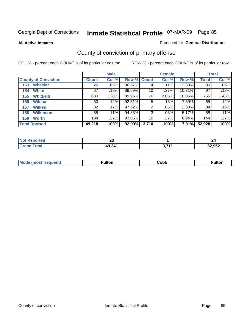**All Active Inmates**

### Produced for **General Distribution**

# County of conviction of primary offense

|                             |              | <b>Male</b> |             |       | <b>Female</b> |        |              | <b>Total</b> |
|-----------------------------|--------------|-------------|-------------|-------|---------------|--------|--------------|--------------|
| <b>County of Conviction</b> | <b>Count</b> | Col %       | Row % Count |       | Col %         | Row %  | <b>Total</b> | Col %        |
| <b>Wheeler</b><br>153       | 26           | $.05\%$     | 86.67%      | 4     | .11%          | 13.33% | 30           | $.06\%$      |
| <b>White</b><br>154         | 87           | .18%        | 89.69%      | 10    | .27%          | 10.31% | 97           | .18%         |
| <b>Whitfield</b><br>155     | 680          | 1.38%       | 89.95%      | 76    | 2.05%         | 10.05% | 756          | 1.43%        |
| <b>Wilcox</b><br>156        | 60           | .12%        | 92.31%      | 5     | .13%          | 7.69%  | 65           | .12%         |
| <b>Wilkes</b><br>157        | 82           | $.17\%$     | 97.62%      | 2     | .05%          | 2.38%  | 84           | .16%         |
| <b>Wilkinson</b><br>158     | 55           | .11%        | 94.83%      | 3     | .08%          | 5.17%  | 58           | .11%         |
| <b>Worth</b><br>159         | 134          | .27%        | 93.06%      | 10    | .27%          | 6.94%  | 144          | .27%         |
| <b>Total Rported</b>        | 49,218       | 100%        | 92.99%      | 3,710 | 100%          | 7.01%  | 52,928       | 100%         |

| <b>Reported</b><br>NOT<br>$\sim$ | n.<br>∼ |      | 44     |
|----------------------------------|---------|------|--------|
|                                  | 49,241  | 2744 | 52,952 |

| Mc | ™ulton | Cobb |  |
|----|--------|------|--|
|    |        |      |  |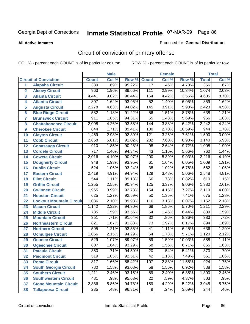#### **All Active Inmates**

### Produced for **General Distribution**

# Circuit of conviction of primary offense

|                         |                                 |                  | <b>Male</b> |        |                  | <b>Female</b> |        |                  | <b>Total</b> |
|-------------------------|---------------------------------|------------------|-------------|--------|------------------|---------------|--------|------------------|--------------|
|                         | <b>Circuit of Conviction</b>    | <b>Count</b>     | Col %       | Row %  | <b>Count</b>     | Col %         | Row %  | <b>Total</b>     | Col %        |
| 1                       | <b>Alapaha Circuit</b>          | 339              | .69%        | 95.22% | $\overline{17}$  | .46%          | 4.78%  | 356              | .67%         |
| $\overline{2}$          | <b>Alcovy Circuit</b>           | $\overline{963}$ | 1.96%       | 89.66% | 111              | 2.99%         | 10.34% | 1,074            | 2.03%        |
| $\overline{\mathbf{3}}$ | <b>Atlanta Circuit</b>          | 4,441            | 9.02%       | 96.44% | 164              | 4.42%         | 3.56%  | 4,605            | 8.70%        |
| 4                       | <b>Atlantic Circuit</b>         | 807              | 1.64%       | 93.95% | $\overline{52}$  | 1.40%         | 6.05%  | 859              | 1.62%        |
| 5                       | <b>Augusta Circuit</b>          | 2,278            | 4.63%       | 94.02% | $\overline{145}$ | 3.91%         | 5.98%  | 2,423            | 4.58%        |
| $6\phantom{a}$          | <b>Blue Ridge Circuit</b>       | 582              | 1.18%       | 91.22% | $\overline{56}$  | 1.51%         | 8.78%  | 638              | 1.21%        |
| $\overline{\mathbf{7}}$ | <b>Brunswick Circuit</b>        | 911              | 1.85%       | 94.31% | $\overline{55}$  | 1.48%         | 5.69%  | 966              | 1.83%        |
| 8                       | <b>Chattahoochee Circuit</b>    | 2,098            | 4.26%       | 93.58% | $\overline{144}$ | 3.88%         | 6.42%  | 2,242            | 4.24%        |
| 9                       | <b>Cherokee Circuit</b>         | 844              | 1.71%       | 89.41% | 100              | 2.70%         | 10.59% | 944              | 1.78%        |
| 10                      | <b>Clayton Circuit</b>          | 1,469            | 2.98%       | 92.39% | 121              | 3.26%         | 7.61%  | 1,590            | 3.00%        |
| 11                      | <b>Cobb Circuit</b>             | 2,858            | 5.81%       | 91.02% | 282              | 7.60%         | 8.98%  | 3,140            | 5.93%        |
| 12                      | <b>Conasauga Circuit</b>        | 910              | 1.85%       | 90.28% | 98               | 2.64%         | 9.72%  | 1,008            | 1.90%        |
| 13                      | <b>Cordele Circuit</b>          | $\overline{717}$ | 1.46%       | 94.34% | $\overline{43}$  | 1.16%         | 5.66%  | 760              | 1.44%        |
| 14                      | <b>Coweta Circuit</b>           | 2,016            | 4.10%       | 90.97% | $\overline{200}$ | 5.39%         | 9.03%  | 2,216            | 4.19%        |
| 15                      | <b>Dougherty Circuit</b>        | 948              | 1.93%       | 93.95% | 61               | 1.64%         | 6.05%  | 1,009            | 1.91%        |
| 16                      | <b>Dublin Circuit</b>           | $\overline{524}$ | 1.06%       | 93.24% | 38               | 1.02%         | 6.76%  | 562              | 1.06%        |
| 17                      | <b>Eastern Circuit</b>          | 2,419            | 4.91%       | 94.94% | $\overline{129}$ | 3.48%         | 5.06%  | 2,548            | 4.81%        |
| 18                      | <b>Flint Circuit</b>            | 544              | 1.11%       | 89.18% | 66               | 1.78%         | 10.82% | 610              | 1.15%        |
| 19                      | <b>Griffin Circuit</b>          | 1,255            | 2.55%       | 90.94% | 125              | 3.37%         | 9.06%  | 1,380            | 2.61%        |
| 20                      | <b>Gwinnett Circuit</b>         | 1,965            | 3.99%       | 92.73% | 154              | 4.15%         | 7.27%  | 2,119            | 4.00%        |
| 21                      | <b>Houston Circuit</b>          | 625              | 1.27%       | 92.59% | $\overline{50}$  | 1.35%         | 7.41%  | 675              | 1.28%        |
| 22                      | <b>Lookout Mountain Circuit</b> | 1,036            | 2.10%       | 89.93% | 116              | 3.13%         | 10.07% | 1,152            | 2.18%        |
| 23                      | <b>Macon Circuit</b>            | 1,142            | 2.32%       | 94.30% | 69               | 1.86%         | 5.70%  | 1,211            | 2.29%        |
| 24                      | <b>Middle Circuit</b>           | 785              | 1.59%       | 93.56% | 54               | 1.46%         | 6.44%  | 839              | 1.59%        |
| 25                      | <b>Mountain Circuit</b>         | 351              | .71%        | 91.64% | $\overline{32}$  | .86%          | 8.36%  | 383              | .72%         |
| 26                      | <b>Northeastern Circuit</b>     | 821              | 1.67%       | 91.83% | $\overline{73}$  | 1.97%         | 8.17%  | 894              | 1.69%        |
| 27                      | <b>Northern Circuit</b>         | 595              | 1.21%       | 93.55% | $\overline{41}$  | 1.11%         | 6.45%  | 636              | 1.20%        |
| 28                      | <b>Ocmulgee Circuit</b>         | 1,056            | 2.15%       | 94.29% | 64               | 1.73%         | 5.71%  | 1,120            | 2.12%        |
| 29                      | <b>Oconee Circuit</b>           | 529              | 1.07%       | 89.97% | $\overline{59}$  | 1.59%         | 10.03% | 588              | 1.11%        |
| 30                      | <b>Ogeechee Circuit</b>         | 807              | 1.64%       | 93.29% | $\overline{58}$  | 1.56%         | 6.71%  | 865              | 1.63%        |
| $\overline{31}$         | <b>Pataula Circuit</b>          | 350              | .71%        | 94.59% | $\overline{20}$  | .54%          | 5.41%  | 370              | .70%         |
| 32                      | <b>Piedmont Circuit</b>         | 519              | 1.05%       | 92.51% | 42               | 1.13%         | 7.49%  | 561              | 1.06%        |
| 33                      | <b>Rome Circuit</b>             | 817              | 1.66%       | 88.42% | 107              | 2.88%         | 11.58% | 924              | 1.75%        |
| 34                      | <b>South Georgia Circuit</b>    | 780              | 1.58%       | 93.08% | 58               | 1.56%         | 6.92%  | 838              | 1.58%        |
| 35                      | <b>Southern Circuit</b>         | 1,211            | 2.46%       | 93.15% | 89               | 2.40%         | 6.85%  | 1,300            | 2.46%        |
| 36                      | <b>Southwestern Circuit</b>     | 481              | .98%        | 95.63% | 22               | .59%          | 4.37%  | $\overline{503}$ | .95%         |
| 37                      | <b>Stone Mountain Circuit</b>   | 2,886            | 5.86%       | 94.78% | 159              | 4.29%         | 5.22%  | 3,045            | 5.75%        |
| 38                      | <b>Tallapoosa Circuit</b>       | 235              | .48%        | 96.31% | $\overline{9}$   | .24%          | 3.69%  | 244              | .46%         |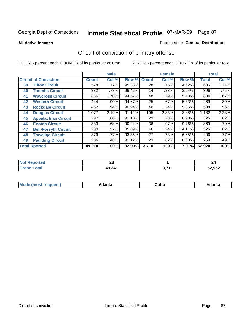**All Active Inmates**

### Produced for **General Distribution**

# Circuit of conviction of primary offense

|                              |                             |              | <b>Male</b> |        |              | <b>Female</b> |        |              | <b>Total</b> |
|------------------------------|-----------------------------|--------------|-------------|--------|--------------|---------------|--------|--------------|--------------|
| <b>Circuit of Conviction</b> |                             | <b>Count</b> | Col %       | Row %  | <b>Count</b> | Col %         | Row %  | <b>Total</b> | Col %        |
| 39                           | <b>Tifton Circuit</b>       | 578          | 1.17%       | 95.38% | 28           | .75%          | 4.62%  | 606          | 1.14%        |
| 40                           | <b>Toombs Circuit</b>       | 382          | .78%        | 96.46% | 14           | .38%          | 3.54%  | 396          | .75%         |
| 41                           | <b>Waycross Circuit</b>     | 836          | 1.70%       | 94.57% | 48           | 1.29%         | 5.43%  | 884          | 1.67%        |
| 42                           | <b>Western Circuit</b>      | 444          | $.90\%$     | 94.67% | 25           | .67%          | 5.33%  | 469          | .89%         |
| 43                           | <b>Rockdale Circuit</b>     | 462          | .94%        | 90.94% | 46           | 1.24%         | 9.06%  | 508          | .96%         |
| 44                           | <b>Douglas Circuit</b>      | 1,077        | 2.19%       | 91.12% | 105          | 2.83%         | 8.88%  | 1,182        | 2.23%        |
| 45                           | <b>Appalachian Circuit</b>  | 297          | $.60\%$     | 91.10% | 29           | .78%          | 8.90%  | 326          | .62%         |
| 46                           | <b>Enotah Circuit</b>       | 333          | .68%        | 90.24% | 36           | .97%          | 9.76%  | 369          | .70%         |
| 47                           | <b>Bell-Forsyth Circuit</b> | 280          | $.57\%$     | 85.89% | 46           | 1.24%         | 14.11% | 326          | .62%         |
| 48                           | <b>Towaliga Circuit</b>     | 379          | .77%        | 93.35% | 27           | .73%          | 6.65%  | 406          | .77%         |
| 49                           | <b>Paulding Circuit</b>     | 236          | .48%        | 91.12% | 23           | .62%          | 8.88%  | 259          | .49%         |
|                              | <b>Total Rported</b>        | 49,218       | 100%        | 92.99% | 3,710        | 100%          | 7.01%  | 52,928       | 100%         |

| TV. | $\mathbf{r}$ |      | -44    |
|-----|--------------|------|--------|
| тео | ΔJ           |      |        |
|     | 49,241       | 2744 | 52,952 |

| M, | $+1 - - + -$<br>annu -<br>uu | ∶obb<br>- - - - - | .<br>чна<br>- --------- |
|----|------------------------------|-------------------|-------------------------|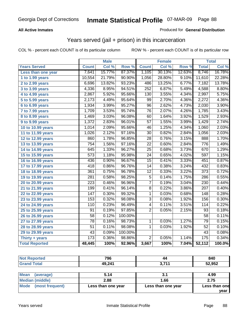### **All Active Inmates**

### Produced for **General Distribution**

## Years served (jail + prison) in this incarceration

|                              |                  | <b>Male</b> |         |                 | <b>Female</b> |        |                   | <b>Total</b> |
|------------------------------|------------------|-------------|---------|-----------------|---------------|--------|-------------------|--------------|
| <b>Years Served</b>          | <b>Count</b>     | Col %       | Row %   | <b>Count</b>    | Col %         | Row %  | <b>Total</b>      | Col %        |
| Less than one year           | 7,641            | 15.77%      | 87.37%  | 1,105           | 30.13%        | 12.63% | 8,746             | 16.78%       |
| 1 to 1.99 years              | 10,554           | 21.79%      | 90.90%  | 1,056           | 28.80%        | 9.10%  | 11,610            | 22.28%       |
| 2 to 2.99 years              | 6,696            | 13.82%      | 93.23%  | 486             | 13.25%        | 6.77%  | 7,182             | 13.78%       |
| 3 to 3.99 years              | 4,336            | 8.95%       | 94.51%  | 252             | 6.87%         | 5.49%  | 4,588             | 8.80%        |
| 4 to 4.99 years              | 2,867            | 5.92%       | 95.66%  | 130             | 3.55%         | 4.34%  | 2,997             | 5.75%        |
| 5 to 5.99 years              | 2,173            | 4.49%       | 95.64%  | 99              | 2.70%         | 4.36%  | 2,272             | 4.36%        |
| 6 to 6.99 years              | 1,934            | 3.99%       | 95.27%  | $\overline{96}$ | 2.62%         | 4.73%  | 2,030             | 3.90%        |
| $\overline{7}$ to 7.99 years | 1,709            | 3.53%       | 95.74%  | 76              | 2.07%         | 4.26%  | 1,785             | 3.43%        |
| 8 to 8.99 years              | 1,469            | 3.03%       | 96.08%  | 60              | 1.64%         | 3.92%  | 1,529             | 2.93%        |
| 9 to 9.99 years              | 1,372            | 2.83%       | 96.01%  | $\overline{57}$ | 1.55%         | 3.99%  | 1,429             | 2.74%        |
| 10 to 10.99 years            | 1,014            | 2.09%       | 95.66%  | 46              | 1.25%         | 4.34%  | 1,060             | 2.03%        |
| 11 to 11.99 years            | 1,026            | 2.12%       | 97.16%  | $\overline{30}$ | 0.82%         | 2.84%  | 1,056             | 2.03%        |
| 12 to 12.99 years            | 860              | 1.78%       | 96.85%  | $\overline{28}$ | 0.76%         | 3.15%  | 888               | 1.70%        |
| 13 to 13.99 years            | 754              | 1.56%       | 97.16%  | $\overline{22}$ | 0.60%         | 2.84%  | 776               | 1.49%        |
| 14 to 14.99 years            | 645              | 1.33%       | 96.27%  | $\overline{25}$ | 0.68%         | 3.73%  | 670               | 1.29%        |
| 15 to 15.99 years            | $\overline{573}$ | 1.18%       | 95.98%  | 24              | 0.65%         | 4.02%  | 597               | 1.15%        |
| 16 to 16.99 years            | 436              | 0.90%       | 96.67%  | $\overline{15}$ | 0.41%         | 3.33%  | 451               | 0.87%        |
| 17 to 17.99 years            | $\overline{418}$ | 0.86%       | 96.76%  | $\overline{14}$ | 0.38%         | 3.24%  | 432               | 0.83%        |
| 18 to 18.99 years            | $\overline{361}$ | 0.75%       | 96.78%  | 12              | 0.33%         | 3.22%  | 373               | 0.72%        |
| 19 to 19.99 years            | 281              | 0.58%       | 98.25%  | $\overline{5}$  | 0.14%         | 1.75%  | 286               | 0.55%        |
| 20 to 20.99 years            | $\overline{223}$ | 0.46%       | 96.96%  | $\overline{7}$  | 0.19%         | 3.04%  | $\overline{230}$  | 0.44%        |
| 21 to 21.99 years            | 199              | 0.41%       | 96.14%  | $\overline{8}$  | 0.22%         | 3.86%  | 207               | 0.40%        |
| 22 to 22.99 years            | 147              | 0.30%       | 99.32%  | $\mathbf{1}$    | 0.03%         | 0.68%  | 148               | 0.28%        |
| 23 to 23.99 years            | 153              | 0.32%       | 98.08%  | $\overline{3}$  | 0.08%         | 1.92%  | 156               | 0.30%        |
| 24 to 24.99 years            | 110              | 0.23%       | 96.49%  | 4               | 0.11%         | 3.51%  | 114               | 0.22%        |
| 25 to 25.99 years            | 91               | 0.19%       | 97.85%  | $\overline{2}$  | 0.05%         | 2.15%  | 93                | 0.18%        |
| 26 to 26.99 years            | $\overline{58}$  | 0.12%       | 100.00% |                 |               |        | $\overline{58}$   | 0.11%        |
| 27 to 27.99 years            | $\overline{78}$  | 0.16%       | 98.73%  | $\mathbf 1$     | 0.03%         | 1.27%  | 79                | 0.15%        |
| 28 to 28.99 years            | $\overline{51}$  | 0.11%       | 98.08%  | 1               | 0.03%         | 1.92%  | $\overline{52}$   | 0.10%        |
| 29 to 29.99 years            | 43               | 0.09%       | 100.00% |                 |               |        | 43                | 0.08%        |
| Thirty + years               | 173              | 0.36%       | 98.86%  | $\overline{2}$  | 0.05%         | 1.14%  | $\frac{175}{175}$ | 0.34%        |
| <b>Total Reported</b>        | 48,445           | 100%        | 92.96%  | 3,667           | 100%          | 7.04%  | 52,112            | 100.0%       |

| <b>Not</b><br><b>Reported</b> | 796    | 44        | 840    |
|-------------------------------|--------|-----------|--------|
| d Total<br>Gran               | 49,241 | 2711<br>◡ | 52,952 |
|                               |        |           |        |

| <b>Mean</b><br>(average)  | 5.14               | J.I                | 4.99          |
|---------------------------|--------------------|--------------------|---------------|
| Median (middle)           | 2.88               | 1.66               | 2.75          |
| l Mode<br>(most frequent) | Less than one year | Less than one year | Less than one |
|                           |                    |                    | vear          |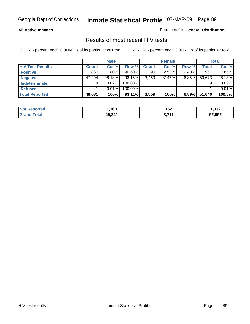### **All Active Inmates**

Produced for **General Distribution**

### Results of most recent HIV tests

|                         |              | <b>Male</b> |           |       | <b>Female</b> |          |              | Total  |
|-------------------------|--------------|-------------|-----------|-------|---------------|----------|--------------|--------|
| <b>HIV Test Results</b> | <b>Count</b> | Col%        | Row %     | Count | Col %         | Row %    | <b>Total</b> | Col %  |
| <b>Positive</b>         | 867          | 1.80%       | $90.60\%$ | 90    | 2.53%         | $9.40\%$ | 957          | 1.85%  |
| <b>Negative</b>         | 47,204       | 98.18%      | 93.15%    | 3,469 | 97.47%        | $6.85\%$ | 50,673       | 98.13% |
| <b>Indeterminate</b>    | 9            | 0.02%       | 100.00%   |       |               |          |              | 0.02%  |
| <b>Refused</b>          |              | 0.01%       | 100.00%   |       |               |          |              | 0.01%  |
| <b>Total Reported</b>   | 48,081       | 100%        | 93.11%    | 3,559 | 100%          | 6.89%    | 51,640       | 100.0% |

| <b>Not</b><br>rted | .160   | 152          | 312. ا |
|--------------------|--------|--------------|--------|
| <b>Grar</b><br>ota | 49,241 | <b>2 744</b> | 52,952 |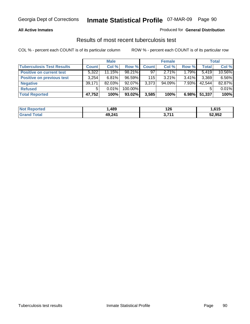### **All Active Inmates**

### Produced for **General Distribution**

### Results of most recent tuberculosis test

|                                  |              | <b>Male</b> |           |              | <b>Female</b> |          |              | <b>Total</b> |
|----------------------------------|--------------|-------------|-----------|--------------|---------------|----------|--------------|--------------|
| <b>Tuberculosis Test Results</b> | <b>Count</b> | Col %       | Row %     | <b>Count</b> | Col %         | Row %    | <b>Total</b> | Col %        |
| <b>Positive on current test</b>  | 5,322        | 11.15%      | $98.21\%$ | 97           | $2.71\%$      | 1.79%    | 5,419        | 10.56%       |
| <b>Positive on previous test</b> | 3,254        | 6.81%       | 96.59%    | 115          | $3.21\%$      | $3.41\%$ | 3,369        | 6.56%        |
| <b>Negative</b>                  | 39,171       | 82.03%      | $92.07\%$ | 3,373        | $94.09\%$     | 7.93%    | 42,544       | 82.87%       |
| <b>Refused</b>                   | 5            | $0.01\%$    | 100.00%   |              |               |          |              | 0.01%        |
| <b>Total Reported</b>            | 47,752       | 100%        | 93.02%    | 3,585        | 100%          | 6.98%    | 51,337       | 100%         |

| <b>Not</b><br><b>Reported</b> | ,489   | 126<br>$\sim$ | .615   |
|-------------------------------|--------|---------------|--------|
| <b>Grand</b><br>Total         | 49,241 | 2744          | 52,952 |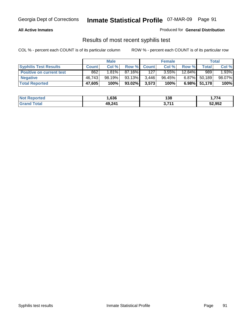### **All Active Inmates**

Produced for **General Distribution**

### Results of most recent syphilis test

|                                 |              | <b>Male</b> |           |                  | <b>Female</b> |           |              | Total  |
|---------------------------------|--------------|-------------|-----------|------------------|---------------|-----------|--------------|--------|
| <b>Syphilis Test Results</b>    | <b>Count</b> | Col %       | Row %     | <b>Count</b>     | Col %         | Row %     | Total        | Col %  |
| <b>Positive on current test</b> | 862          | $1.81\%$    | 87.16%I   | 127 <sub>1</sub> | 3.55%         | $12.84\%$ | 989          | 1.93%  |
| <b>Negative</b>                 | 46.743       | 98.19%      | 93.13%    | 3,446            | 96.45%        | $6.87\%$  | 50,189       | 98.07% |
| <b>Total Reported</b>           | 47,605       | 100%        | $93.02\%$ | 3,573            | 100%          |           | 6.98% 51,178 | 100%   |

| <b>Not Reported</b> | .636   | 138   | 774<br>. . |
|---------------------|--------|-------|------------|
| Total<br>' Grand    | 49,241 | つ フィィ | 52,952     |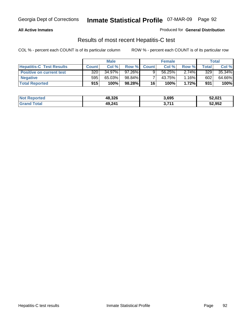### **All Active Inmates**

Produced for **General Distribution**

### Results of most recent Hepatitis-C test

|                                 |              | <b>Male</b> |           |              | <b>Female</b> |          |             | Total  |
|---------------------------------|--------------|-------------|-----------|--------------|---------------|----------|-------------|--------|
| <b>Hepatitis-C Test Results</b> | <b>Count</b> | Col %       | Row %I    | <b>Count</b> | Col %         | Row %    | $\tau$ otal | Col %  |
| <b>Positive on current test</b> | 320          | $34.97\%$   | $97.26\%$ |              | 56.25%        | $2.74\%$ | 329         | 35.34% |
| <b>Negative</b>                 | 595          | 65.03%      | 98.84%    |              | 43.75%        | 1.16%    | 602         | 64.66% |
| <b>Total Reported</b>           | 915          | 100%        | 98.28%    | 16           | 100%          | 1.72%    | 931         | 100%   |

| <b>Not Reported</b> | 48,326 | 3,695 | 52,021 |
|---------------------|--------|-------|--------|
| <b>Grand Total</b>  | 49,241 | 3,71' | 52,952 |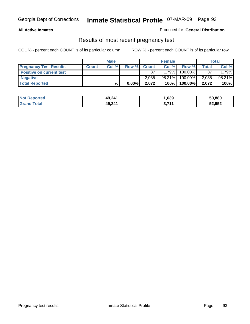### **All Active Inmates**

### Produced for **General Distribution**

### Results of most recent pregnancy test

|                                 |              | <b>Male</b> |          |              | <b>Female</b> |         |              | <b>Total</b> |
|---------------------------------|--------------|-------------|----------|--------------|---------------|---------|--------------|--------------|
| <b>Pregnancy Test Results</b>   | <b>Count</b> | Col%        | Row %    | <b>Count</b> | Col %         | Row %   | <b>Total</b> | Col %        |
| <b>Positive on current test</b> |              |             |          | 37           | 1.79%         | 100.00% | 37           | 1.79%        |
| <b>Negative</b>                 |              |             |          | 2.035        | 98.21%        | 100.00% | 2,035        | 98.21%       |
| <b>Total Reported</b>           |              | %           | $0.00\%$ | 2,072        | 100%          | 100.00% | 2,072        | 100%         |

| <b>Not Reported</b> | 49,241 | 639, ا | 50,880 |
|---------------------|--------|--------|--------|
| <b>Grand Total</b>  | 49,241 | 3,71'  | 52,952 |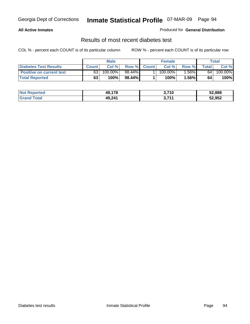### **All Active Inmates**

### Produced for **General Distribution**

### Results of most recent diabetes test

|                                 |              | <b>Male</b> |           |              | <b>Female</b> |          |                 | Total   |
|---------------------------------|--------------|-------------|-----------|--------------|---------------|----------|-----------------|---------|
| <b>Diabetes Test Results</b>    | <b>Count</b> | Col %       | Row %I    | <b>Count</b> | Col %         | Row %    | Total           | Col %   |
| <b>Positive on current test</b> | 63           | 100.00%     | $98.44\%$ |              | $100.00\%$    | $1.56\%$ | 64 <sub>1</sub> | 100.00% |
| <b>Total Reported</b>           | 63           | 100%        | 98.44%    |              | 100%          | 1.56%    | 64              | 100%    |

| <b>Not Reported</b> | 49.178 | 3,710       | 52,888 |
|---------------------|--------|-------------|--------|
| Total<br>Gran       | 49,241 | 7744<br>- - | 52,952 |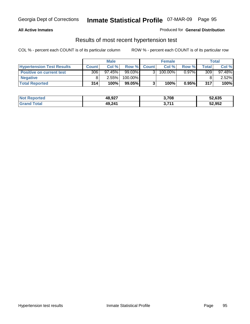### **All Active Inmates**

### Produced for **General Distribution**

### Results of most recent hypertension test

|                                  | <b>Male</b>  |           |         | <b>Female</b> |            |          | <b>Total</b>   |        |
|----------------------------------|--------------|-----------|---------|---------------|------------|----------|----------------|--------|
| <b>Hypertension Test Results</b> | <b>Count</b> | Col %     | Row %   | <b>Count</b>  | Col %      | Row %    | <b>Total</b> I | Col %  |
| <b>Positive on current test</b>  | 306          | $97.45\%$ | 99.03%  |               | $100.00\%$ | $0.97\%$ | 309            | 97.48% |
| <b>Negative</b>                  |              | 2.55%     | 100.00% |               |            |          |                | 2.52%  |
| <b>Total Reported</b>            | 314          | 100%      | 99.05%  |               | 100%       | 0.95%    | 317            | 100%   |

| <b>Not Reported</b> | 48,927 | 3,708 | 52,635 |
|---------------------|--------|-------|--------|
| <b>Grand Total</b>  | 49,241 | 3,711 | 52,952 |